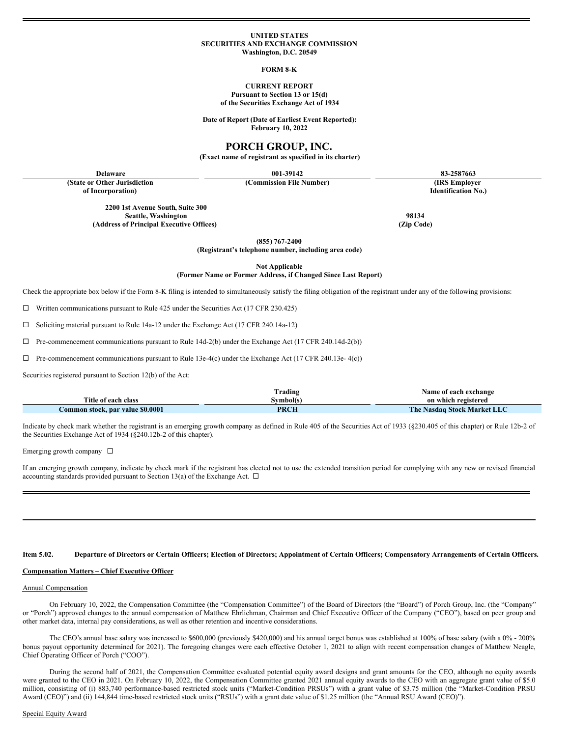#### **UNITED STATES SECURITIES AND EXCHANGE COMMISSION Washington, D.C. 20549**

#### **FORM 8-K**

#### **CURRENT REPORT Pursuant to Section 13 or 15(d) of the Securities Exchange Act of 1934**

**Date of Report (Date of Earliest Event Reported): February 10, 2022**

# **PORCH GROUP, INC.**

**(Exact name of registrant as specified in its charter)**

**(State or Other Jurisdiction**

**of Incorporation)**

**(Commission File Number) (IRS Employer**

**Delaware 001-39142 83-2587663**

**Identification No.)**

**Seattle, Washington 98134 (Address of Principal Executive Offices) (Zip Code)**

**(855) 767-2400**

**(Registrant's telephone number, including area code)**

**Not Applicable**

### **(Former Name or Former Address, if Changed Since Last Report)**

Check the appropriate box below if the Form 8-K filing is intended to simultaneously satisfy the filing obligation of the registrant under any of the following provisions:

 $\Box$  Written communications pursuant to Rule 425 under the Securities Act (17 CFR 230.425)

**2200 1st Avenue South, Suite 300**

 $\Box$  Soliciting material pursuant to Rule 14a-12 under the Exchange Act (17 CFR 240.14a-12)

 $\Box$  Pre-commencement communications pursuant to Rule 14d-2(b) under the Exchange Act (17 CFR 240.14d-2(b))

 $\Box$  Pre-commencement communications pursuant to Rule 13e-4(c) under the Exchange Act (17 CFR 240.13e- 4(c))

Securities registered pursuant to Section 12(b) of the Act:

|                                  | rading`     | Name of each exchange       |
|----------------------------------|-------------|-----------------------------|
| Title of each class              | 3vmbol(s)   | on which registered         |
| Common stock, par value \$0.0001 | <b>PRCH</b> | The Nasdaq Stock Market LLC |

Indicate by check mark whether the registrant is an emerging growth company as defined in Rule 405 of the Securities Act of 1933 (§230.405 of this chapter) or Rule 12b-2 of the Securities Exchange Act of 1934 (§240.12b-2 of this chapter).

Emerging growth company  $\square$ 

If an emerging growth company, indicate by check mark if the registrant has elected not to use the extended transition period for complying with any new or revised financial accounting standards provided pursuant to Section 13(a) of the Exchange Act.  $\Box$ 

#### Item 5.02. Departure of Directors or Certain Officers; Election of Directors; Appointment of Certain Officers; Compensatory Arrangements of Certain Officers.

#### **Compensation Matters – Chief Executive Officer**

## Annual Compensation

On February 10, 2022, the Compensation Committee (the "Compensation Committee") of the Board of Directors (the "Board") of Porch Group, Inc. (the "Company" or "Porch") approved changes to the annual compensation of Matthew Ehrlichman, Chairman and Chief Executive Officer of the Company ("CEO"), based on peer group and other market data, internal pay considerations, as well as other retention and incentive considerations.

The CEO's annual base salary was increased to \$600,000 (previously \$420,000) and his annual target bonus was established at 100% of base salary (with a 0% - 200% bonus payout opportunity determined for 2021). The foregoing changes were each effective October 1, 2021 to align with recent compensation changes of Matthew Neagle, Chief Operating Officer of Porch ("COO").

During the second half of 2021, the Compensation Committee evaluated potential equity award designs and grant amounts for the CEO, although no equity awards were granted to the CEO in 2021. On February 10, 2022, the Compensation Committee granted 2021 annual equity awards to the CEO with an aggregate grant value of \$5.0 million, consisting of (i) 883,740 performance-based restricted stock units ("Market-Condition PRSUs") with a grant value of \$3.75 million (the "Market-Condition PRSU Award (CEO)") and (ii) 144,844 time-based restricted stock units ("RSUs") with a grant date value of \$1.25 million (the "Annual RSU Award (CEO)").

Special Equity Award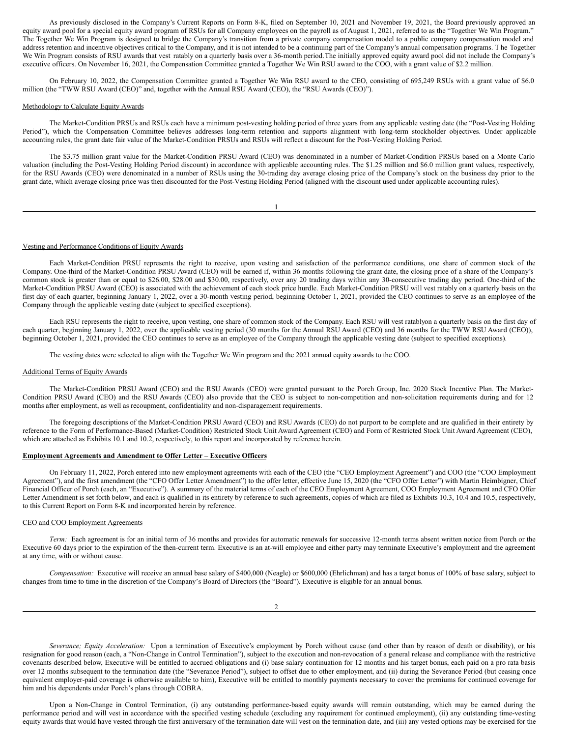As previously disclosed in the Company's Current Reports on Form 8-K, filed on September 10, 2021 and November 19, 2021, the Board previously approved an equity award pool for a special equity award program of RSUs for all Company employees on the payroll as of August 1, 2021, referred to as the "Together We Win Program." The Together We Win Program is designed to bridge the Company's transition from a private company compensation model to a public company compensation model and address retention and incentive objectives critical to the Company, and it is not intended to be a continuing part of the Company's annual compensation programs. T he Together We Win Program consists of RSU awards that vest ratably on a quarterly basis over a 36-month period.The initially approved equity award pool did not include the Company's executive officers. On November 16, 2021, the Compensation Committee granted a Together We Win RSU award to the COO, with a grant value of \$2.2 million.

On February 10, 2022, the Compensation Committee granted a Together We Win RSU award to the CEO, consisting of 695,249 RSUs with a grant value of \$6.0 million (the "TWW RSU Award (CEO)" and, together with the Annual RSU Award (CEO), the "RSU Awards (CEO)").

### Methodology to Calculate Equity Awards

The Market-Condition PRSUs and RSUs each have a minimum post-vesting holding period of three years from any applicable vesting date (the "Post-Vesting Holding Period"), which the Compensation Committee believes addresses long-term retention and supports alignment with long-term stockholder objectives. Under applicable accounting rules, the grant date fair value of the Market-Condition PRSUs and RSUs will reflect a discount for the Post-Vesting Holding Period.

The \$3.75 million grant value for the Market-Condition PRSU Award (CEO) was denominated in a number of Market-Condition PRSUs based on a Monte Carlo valuation (including the Post-Vesting Holding Period discount) in accordance with applicable accounting rules. The \$1.25 million and \$6.0 million grant values, respectively, for the RSU Awards (CEO) were denominated in a number of RSUs using the 30-trading day average closing price of the Company's stock on the business day prior to the grant date, which average closing price was then discounted for the Post-Vesting Holding Period (aligned with the discount used under applicable accounting rules).

### Vesting and Performance Conditions of Equity Awards

Each Market-Condition PRSU represents the right to receive, upon vesting and satisfaction of the performance conditions, one share of common stock of the Company. One-third of the Market-Condition PRSU Award (CEO) will be earned if, within 36 months following the grant date, the closing price of a share of the Company's common stock is greater than or equal to \$26.00, \$28.00 and \$30.00, respectively, over any 20 trading days within any 30-consecutive trading day period. One-third of the Market-Condition PRSU Award (CEO) is associated with the achievement of each stock price hurdle. Each Market-Condition PRSU will vest ratably on a quarterly basis on the first day of each quarter, beginning January 1, 2022, over a 30-month vesting period, beginning October 1, 2021, provided the CEO continues to serve as an employee of the Company through the applicable vesting date (subject to specified exceptions).

Each RSU represents the right to receive, upon vesting, one share of common stock of the Company. Each RSU will vest ratablyon a quarterly basis on the first day of each quarter, beginning January 1, 2022, over the applicable vesting period (30 months for the Annual RSU Award (CEO) and 36 months for the TWW RSU Award (CEO)), beginning October 1, 2021, provided the CEO continues to serve as an employee of the Company through the applicable vesting date (subject to specified exceptions).

The vesting dates were selected to align with the Together We Win program and the 2021 annual equity awards to the COO.

#### Additional Terms of Equity Awards

The Market-Condition PRSU Award (CEO) and the RSU Awards (CEO) were granted pursuant to the Porch Group, Inc. 2020 Stock Incentive Plan. The Market-Condition PRSU Award (CEO) and the RSU Awards (CEO) also provide that the CEO is subject to non-competition and non-solicitation requirements during and for 12 months after employment, as well as recoupment, confidentiality and non-disparagement requirements.

The foregoing descriptions of the Market-Condition PRSU Award (CEO) and RSU Awards (CEO) do not purport to be complete and are qualified in their entirety by reference to the Form of Performance-Based (Market-Condition) Restricted Stock Unit Award Agreement (CEO) and Form of Restricted Stock Unit Award Agreement (CEO), which are attached as Exhibits 10.1 and 10.2, respectively, to this report and incorporated by reference herein.

#### **Employment Agreements and Amendment to Offer Letter – Executive Officers**

On February 11, 2022, Porch entered into new employment agreements with each of the CEO (the "CEO Employment Agreement") and COO (the "COO Employment Agreement"), and the first amendment (the "CFO Offer Letter Amendment") to the offer letter, effective June 15, 2020 (the "CFO Offer Letter") with Martin Heimbigner, Chief Financial Officer of Porch (each, an "Executive"). A summary of the material terms of each of the CEO Employment Agreement, COO Employment Agreement and CFO Offer Letter Amendment is set forth below, and each is qualified in its entirety by reference to such agreements, copies of which are filed as Exhibits 10.3, 10.4 and 10.5, respectively, to this Current Report on Form 8-K and incorporated herein by reference.

### CEO and COO Employment Agreements

*Term:* Each agreement is for an initial term of 36 months and provides for automatic renewals for successive 12-month terms absent written notice from Porch or the Executive 60 days prior to the expiration of the then-current term. Executive is an at-will employee and either party may terminate Executive's employment and the agreement at any time, with or without cause.

*Compensation:* Executive will receive an annual base salary of \$400,000 (Neagle) or \$600,000 (Ehrlichman) and has a target bonus of 100% of base salary, subject to changes from time to time in the discretion of the Company's Board of Directors (the "Board"). Executive is eligible for an annual bonus.

*Severance; Equity Acceleration:* Upon a termination of Executive's employment by Porch without cause (and other than by reason of death or disability), or his resignation for good reason (each, a "Non-Change in Control Termination"), subject to the execution and non-revocation of a general release and compliance with the restrictive covenants described below, Executive will be entitled to accrued obligations and (i) base salary continuation for 12 months and his target bonus, each paid on a pro rata basis over 12 months subsequent to the termination date (the "Severance Period"), subject to offset due to other employment, and (ii) during the Severance Period (but ceasing once equivalent employer-paid coverage is otherwise available to him), Executive will be entitled to monthly payments necessary to cover the premiums for continued coverage for him and his dependents under Porch's plans through COBRA.

Upon a Non-Change in Control Termination, (i) any outstanding performance-based equity awards will remain outstanding, which may be earned during the performance period and will vest in accordance with the specified vesting schedule (excluding any requirement for continued employment), (ii) any outstanding time-vesting equity awards that would have vested through the first anniversary of the termination date will vest on the termination date, and (iii) any vested options may be exercised for the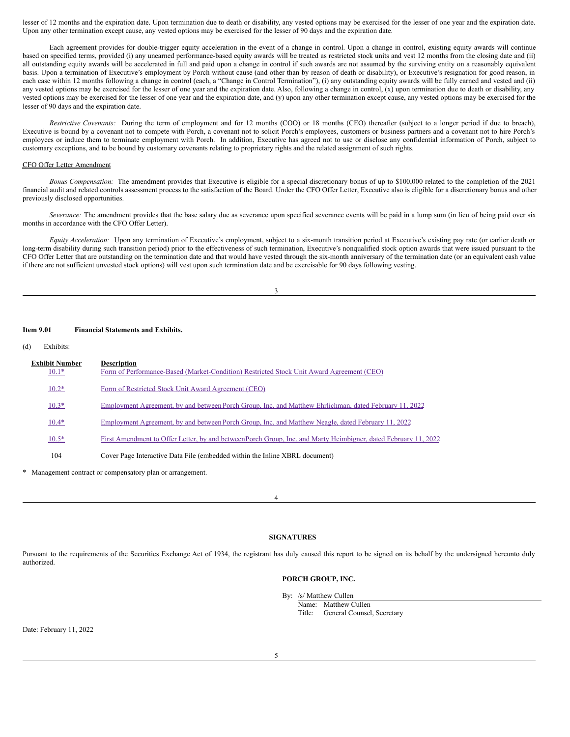lesser of 12 months and the expiration date. Upon termination due to death or disability, any vested options may be exercised for the lesser of one year and the expiration date. Upon any other termination except cause, any vested options may be exercised for the lesser of 90 days and the expiration date.

Each agreement provides for double-trigger equity acceleration in the event of a change in control. Upon a change in control, existing equity awards will continue based on specified terms, provided (i) any unearned performance-based equity awards will be treated as restricted stock units and vest 12 months from the closing date and (ii) all outstanding equity awards will be accelerated in full and paid upon a change in control if such awards are not assumed by the surviving entity on a reasonably equivalent basis. Upon a termination of Executive's employment by Porch without cause (and other than by reason of death or disability), or Executive's resignation for good reason, in each case within 12 months following a change in control (each, a "Change in Control Termination"), (i) any outstanding equity awards will be fully earned and vested and (ii) any vested options may be exercised for the lesser of one year and the expiration date. Also, following a change in control, (x) upon termination due to death or disability, any vested options may be exercised for the lesser of one year and the expiration date, and (y) upon any other termination except cause, any vested options may be exercised for the lesser of 90 days and the expiration date.

*Restrictive Covenants:* During the term of employment and for 12 months (COO) or 18 months (CEO) thereafter (subject to a longer period if due to breach), Executive is bound by a covenant not to compete with Porch, a covenant not to solicit Porch's employees, customers or business partners and a covenant not to hire Porch's employees or induce them to terminate employment with Porch. In addition, Executive has agreed not to use or disclose any confidential information of Porch, subject to customary exceptions, and to be bound by customary covenants relating to proprietary rights and the related assignment of such rights.

### CFO Offer Letter Amendment

*Bonus Compensation:* The amendment provides that Executive is eligible for a special discretionary bonus of up to \$100,000 related to the completion of the 2021 financial audit and related controls assessment process to the satisfaction of the Board. Under the CFO Offer Letter, Executive also is eligible for a discretionary bonus and other previously disclosed opportunities.

*Severance:* The amendment provides that the base salary due as severance upon specified severance events will be paid in a lump sum (in lieu of being paid over six months in accordance with the CFO Offer Letter).

*Equity Acceleration:* Upon any termination of Executive's employment, subject to a six-month transition period at Executive's existing pay rate (or earlier death or long-term disability during such transition period) prior to the effectiveness of such termination, Executive's nonqualified stock option awards that were issued pursuant to the CFO Offer Letter that are outstanding on the termination date and that would have vested through the six-month anniversary of the termination date (or an equivalent cash value if there are not sufficient unvested stock options) will vest upon such termination date and be exercisable for 90 days following vesting.

| ۰,<br>I<br>×<br>۰. |  |
|--------------------|--|

#### **Item 9.01 Financial Statements and Exhibits.**

(d) Exhibits:

| <b>Exhibit Number</b><br>$10.1*$ | <b>Description</b><br>Form of Performance-Based (Market-Condition) Restricted Stock Unit Award Agreement (CEO)  |
|----------------------------------|-----------------------------------------------------------------------------------------------------------------|
| $10.2*$                          | Form of Restricted Stock Unit Award Agreement (CEO)                                                             |
| $10.3*$                          | Employment Agreement, by and between Porch Group, Inc. and Matthew Ehrlichman, dated February 11, 2022          |
| $10.4*$                          | Employment Agreement, by and between Porch Group, Inc. and Matthew Neagle, dated February 11, 2022              |
| $10.5*$                          | First Amendment to Offer Letter, by and between Porch Group, Inc. and Marty Heimbigner, dated February 11, 2022 |
| 104                              | Cover Page Interactive Data File (embedded within the Inline XBRL document)                                     |

Management contract or compensatory plan or arrangement.

4

# **SIGNATURES**

Pursuant to the requirements of the Securities Exchange Act of 1934, the registrant has duly caused this report to be signed on its behalf by the undersigned hereunto duly authorized.

# **PORCH GROUP, INC.**

By: /s/ Matthew Cullen

Name: Matthew Cullen Title: General Counsel, Secretary

Date: February 11, 2022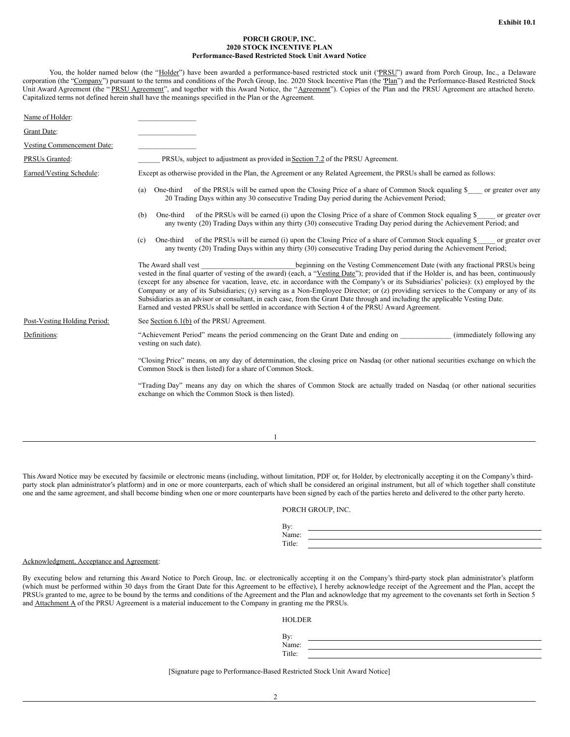### **PORCH GROUP, INC. 2020 STOCK INCENTIVE PLAN Performance-Based Restricted Stock Unit Award Notice**

You, the holder named below (the "Holder") have been awarded a performance-based restricted stock unit ("PRSU") award from Porch Group, Inc., a Delaware corporation (the "Company") pursuant to the terms and conditions of the Porch Group, Inc. 2020 Stock Incentive Plan (the 'Plan") and the Performance-Based Restricted Stock Unit Award Agreement (the "PRSU Agreement", and together with this Award Notice, the "Agreement"). Copies of the Plan and the PRSU Agreement are attached hereto. Capitalized terms not defined herein shall have the meanings specified in the Plan or the Agreement.

| Name of Holder:              |                                                                                                                                                                                                                                                                                                                                                                                                                                                                                                                                                                                                                                                                                                                                                                          |
|------------------------------|--------------------------------------------------------------------------------------------------------------------------------------------------------------------------------------------------------------------------------------------------------------------------------------------------------------------------------------------------------------------------------------------------------------------------------------------------------------------------------------------------------------------------------------------------------------------------------------------------------------------------------------------------------------------------------------------------------------------------------------------------------------------------|
| Grant Date:                  |                                                                                                                                                                                                                                                                                                                                                                                                                                                                                                                                                                                                                                                                                                                                                                          |
| Vesting Commencement Date:   |                                                                                                                                                                                                                                                                                                                                                                                                                                                                                                                                                                                                                                                                                                                                                                          |
| PRSUs Granted:               | PRSUs, subject to adjustment as provided in Section 7.2 of the PRSU Agreement.                                                                                                                                                                                                                                                                                                                                                                                                                                                                                                                                                                                                                                                                                           |
| Earned/Vesting Schedule:     | Except as otherwise provided in the Plan, the Agreement or any Related Agreement, the PRSUs shall be earned as follows:                                                                                                                                                                                                                                                                                                                                                                                                                                                                                                                                                                                                                                                  |
|                              | of the PRSUs will be earned upon the Closing Price of a share of Common Stock equaling \$<br>One-third<br>or greater over any<br>(a)<br>20 Trading Days within any 30 consecutive Trading Day period during the Achievement Period;                                                                                                                                                                                                                                                                                                                                                                                                                                                                                                                                      |
|                              | of the PRSUs will be earned (i) upon the Closing Price of a share of Common Stock equaling \$<br>One-third<br>or greater over<br>(b)<br>any twenty (20) Trading Days within any thirty (30) consecutive Trading Day period during the Achievement Period; and                                                                                                                                                                                                                                                                                                                                                                                                                                                                                                            |
|                              | of the PRSUs will be earned (i) upon the Closing Price of a share of Common Stock equaling \$<br>One-third<br>or greater over<br>(c)<br>any twenty (20) Trading Days within any thirty (30) consecutive Trading Day period during the Achievement Period;                                                                                                                                                                                                                                                                                                                                                                                                                                                                                                                |
|                              | The Award shall vest<br>beginning on the Vesting Commencement Date (with any fractional PRSUs being<br>vested in the final quarter of vesting of the award) (each, a "Vesting Date"); provided that if the Holder is, and has been, continuously<br>(except for any absence for vacation, leave, etc. in accordance with the Company's or its Subsidiaries' policies): (x) employed by the<br>Company or any of its Subsidiaries; (y) serving as a Non-Employee Director; or (z) providing services to the Company or any of its<br>Subsidiaries as an advisor or consultant, in each case, from the Grant Date through and including the applicable Vesting Date.<br>Earned and vested PRSUs shall be settled in accordance with Section 4 of the PRSU Award Agreement. |
| Post-Vesting Holding Period: | See Section 6.1(b) of the PRSU Agreement.                                                                                                                                                                                                                                                                                                                                                                                                                                                                                                                                                                                                                                                                                                                                |
| Definitions:                 | "Achievement Period" means the period commencing on the Grant Date and ending on<br>(immediately following any<br>vesting on such date).                                                                                                                                                                                                                                                                                                                                                                                                                                                                                                                                                                                                                                 |
|                              | "Closing Price" means, on any day of determination, the closing price on Nasdaq (or other national securities exchange on which the<br>Common Stock is then listed) for a share of Common Stock.                                                                                                                                                                                                                                                                                                                                                                                                                                                                                                                                                                         |
|                              | "Trading Day" means any day on which the shares of Common Stock are actually traded on Nasdaq (or other national securities<br>exchange on which the Common Stock is then listed).                                                                                                                                                                                                                                                                                                                                                                                                                                                                                                                                                                                       |
|                              |                                                                                                                                                                                                                                                                                                                                                                                                                                                                                                                                                                                                                                                                                                                                                                          |
|                              |                                                                                                                                                                                                                                                                                                                                                                                                                                                                                                                                                                                                                                                                                                                                                                          |

This Award Notice may be executed by facsimile or electronic means (including, without limitation, PDF or, for Holder, by electronically accepting it on the Company's thirdparty stock plan administrator's platform) and in one or more counterparts, each of which shall be considered an original instrument, but all of which together shall constitute one and the same agreement, and shall become binding when one or more counterparts have been signed by each of the parties hereto and delivered to the other party hereto.

1

| PORCH GROUP, INC. |  |
|-------------------|--|
|                   |  |

| $\mathbf{p}_{\mathbf{v}}$ |  |
|---------------------------|--|
| Name:                     |  |
| Title:                    |  |
|                           |  |

#### Acknowledgment, Acceptance and Agreement:

By executing below and returning this Award Notice to Porch Group, Inc. or electronically accepting it on the Company's third-party stock plan administrator's platform (which must be performed within 30 days from the Grant Date for this Agreement to be effective), I hereby acknowledge receipt of the Agreement and the Plan, accept the PRSUs granted to me, agree to be bound by the terms and conditions of the Agreement and the Plan and acknowledge that my agreement to the covenants set forth in Section 5 and Attachment A of the PRSU Agreement is a material inducement to the Company in granting me the PRSUs.

HOLDER

By: Name: Title:

[Signature page to Performance-Based Restricted Stock Unit Award Notice]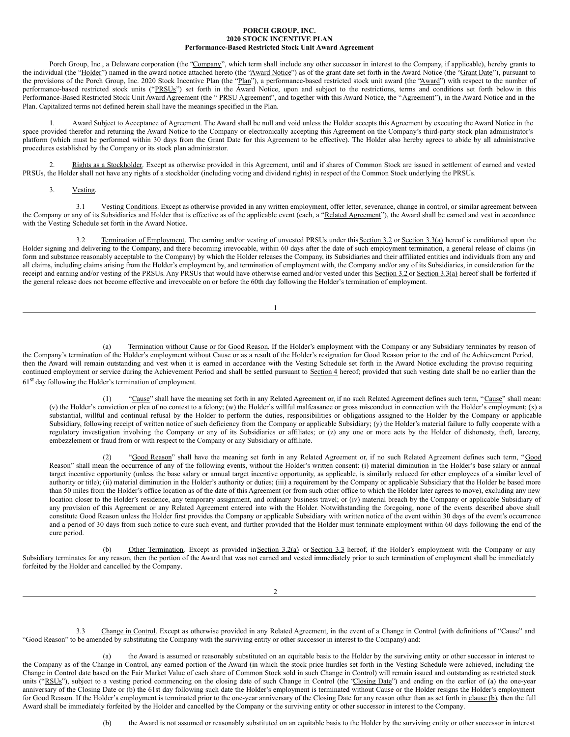#### **PORCH GROUP, INC. 2020 STOCK INCENTIVE PLAN Performance-Based Restricted Stock Unit Award Agreement**

Porch Group, Inc., a Delaware corporation (the "Company", which term shall include any other successor in interest to the Company, if applicable), hereby grants to the individual (the "Holder") named in the award notice attached hereto (the "Award Notice") as of the grant date set forth in the Award Notice (the "Grant Date"), pursuant to the provisions of the Porch Group, Inc. 2020 Stock Incentive Plan (the "Plan"), a performance-based restricted stock unit award (the "Award") with respect to the number of performance-based restricted stock units ("PRSUs") set forth in the Award Notice, upon and subject to the restrictions, terms and conditions set forth below in this Performance-Based Restricted Stock Unit Award Agreement (the "PRSU Agreement", and together with this Award Notice, the "Agreement"), in the Award Notice and in the Plan. Capitalized terms not defined herein shall have the meanings specified in the Plan.

1. Award Subject to Acceptance of Agreement. The Award shall be null and void unless the Holder accepts this Agreement by executing the Award Notice in the space provided therefor and returning the Award Notice to the Company or electronically accepting this Agreement on the Company's third-party stock plan administrator's platform (which must be performed within 30 days from the Grant Date for this Agreement to be effective). The Holder also hereby agrees to abide by all administrative procedures established by the Company or its stock plan administrator.

2. Rights as a Stockholder. Except as otherwise provided in this Agreement, until and if shares of Common Stock are issued in settlement of earned and vested PRSUs, the Holder shall not have any rights of a stockholder (including voting and dividend rights) in respect of the Common Stock underlying the PRSUs.

3. Vesting.

3.1 Vesting Conditions. Except as otherwise provided in any written employment, offer letter, severance, change in control, or similar agreement between the Company or any of its Subsidiaries and Holder that is effective as of the applicable event (each, a "Related Agreement"), the Award shall be earned and vest in accordance with the Vesting Schedule set forth in the Award Notice.

3.2 Termination of Employment. The earning and/or vesting of unvested PRSUs under this Section 3.2 or Section 3.3(a) hereof is conditioned upon the Holder signing and delivering to the Company, and there becoming irrevocable, within 60 days after the date of such employment termination, a general release of claims (in form and substance reasonably acceptable to the Company) by which the Holder releases the Company, its Subsidiaries and their affiliated entities and individuals from any and all claims, including claims arising from the Holder's employment by, and termination of employment with, the Company and/or any of its Subsidiaries, in consideration for the receipt and earning and/or vesting of the PRSUs. Any PRSUs that would have otherwise earned and/or vested under this Section 3.2 or Section 3.3(a) hereof shall be forfeited if the general release does not become effective and irrevocable on or before the 60th day following the Holder's termination of employment.

1

(a) Termination without Cause or for Good Reason. If the Holder's employment with the Company or any Subsidiary terminates by reason of the Company's termination of the Holder's employment without Cause or as a result of the Holder's resignation for Good Reason prior to the end of the Achievement Period, then the Award will remain outstanding and vest when it is earned in accordance with the Vesting Schedule set forth in the Award Notice excluding the proviso requiring continued employment or service during the Achievement Period and shall be settled pursuant to Section 4 hereof; provided that such vesting date shall be no earlier than the 61<sup>st</sup> day following the Holder's termination of employment.

(1) "Cause" shall have the meaning set forth in any Related Agreement or, if no such Related Agreement defines such term, "Cause" shall mean: (v) the Holder's conviction or plea of no contest to a felony; (w) the Holder's willful malfeasance or gross misconduct in connection with the Holder's employment; (x) a substantial, willful and continual refusal by the Holder to perform the duties, responsibilities or obligations assigned to the Holder by the Company or applicable Subsidiary, following receipt of written notice of such deficiency from the Company or applicable Subsidiary; (y) the Holder's material failure to fully cooperate with a regulatory investigation involving the Company or any of its Subsidiaries or affiliates; or (z) any one or more acts by the Holder of dishonesty, theft, larceny, embezzlement or fraud from or with respect to the Company or any Subsidiary or affiliate.

(2) "Good Reason" shall have the meaning set forth in any Related Agreement or, if no such Related Agreement defines such term, "Good Reason" shall mean the occurrence of any of the following events, without the Holder's written consent: (i) material diminution in the Holder's base salary or annual target incentive opportunity (unless the base salary or annual target incentive opportunity, as applicable, is similarly reduced for other employees of a similar level of authority or title); (ii) material diminution in the Holder's authority or duties; (iii) a requirement by the Company or applicable Subsidiary that the Holder be based more than 50 miles from the Holder's office location as of the date of this Agreement (or from such other office to which the Holder later agrees to move), excluding any new location closer to the Holder's residence, any temporary assignment, and ordinary business travel; or (iv) material breach by the Company or applicable Subsidiary of any provision of this Agreement or any Related Agreement entered into with the Holder. Notwithstanding the foregoing, none of the events described above shall constitute Good Reason unless the Holder first provides the Company or applicable Subsidiary with written notice of the event within 30 days of the event's occurrence and a period of 30 days from such notice to cure such event, and further provided that the Holder must terminate employment within 60 days following the end of the cure period.

(b) Other Termination. Except as provided in Section 3.2(a) or Section 3.3 hereof, if the Holder's employment with the Company or any Subsidiary terminates for any reason, then the portion of the Award that was not earned and vested immediately prior to such termination of employment shall be immediately forfeited by the Holder and cancelled by the Company.

2

3.3 Change in Control. Except as otherwise provided in any Related Agreement, in the event of a Change in Control (with definitions of "Cause" and "Good Reason" to be amended by substituting the Company with the surviving entity or other successor in interest to the Company) and:

(a) the Award is assumed or reasonably substituted on an equitable basis to the Holder by the surviving entity or other successor in interest to the Company as of the Change in Control, any earned portion of the Award (in which the stock price hurdles set forth in the Vesting Schedule were achieved, including the Change in Control date based on the Fair Market Value of each share of Common Stock sold in such Change in Control) will remain issued and outstanding as restricted stock units ("RSUs"), subject to a vesting period commencing on the closing date of such Change in Control (the 'Closing Date'') and ending on the earlier of (a) the one-year anniversary of the Closing Date or (b) the 61st day following such date the Holder's employment is terminated without Cause or the Holder resigns the Holder's employment for Good Reason. If the Holder's employment is terminated prior to the one-year anniversary of the Closing Date for any reason other than as set forth in clause (b), then the full Award shall be immediately forfeited by the Holder and cancelled by the Company or the surviving entity or other successor in interest to the Company.

(b) the Award is not assumed or reasonably substituted on an equitable basis to the Holder by the surviving entity or other successor in interest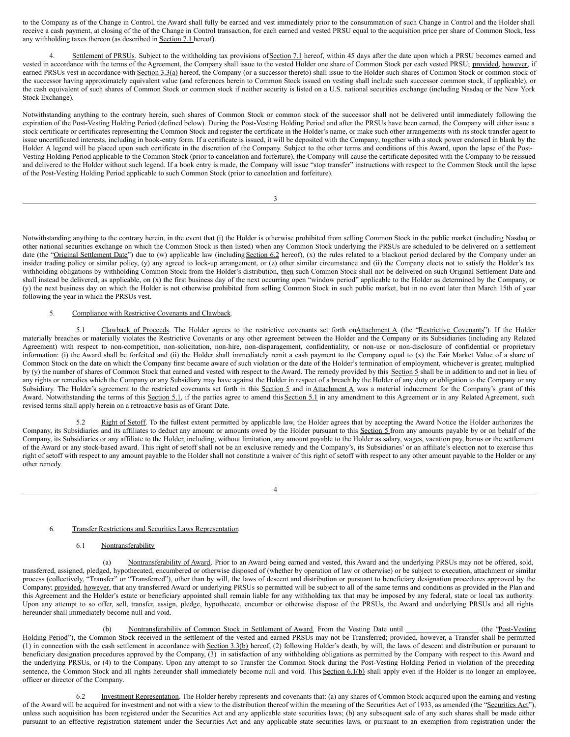to the Company as of the Change in Control, the Award shall fully be earned and vest immediately prior to the consummation of such Change in Control and the Holder shall receive a cash payment, at closing of the of the Change in Control transaction, for each earned and vested PRSU equal to the acquisition price per share of Common Stock, less any withholding taxes thereon (as described in Section 7.1 hereof).

Settlement of PRSUs. Subject to the withholding tax provisions of Section 7.1 hereof, within 45 days after the date upon which a PRSU becomes earned and vested in accordance with the terms of the Agreement, the Company shall issue to the vested Holder one share of Common Stock per each vested PRSU; provided, however, if earned PRSUs vest in accordance with Section 3.3(a) hereof, the Company (or a successor thereto) shall issue to the Holder such shares of Common Stock or common stock of the successor having approximately equivalent value (and references herein to Common Stock issued on vesting shall include such successor common stock, if applicable), or the cash equivalent of such shares of Common Stock or common stock if neither security is listed on a U.S. national securities exchange (including Nasdaq or the New York Stock Exchange).

Notwithstanding anything to the contrary herein, such shares of Common Stock or common stock of the successor shall not be delivered until immediately following the expiration of the Post-Vesting Holding Period (defined below). During the Post-Vesting Holding Period and after the PRSUs have been earned, the Company will either issue a stock certificate or certificates representing the Common Stock and register the certificate in the Holder's name, or make such other arrangements with its stock transfer agent to issue uncertificated interests, including in book-entry form. If a certificate is issued, it will be deposited with the Company, together with a stock power endorsed in blank by the Holder. A legend will be placed upon such certificate in the discretion of the Company. Subject to the other terms and conditions of this Award, upon the lapse of the Post-Vesting Holding Period applicable to the Common Stock (prior to cancelation and forfeiture), the Company will cause the certificate deposited with the Company to be reissued and delivered to the Holder without such legend. If a book entry is made, the Company will issue "stop transfer" instructions with respect to the Common Stock until the lapse of the Post-Vesting Holding Period applicable to such Common Stock (prior to cancelation and forfeiture).

3

Notwithstanding anything to the contrary herein, in the event that (i) the Holder is otherwise prohibited from selling Common Stock in the public market (including Nasdaq or other national securities exchange on which the Common Stock is then listed) when any Common Stock underlying the PRSUs are scheduled to be delivered on a settlement date (the "Original Settlement Date") due to (w) applicable law (including Section 6.2 hereof), (x) the rules related to a blackout period declared by the Company under an insider trading policy or similar policy, (y) any agreed to lock-up arrangement, or (z) other similar circumstance and (ii) the Company elects not to satisfy the Holder's tax withholding obligations by withholding Common Stock from the Holder's distribution, then such Common Stock shall not be delivered on such Original Settlement Date and shall instead be delivered, as applicable, on (x) the first business day of the next occurring open "window period" applicable to the Holder as determined by the Company, or (y) the next business day on which the Holder is not otherwise prohibited from selling Common Stock in such public market, but in no event later than March 15th of year following the year in which the PRSUs vest.

# 5. Compliance with Restrictive Covenants and Clawback.

5.1 Clawback of Proceeds. The Holder agrees to the restrictive covenants set forth onAttachment A (the "Restrictive Covenants"). If the Holder materially breaches or materially violates the Restrictive Covenants or any other agreement between the Holder and the Company or its Subsidiaries (including any Related Agreement) with respect to non-competition, non-solicitation, non-hire, non-disparagement, confidentiality, or non-use or non-disclosure of confidential or proprietary information: (i) the Award shall be forfeited and (ii) the Holder shall immediately remit a cash payment to the Company equal to (x) the Fair Market Value of a share of Common Stock on the date on which the Company first became aware of such violation or the date of the Holder's termination of employment, whichever is greater, multiplied by (y) the number of shares of Common Stock that earned and vested with respect to the Award. The remedy provided by this Section 5 shall be in addition to and not in lieu of any rights or remedies which the Company or any Subsidiary may have against the Holder in respect of a breach by the Holder of any duty or obligation to the Company or any Subsidiary. The Holder's agreement to the restricted covenants set forth in this Section 5 and in Attachment A was a material inducement for the Company's grant of this Award. Notwithstanding the terms of this Section 5.1, if the parties agree to amend this Section 5.1 in any amendment to this Agreement or in any Related Agreement, such revised terms shall apply herein on a retroactive basis as of Grant Date.

5.2 Right of Setoff. To the fullest extent permitted by applicable law, the Holder agrees that by accepting the Award Notice the Holder authorizes the Company, its Subsidiaries and its affiliates to deduct any amount or amounts owed by the Holder pursuant to this Section 5 from any amounts payable by or on behalf of the Company, its Subsidiaries or any affiliate to the Holder, including, without limitation, any amount payable to the Holder as salary, wages, vacation pay, bonus or the settlement of the Award or any stock-based award. This right of setoff shall not be an exclusive remedy and the Company's, its Subsidiaries' or an affiliate's election not to exercise this right of setoff with respect to any amount payable to the Holder shall not constitute a waiver of this right of setoff with respect to any other amount payable to the Holder or any other remedy.

4

### 6. Transfer Restrictions and Securities Laws Representation.

6.1 Nontransferability

(a) Nontransferability of Award. Prior to an Award being earned and vested, this Award and the underlying PRSUs may not be offered, sold, transferred, assigned, pledged, hypothecated, encumbered or otherwise disposed of (whether by operation of law or otherwise) or be subject to execution, attachment or similar process (collectively, "Transfer" or "Transferred"), other than by will, the laws of descent and distribution or pursuant to beneficiary designation procedures approved by the Company; provided, however, that any transferred Award or underlying PRSUs so permitted will be subject to all of the same terms and conditions as provided in the Plan and this Agreement and the Holder's estate or beneficiary appointed shall remain liable for any withholding tax that may be imposed by any federal, state or local tax authority. Upon any attempt to so offer, sell, transfer, assign, pledge, hypothecate, encumber or otherwise dispose of the PRSUs, the Award and underlying PRSUs and all rights hereunder shall immediately become null and void.

(b) Nontransferability of Common Stock in Settlement of Award. From the Vesting Date until \_\_\_\_\_\_\_\_\_\_\_\_\_\_\_\_\_ (the "Post-Vesting Holding Period"), the Common Stock received in the settlement of the vested and earned PRSUs may not be Transferred; provided, however, a Transfer shall be permitted (1) in connection with the cash settlement in accordance with Section 3.3(b) hereof, (2) following Holder's death, by will, the laws of descent and distribution or pursuant to beneficiary designation procedures approved by the Company, (3) in satisfaction of any withholding obligations as permitted by the Company with respect to this Award and the underlying PRSUs, or (4) to the Company. Upon any attempt to so Transfer the Common Stock during the Post-Vesting Holding Period in violation of the preceding sentence, the Common Stock and all rights hereunder shall immediately become null and void. This Section 6.1(b) shall apply even if the Holder is no longer an employee, officer or director of the Company.

6.2 Investment Representation. The Holder hereby represents and covenants that: (a) any shares of Common Stock acquired upon the earning and vesting of the Award will be acquired for investment and not with a view to the distribution thereof within the meaning of the Securities Act of 1933, as amended (the "Securities Act"), unless such acquisition has been registered under the Securities Act and any applicable state securities laws; (b) any subsequent sale of any such shares shall be made either pursuant to an effective registration statement under the Securities Act and any applicable state securities laws, or pursuant to an exemption from registration under the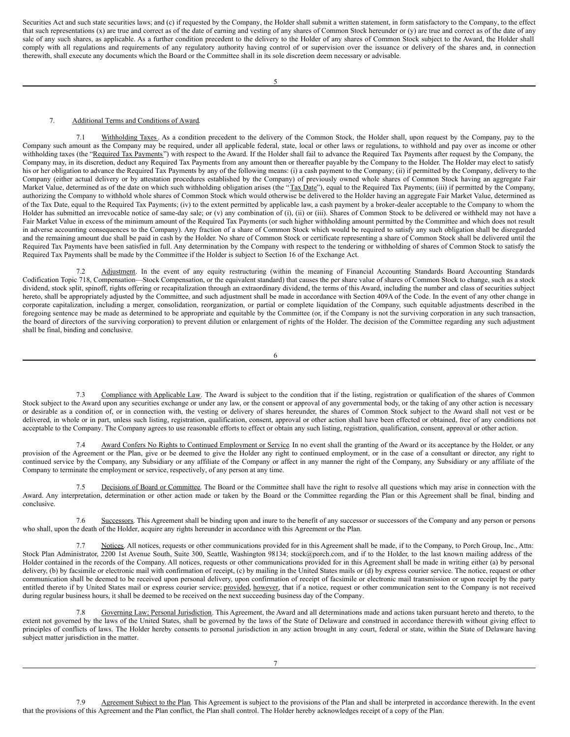<span id="page-6-0"></span>Securities Act and such state securities laws; and (c) if requested by the Company, the Holder shall submit a written statement, in form satisfactory to the Company, to the effect that such representations (x) are true and correct as of the date of earning and vesting of any shares of Common Stock hereunder or (y) are true and correct as of the date of any sale of any such shares, as applicable. As a further condition precedent to the delivery to the Holder of any shares of Common Stock subject to the Award, the Holder shall comply with all regulations and requirements of any regulatory authority having control of or supervision over the issuance or delivery of the shares and, in connection therewith, shall execute any documents which the Board or the Committee shall in its sole discretion deem necessary or advisable.

### 7. Additional Terms and Conditions of Award.

7.1 Withholding Taxes. As a condition precedent to the delivery of the Common Stock, the Holder shall, upon request by the Company, pay to the Company such amount as the Company may be required, under all applicable federal, state, local or other laws or regulations, to withhold and pay over as income or other withholding taxes (the "Required Tax Payments") with respect to the Award. If the Holder shall fail to advance the Required Tax Payments after request by the Company, the Company may, in its discretion, deduct any Required Tax Payments from any amount then or thereafter payable by the Company to the Holder. The Holder may elect to satisfy his or her obligation to advance the Required Tax Payments by any of the following means: (i) a cash payment to the Company; (ii) if permitted by the Company, delivery to the Company (either actual delivery or by attestation procedures established by the Company) of previously owned whole shares of Common Stock having an aggregate Fair Market Value, determined as of the date on which such withholding obligation arises (the "Tax Date"), equal to the Required Tax Payments; (iii) if permitted by the Company, authorizing the Company to withhold whole shares of Common Stock which would otherwise be delivered to the Holder having an aggregate Fair Market Value, determined as of the Tax Date, equal to the Required Tax Payments; (iv) to the extent permitted by applicable law, a cash payment by a broker-dealer acceptable to the Company to whom the Holder has submitted an irrevocable notice of same-day sale; or (v) any combination of (i), (ii) or (iii). Shares of Common Stock to be delivered or withheld may not have a Fair Market Value in excess of the minimum amount of the Required Tax Payments (or such higher withholding amount permitted by the Committee and which does not result in adverse accounting consequences to the Company). Any fraction of a share of Common Stock which would be required to satisfy any such obligation shall be disregarded and the remaining amount due shall be paid in cash by the Holder. No share of Common Stock or certificate representing a share of Common Stock shall be delivered until the Required Tax Payments have been satisfied in full. Any determination by the Company with respect to the tendering or withholding of shares of Common Stock to satisfy the Required Tax Payments shall be made by the Committee if the Holder is subject to Section 16 of the Exchange Act.

7.2 Adjustment. In the event of any equity restructuring (within the meaning of Financial Accounting Standards Board Accounting Standards Codification Topic 718, Compensation—Stock Compensation, or the equivalent standard) that causes the per share value of shares of Common Stock to change, such as a stock dividend, stock split, spinoff, rights offering or recapitalization through an extraordinary dividend, the terms of this Award, including the number and class of securities subject hereto, shall be appropriately adjusted by the Committee, and such adjustment shall be made in accordance with Section 409A of the Code. In the event of any other change in corporate capitalization, including a merger, consolidation, reorganization, or partial or complete liquidation of the Company, such equitable adjustments described in the foregoing sentence may be made as determined to be appropriate and equitable by the Committee (or, if the Company is not the surviving corporation in any such transaction, the board of directors of the surviving corporation) to prevent dilution or enlargement of rights of the Holder. The decision of the Committee regarding any such adjustment shall be final, binding and conclusive.

6

7.3 Compliance with Applicable Law. The Award is subject to the condition that if the listing, registration or qualification of the shares of Common Stock subject to the Award upon any securities exchange or under any law, or the consent or approval of any governmental body, or the taking of any other action is necessary or desirable as a condition of, or in connection with, the vesting or delivery of shares hereunder, the shares of Common Stock subject to the Award shall not vest or be delivered, in whole or in part, unless such listing, registration, qualification, consent, approval or other action shall have been effected or obtained, free of any conditions not acceptable to the Company. The Company agrees to use reasonable efforts to effect or obtain any such listing, registration, qualification, consent, approval or other action.

Award Confers No Rights to Continued Employment or Service. In no event shall the granting of the Award or its acceptance by the Holder, or any provision of the Agreement or the Plan, give or be deemed to give the Holder any right to continued employment, or in the case of a consultant or director, any right to continued service by the Company, any Subsidiary or any affiliate of the Company or affect in any manner the right of the Company, any Subsidiary or any affiliate of the Company to terminate the employment or service, respectively, of any person at any time.

7.5 Decisions of Board or Committee. The Board or the Committee shall have the right to resolve all questions which may arise in connection with the Award. Any interpretation, determination or other action made or taken by the Board or the Committee regarding the Plan or this Agreement shall be final, binding and conclusive.

7.6 Successors. This Agreement shall be binding upon and inure to the benefit of any successor or successors of the Company and any person or persons who shall, upon the death of the Holder, acquire any rights hereunder in accordance with this Agreement or the Plan.

7.7 Notices. All notices, requests or other communications provided for in this Agreement shall be made, if to the Company, to Porch Group, Inc., Attn: Stock Plan Administrator, 2200 1st Avenue South, Suite 300, Seattle, Washington 98134; stock@porch.com, and if to the Holder, to the last known mailing address of the Holder contained in the records of the Company. All notices, requests or other communications provided for in this Agreement shall be made in writing either (a) by personal delivery, (b) by facsimile or electronic mail with confirmation of receipt, (c) by mailing in the United States mails or (d) by express courier service. The notice, request or other communication shall be deemed to be received upon personal delivery, upon confirmation of receipt of facsimile or electronic mail transmission or upon receipt by the party entitled thereto if by United States mail or express courier service; provided, however, that if a notice, request or other communication sent to the Company is not received during regular business hours, it shall be deemed to be received on the next succeeding business day of the Company.

7.8 Governing Law; Personal Jurisdiction. This Agreement, the Award and all determinations made and actions taken pursuant hereto and thereto, to the extent not governed by the laws of the United States, shall be governed by the laws of the State of Delaware and construed in accordance therewith without giving effect to principles of conflicts of laws. The Holder hereby consents to personal jurisdiction in any action brought in any court, federal or state, within the State of Delaware having subject matter jurisdiction in the matter.

7.9 Agreement Subject to the Plan. This Agreement is subject to the provisions of the Plan and shall be interpreted in accordance therewith. In the event that the provisions of this Agreement and the Plan conflict, the Plan shall control. The Holder hereby acknowledges receipt of a copy of the Plan.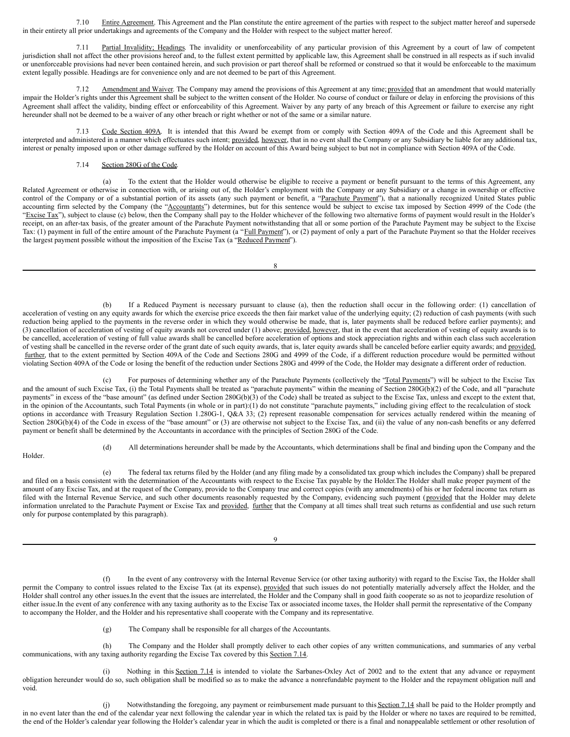7.10 Entire Agreement. This Agreement and the Plan constitute the entire agreement of the parties with respect to the subject matter hereof and supersede in their entirety all prior undertakings and agreements of the Company and the Holder with respect to the subject matter hereof.

7.11 Partial Invalidity; Headings. The invalidity or unenforceability of any particular provision of this Agreement by a court of law of competent jurisdiction shall not affect the other provisions hereof and, to the fullest extent permitted by applicable law, this Agreement shall be construed in all respects as if such invalid or unenforceable provisions had never been contained herein, and such provision or part thereof shall be reformed or construed so that it would be enforceable to the maximum extent legally possible. Headings are for convenience only and are not deemed to be part of this Agreement.

7.12 Amendment and Waiver. The Company may amend the provisions of this Agreement at any time; provided that an amendment that would materially impair the Holder's rights under this Agreement shall be subject to the written consent of the Holder. No course of conduct or failure or delay in enforcing the provisions of this Agreement shall affect the validity, binding effect or enforceability of this Agreement. Waiver by any party of any breach of this Agreement or failure to exercise any right hereunder shall not be deemed to be a waiver of any other breach or right whether or not of the same or a similar nature.

7.13 Code Section 409A. It is intended that this Award be exempt from or comply with Section 409A of the Code and this Agreement shall be interpreted and administered in a manner which effectuates such intent; provided, however, that in no event shall the Company or any Subsidiary be liable for any additional tax, interest or penalty imposed upon or other damage suffered by the Holder on account of this Award being subject to but not in compliance with Section 409A of the Code.

## 7.14 Section 280G of the Code.

(a) To the extent that the Holder would otherwise be eligible to receive a payment or benefit pursuant to the terms of this Agreement, any Related Agreement or otherwise in connection with, or arising out of, the Holder's employment with the Company or any Subsidiary or a change in ownership or effective control of the Company or of a substantial portion of its assets (any such payment or benefit, a "Parachute Payment"), that a nationally recognized United States public accounting firm selected by the Company (the "Accountants") determines, but for this sentence would be subject to excise tax imposed by Section 4999 of the Code (the "Excise Tax"), subject to clause (c) below, then the Company shall pay to the Holder whichever of the following two alternative forms of payment would result in the Holder's receipt, on an after-tax basis, of the greater amount of the Parachute Payment notwithstanding that all or some portion of the Parachute Payment may be subject to the Excise Tax: (1) payment in full of the entire amount of the Parachute Payment (a "Full Payment"), or (2) payment of only a part of the Parachute Payment so that the Holder receives the largest payment possible without the imposition of the Excise Tax (a "Reduced Payment").

8

(b) If a Reduced Payment is necessary pursuant to clause (a), then the reduction shall occur in the following order: (1) cancellation of acceleration of vesting on any equity awards for which the exercise price exceeds the then fair market value of the underlying equity; (2) reduction of cash payments (with such reduction being applied to the payments in the reverse order in which they would otherwise be made, that is, later payments shall be reduced before earlier payments); and (3) cancellation of acceleration of vesting of equity awards not covered under (1) above; provided, however, that in the event that acceleration of vesting of equity awards is to be cancelled, acceleration of vesting of full value awards shall be cancelled before acceleration of options and stock appreciation rights and within each class such acceleration of vesting shall be cancelled in the reverse order of the grant date of such equity awards, that is, later equity awards shall be canceled before earlier equity awards; and provided, further, that to the extent permitted by Section 409A of the Code and Sections 280G and 4999 of the Code, if a different reduction procedure would be permitted without violating Section 409A of the Code or losing the benefit of the reduction under Sections 280G and 4999 of the Code, the Holder may designate a different order of reduction.

(c) For purposes of determining whether any of the Parachute Payments (collectively the "Total Payments") will be subject to the Excise Tax and the amount of such Excise Tax, (i) the Total Payments shall be treated as "parachute payments" within the meaning of Section 280G(b)(2) of the Code, and all "parachute payments" in excess of the "base amount" (as defined under Section 280G(b)(3) of the Code) shall be treated as subject to the Excise Tax, unless and except to the extent that, in the opinion of the Accountants, such Total Payments (in whole or in part):(1) do not constitute "parachute payments," including giving effect to the recalculation of stock options in accordance with Treasury Regulation Section 1.280G-1, Q&A 33; (2) represent reasonable compensation for services actually rendered within the meaning of Section 280G(b)(4) of the Code in excess of the "base amount" or (3) are otherwise not subject to the Excise Tax, and (ii) the value of any non-cash benefits or any deferred payment or benefit shall be determined by the Accountants in accordance with the principles of Section 280G of the Code.

Holder.

(d) All determinations hereunder shall be made by the Accountants, which determinations shall be final and binding upon the Company and the

(e) The federal tax returns filed by the Holder (and any filing made by a consolidated tax group which includes the Company) shall be prepared and filed on a basis consistent with the determination of the Accountants with respect to the Excise Tax payable by the Holder. The Holder shall make proper payment of the amount of any Excise Tax, and at the request of the Company, provide to the Company true and correct copies (with any amendments) of his or her federal income tax return as filed with the Internal Revenue Service, and such other documents reasonably requested by the Company, evidencing such payment (provided that the Holder may delete information unrelated to the Parachute Payment or Excise Tax and provided, further that the Company at all times shall treat such returns as confidential and use such return only for purpose contemplated by this paragraph).

9

(f) In the event of any controversy with the Internal Revenue Service (or other taxing authority) with regard to the Excise Tax, the Holder shall permit the Company to control issues related to the Excise Tax (at its expense), provided that such issues do not potentially materially adversely affect the Holder, and the Holder shall control any other issues.In the event that the issues are interrelated, the Holder and the Company shall in good faith cooperate so as not to jeopardize resolution of either issue.In the event of any conference with any taxing authority as to the Excise Tax or associated income taxes, the Holder shall permit the representative of the Company to accompany the Holder, and the Holder and his representative shall cooperate with the Company and its representative.

(g) The Company shall be responsible for all charges of the Accountants.

(h) The Company and the Holder shall promptly deliver to each other copies of any written communications, and summaries of any verbal communications, with any taxing authority regarding the Excise Tax covered by this Section 7.14.

(i) Nothing in this Section 7.14 is intended to violate the Sarbanes-Oxley Act of 2002 and to the extent that any advance or repayment obligation hereunder would do so, such obligation shall be modified so as to make the advance a nonrefundable payment to the Holder and the repayment obligation null and void.

(j) Notwithstanding the foregoing, any payment or reimbursement made pursuant to this Section 7.14 shall be paid to the Holder promptly and in no event later than the end of the calendar year next following the calendar year in which the related tax is paid by the Holder or where no taxes are required to be remitted, the end of the Holder's calendar year following the Holder's calendar year in which the audit is completed or there is a final and nonappealable settlement or other resolution of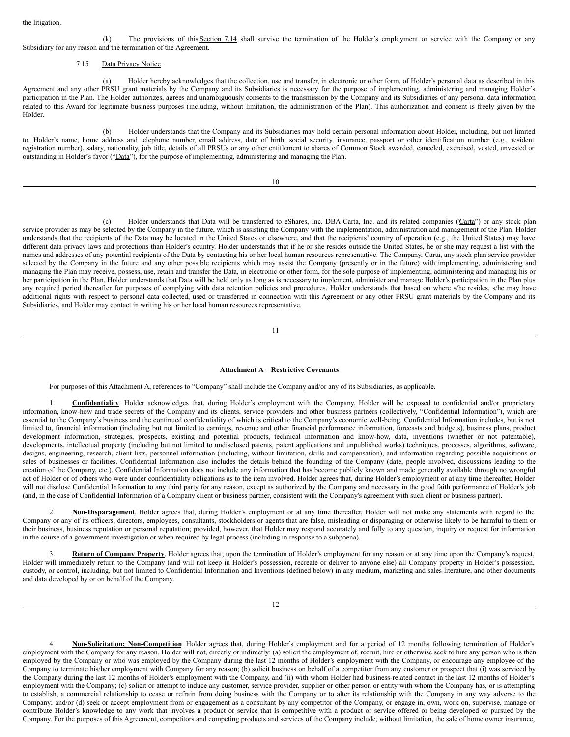(k) The provisions of this Section 7.14 shall survive the termination of the Holder's employment or service with the Company or any Subsidiary for any reason and the termination of the Agreement.

#### 7.15 Data Privacy Notice.

(a) Holder hereby acknowledges that the collection, use and transfer, in electronic or other form, of Holder's personal data as described in this Agreement and any other PRSU grant materials by the Company and its Subsidiaries is necessary for the purpose of implementing, administering and managing Holder's participation in the Plan. The Holder authorizes, agrees and unambiguously consents to the transmission by the Company and its Subsidiaries of any personal data information related to this Award for legitimate business purposes (including, without limitation, the administration of the Plan). This authorization and consent is freely given by the Holder.

(b) Holder understands that the Company and its Subsidiaries may hold certain personal information about Holder, including, but not limited to, Holder's name, home address and telephone number, email address, date of birth, social security, insurance, passport or other identification number (e.g., resident registration number), salary, nationality, job title, details of all PRSUs or any other entitlement to shares of Common Stock awarded, canceled, exercised, vested, unvested or outstanding in Holder's favor ("Data"), for the purpose of implementing, administering and managing the Plan.

10

(c) Holder understands that Data will be transferred to eShares, Inc. DBA Carta, Inc. and its related companies (Carta") or any stock plan service provider as may be selected by the Company in the future, which is assisting the Company with the implementation, administration and management of the Plan. Holder understands that the recipients of the Data may be located in the United States or elsewhere, and that the recipients' country of operation (e.g., the United States) may have different data privacy laws and protections than Holder's country. Holder understands that if he or she resides outside the United States, he or she may request a list with the names and addresses of any potential recipients of the Data by contacting his or her local human resources representative. The Company, Carta, any stock plan service provider selected by the Company in the future and any other possible recipients which may assist the Company (presently or in the future) with implementing, administering and managing the Plan may receive, possess, use, retain and transfer the Data, in electronic or other form, for the sole purpose of implementing, administering and managing his or her participation in the Plan. Holder understands that Data will be held only as long as is necessary to implement, administer and manage Holder's participation in the Plan plus any required period thereafter for purposes of complying with data retention policies and procedures. Holder understands that based on where s/he resides, s/he may have additional rights with respect to personal data collected, used or transferred in connection with this Agreement or any other PRSU grant materials by the Company and its Subsidiaries, and Holder may contact in writing his or her local human resources representative.

11

#### **Attachment A – Restrictive Covenants**

For purposes of this Attachment A, references to "Company" shall include the Company and/or any of its Subsidiaries, as applicable.

1. **Confidentiality**. Holder acknowledges that, during Holder's employment with the Company, Holder will be exposed to confidential and/or proprietary information, know-how and trade secrets of the Company and its clients, service providers and other business partners (collectively, "Confidential Information"), which are essential to the Company's business and the continued confidentiality of which is critical to the Company's economic well-being. Confidential Information includes, but is not limited to, financial information (including but not limited to earnings, revenue and other financial performance information, forecasts and budgets), business plans, product development information, strategies, prospects, existing and potential products, technical information and know-how, data, inventions (whether or not patentable), developments, intellectual property (including but not limited to undisclosed patents, patent applications and unpublished works) techniques, processes, algorithms, software, designs, engineering, research, client lists, personnel information (including, without limitation, skills and compensation), and information regarding possible acquisitions or sales of businesses or facilities. Confidential Information also includes the details behind the founding of the Company (date, people involved, discussions leading to the creation of the Company, etc.). Confidential Information does not include any information that has become publicly known and made generally available through no wrongful act of Holder or of others who were under confidentiality obligations as to the item involved. Holder agrees that, during Holder's employment or at any time thereafter, Holder will not disclose Confidential Information to any third party for any reason, except as authorized by the Company and necessary in the good faith performance of Holder's job (and, in the case of Confidential Information of a Company client or business partner, consistent with the Company's agreement with such client or business partner).

2. **Non-Disparagement**. Holder agrees that, during Holder's employment or at any time thereafter, Holder will not make any statements with regard to the Company or any of its officers, directors, employees, consultants, stockholders or agents that are false, misleading or disparaging or otherwise likely to be harmful to them or their business, business reputation or personal reputation; provided, however, that Holder may respond accurately and fully to any question, inquiry or request for information in the course of a government investigation or when required by legal process (including in response to a subpoena).

Return of Company Property. Holder agrees that, upon the termination of Holder's employment for any reason or at any time upon the Company's request, Holder will immediately return to the Company (and will not keep in Holder's possession, recreate or deliver to anyone else) all Company property in Holder's possession, custody, or control, including, but not limited to Confidential Information and Inventions (defined below) in any medium, marketing and sales literature, and other documents and data developed by or on behalf of the Company.

4. **Non-Solicitation; Non-Competition**. Holder agrees that, during Holder's employment and for a period of 12 months following termination of Holder's employment with the Company for any reason, Holder will not, directly or indirectly: (a) solicit the employment of, recruit, hire or otherwise seek to hire any person who is then employed by the Company or who was employed by the Company during the last 12 months of Holder's employment with the Company, or encourage any employee of the Company to terminate his/her employment with Company for any reason; (b) solicit business on behalf of a competitor from any customer or prospect that (i) was serviced by the Company during the last 12 months of Holder's employment with the Company, and (ii) with whom Holder had business-related contact in the last 12 months of Holder's employment with the Company; (c) solicit or attempt to induce any customer, service provider, supplier or other person or entity with whom the Company has, or is attempting to establish, a commercial relationship to cease or refrain from doing business with the Company or to alter its relationship with the Company in any way adverse to the Company; and/or (d) seek or accept employment from or engagement as a consultant by any competitor of the Company, or engage in, own, work on, supervise, manage or contribute Holder's knowledge to any work that involves a product or service that is competitive with a product or service offered or being developed or pursued by the Company. For the purposes of this Agreement, competitors and competing products and services of the Company include, without limitation, the sale of home owner insurance,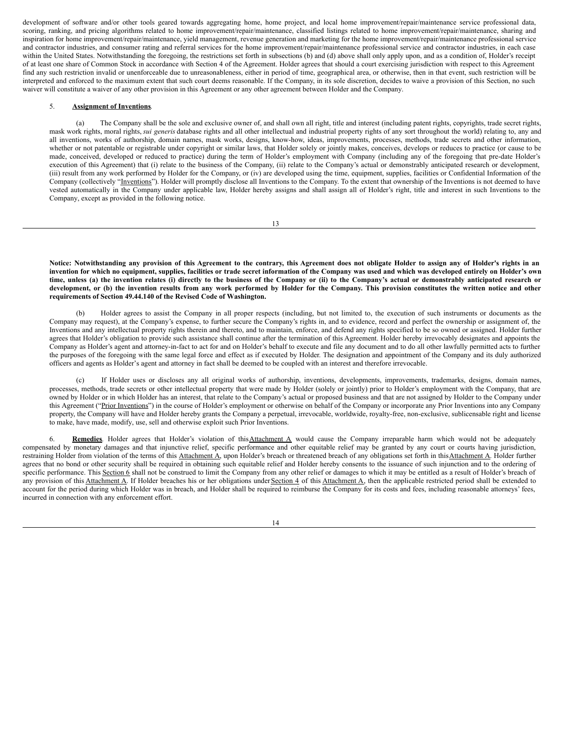development of software and/or other tools geared towards aggregating home, home project, and local home improvement/repair/maintenance service professional data, scoring, ranking, and pricing algorithms related to home improvement/repair/maintenance, classified listings related to home improvement/repair/maintenance, sharing and inspiration for home improvement/repair/maintenance, yield management, revenue generation and marketing for the home improvement/repair/maintenance professional service and contractor industries, and consumer rating and referral services for the home improvement/repair/maintenance professional service and contractor industries, in each case within the United States. Notwithstanding the foregoing, the restrictions set forth in subsections (b) and (d) above shall only apply upon, and as a condition of, Holder's receipt of at least one share of Common Stock in accordance with Section 4 of the Agreement. Holder agrees that should a court exercising jurisdiction with respect to this Agreement find any such restriction invalid or unenforceable due to unreasonableness, either in period of time, geographical area, or otherwise, then in that event, such restriction will be interpreted and enforced to the maximum extent that such court deems reasonable. If the Company, in its sole discretion, decides to waive a provision of this Section, no such waiver will constitute a waiver of any other provision in this Agreement or any other agreement between Holder and the Company.

#### 5. **Assignment of Inventions**.

(a) The Company shall be the sole and exclusive owner of, and shall own all right, title and interest (including patent rights, copyrights, trade secret rights, mask work rights, moral rights, *sui generis* database rights and all other intellectual and industrial property rights of any sort throughout the world) relating to, any and all inventions, works of authorship, domain names, mask works, designs, know-how, ideas, improvements, processes, methods, trade secrets and other information, whether or not patentable or registrable under copyright or similar laws, that Holder solely or jointly makes, conceives, develops or reduces to practice (or cause to be made, conceived, developed or reduced to practice) during the term of Holder's employment with Company (including any of the foregoing that pre-date Holder's execution of this Agreement) that (i) relate to the business of the Company, (ii) relate to the Company's actual or demonstrably anticipated research or development, (iii) result from any work performed by Holder for the Company, or (iv) are developed using the time, equipment, supplies, facilities or Confidential Information of the Company (collectively "Inventions"). Holder will promptly disclose all Inventions to the Company. To the extent that ownership of the Inventions is not deemed to have vested automatically in the Company under applicable law, Holder hereby assigns and shall assign all of Holder's right, title and interest in such Inventions to the Company, except as provided in the following notice.

Notice: Notwithstanding any provision of this Agreement to the contrary, this Agreement does not obligate Holder to assign any of Holder's rights in an invention for which no equipment, supplies, facilities or trade secret information of the Company was used and which was developed entirely on Holder's own time, unless (a) the invention relates (i) directly to the business of the Company or (ii) to the Company's actual or demonstrably anticipated research or development, or (b) the invention results from any work performed by Holder for the Company. This provision constitutes the written notice and other **requirements of Section 49.44.140 of the Revised Code of Washington.**

(b) Holder agrees to assist the Company in all proper respects (including, but not limited to, the execution of such instruments or documents as the Company may request), at the Company's expense, to further secure the Company's rights in, and to evidence, record and perfect the ownership or assignment of, the Inventions and any intellectual property rights therein and thereto, and to maintain, enforce, and defend any rights specified to be so owned or assigned. Holder further agrees that Holder's obligation to provide such assistance shall continue after the termination of this Agreement. Holder hereby irrevocably designates and appoints the Company as Holder's agent and attorney-in-fact to act for and on Holder's behalf to execute and file any document and to do all other lawfully permitted acts to further the purposes of the foregoing with the same legal force and effect as if executed by Holder. The designation and appointment of the Company and its duly authorized officers and agents as Holder's agent and attorney in fact shall be deemed to be coupled with an interest and therefore irrevocable.

(c) If Holder uses or discloses any all original works of authorship, inventions, developments, improvements, trademarks, designs, domain names, processes, methods, trade secrets or other intellectual property that were made by Holder (solely or jointly) prior to Holder's employment with the Company, that are owned by Holder or in which Holder has an interest, that relate to the Company's actual or proposed business and that are not assigned by Holder to the Company under this Agreement ("Prior Inventions") in the course of Holder's employment or otherwise on behalf of the Company or incorporate any Prior Inventions into any Company property, the Company will have and Holder hereby grants the Company a perpetual, irrevocable, worldwide, royalty-free, non-exclusive, sublicensable right and license to make, have made, modify, use, sell and otherwise exploit such Prior Inventions.

6. Remedies. Holder agrees that Holder's violation of this Attachment A would cause the Company irreparable harm which would not be adequately compensated by monetary damages and that injunctive relief, specific performance and other equitable relief may be granted by any court or courts having jurisdiction, restraining Holder from violation of the terms of this Attachment A, upon Holder's breach or threatened breach of any obligations set forth in this Attachment A. Holder further agrees that no bond or other security shall be required in obtaining such equitable relief and Holder hereby consents to the issuance of such injunction and to the ordering of specific performance. This Section 6 shall not be construed to limit the Company from any other relief or damages to which it may be entitled as a result of Holder's breach of any provision of this Attachment A. If Holder breaches his or her obligations under Section 4 of this Attachment A, then the applicable restricted period shall be extended to account for the period during which Holder was in breach, and Holder shall be required to reimburse the Company for its costs and fees, including reasonable attorneys' fees, incurred in connection with any enforcement effort.

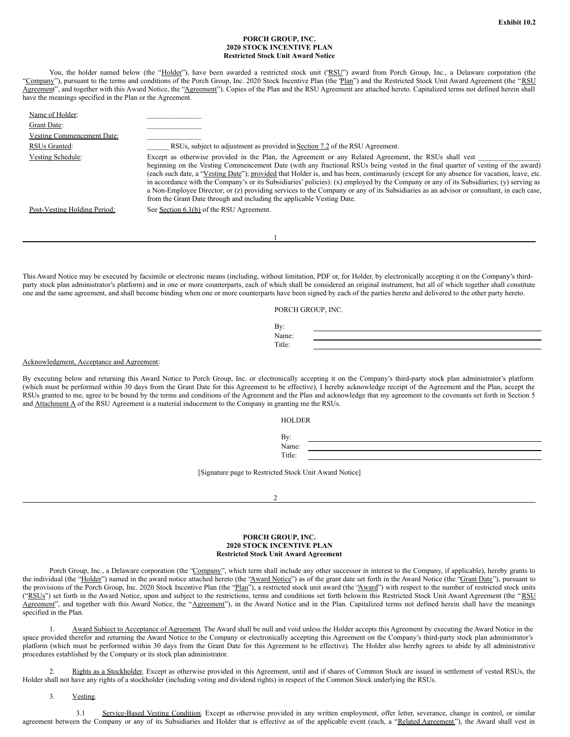### **PORCH GROUP, INC. 2020 STOCK INCENTIVE PLAN Restricted Stock Unit Award Notice**

You, the holder named below (the "Holder"), have been awarded a restricted stock unit ('RSU") award from Porch Group, Inc., a Delaware corporation (the "Company"), pursuant to the terms and conditions of the Porch Group, Inc. 2020 Stock Incentive Plan (the "Plan") and the Restricted Stock Unit Award Agreement (the "RSU Agreement", and together with this Award Notice, the "Agreement"). Copies of the Plan and the RSU Agreement are attached hereto. Capitalized terms not defined herein shall have the meanings specified in the Plan or the Agreement.

| Name of Holder:              |                                                                                                                                                                                                                                                                                                                                                                                                                                                                                                                                                                                                                                                                                                                                                           |
|------------------------------|-----------------------------------------------------------------------------------------------------------------------------------------------------------------------------------------------------------------------------------------------------------------------------------------------------------------------------------------------------------------------------------------------------------------------------------------------------------------------------------------------------------------------------------------------------------------------------------------------------------------------------------------------------------------------------------------------------------------------------------------------------------|
| Grant Date:                  |                                                                                                                                                                                                                                                                                                                                                                                                                                                                                                                                                                                                                                                                                                                                                           |
| Vesting Commencement Date:   |                                                                                                                                                                                                                                                                                                                                                                                                                                                                                                                                                                                                                                                                                                                                                           |
| RSUs Granted:                | RSUs, subject to adjustment as provided in Section 7.2 of the RSU Agreement.                                                                                                                                                                                                                                                                                                                                                                                                                                                                                                                                                                                                                                                                              |
| Vesting Schedule:            | Except as otherwise provided in the Plan, the Agreement or any Related Agreement, the RSUs shall vest<br>beginning on the Vesting Commencement Date (with any fractional RSUs being vested in the final quarter of vesting of the award)<br>(each such date, a "Vesting Date"); provided that Holder is, and has been, continuously (except for any absence for vacation, leave, etc.<br>in accordance with the Company's or its Subsidiaries' policies): $(x)$ employed by the Company or any of its Subsidiaries; $(y)$ serving as<br>a Non-Employee Director; or (z) providing services to the Company or any of its Subsidiaries as an advisor or consultant, in each case,<br>from the Grant Date through and including the applicable Vesting Date. |
| Post-Vesting Holding Period: | See Section 6.1(b) of the RSU Agreement.                                                                                                                                                                                                                                                                                                                                                                                                                                                                                                                                                                                                                                                                                                                  |
|                              |                                                                                                                                                                                                                                                                                                                                                                                                                                                                                                                                                                                                                                                                                                                                                           |

This Award Notice may be executed by facsimile or electronic means (including, without limitation, PDF or, for Holder, by electronically accepting it on the Company's thirdparty stock plan administrator's platform) and in one or more counterparts, each of which shall be considered an original instrument, but all of which together shall constitute one and the same agreement, and shall become binding when one or more counterparts have been signed by each of the parties hereto and delivered to the other party hereto.

| PORCH GROUP, INC. |  |
|-------------------|--|
|-------------------|--|

| By:    |  |
|--------|--|
| Name:  |  |
| Title: |  |
|        |  |

#### Acknowledgment, Acceptance and Agreement:

By executing below and returning this Award Notice to Porch Group, Inc. or electronically accepting it on the Company's third-party stock plan administrator's platform (which must be performed within 30 days from the Grant Date for this Agreement to be effective), I hereby acknowledge receipt of the Agreement and the Plan, accept the RSUs granted to me, agree to be bound by the terms and conditions of the Agreement and the Plan and acknowledge that my agreement to the covenants set forth in Section 5 and **Attachment A** of the RSU Agreement is a material inducement to the Company in granting me the RSUs.

HOLDER

By: Name: Title:

[Signature page to Restricted Stock Unit Award Notice]

 $\mathfrak{D}$ 

#### **PORCH GROUP, INC. 2020 STOCK INCENTIVE PLAN Restricted Stock Unit Award Agreement**

Porch Group, Inc., a Delaware corporation (the "Company", which term shall include any other successor in interest to the Company, if applicable), hereby grants to the individual (the "Holder") named in the award notice attached hereto (the "Award Notice") as of the grant date set forth in the Award Notice (the "Grant Date"), pursuant to the provisions of the Porch Group, Inc. 2020 Stock Incentive Plan (the "Plan"), a restricted stock unit award (the "Award") with respect to the number of restricted stock units ("RSUs") set forth in the Award Notice, upon and subject to the restrictions, terms and conditions set forth belowin this Restricted Stock Unit Award Agreement (the "RSU Agreement", and together with this Award Notice, the "Agreement"), in the Award Notice and in the Plan. Capitalized terms not defined herein shall have the meanings specified in the Plan.

1. Award Subject to Acceptance of Agreement. The Award shall be null and void unless the Holder accepts this Agreement by executing the Award Notice in the space provided therefor and returning the Award Notice to the Company or electronically accepting this Agreement on the Company's third-party stock plan administrator's platform (which must be performed within 30 days from the Grant Date for this Agreement to be effective). The Holder also hereby agrees to abide by all administrative procedures established by the Company or its stock plan administrator.

2. Rights as a Stockholder. Except as otherwise provided in this Agreement, until and if shares of Common Stock are issued in settlement of vested RSUs, the Holder shall not have any rights of a stockholder (including voting and dividend rights) in respect of the Common Stock underlying the RSUs.

3. Vesting.

3.1 Service-Based Vesting Condition. Except as otherwise provided in any written employment, offer letter, severance, change in control, or similar agreement between the Company or any of its Subsidiaries and Holder that is effective as of the applicable event (each, a "Related Agreement"), the Award shall vest in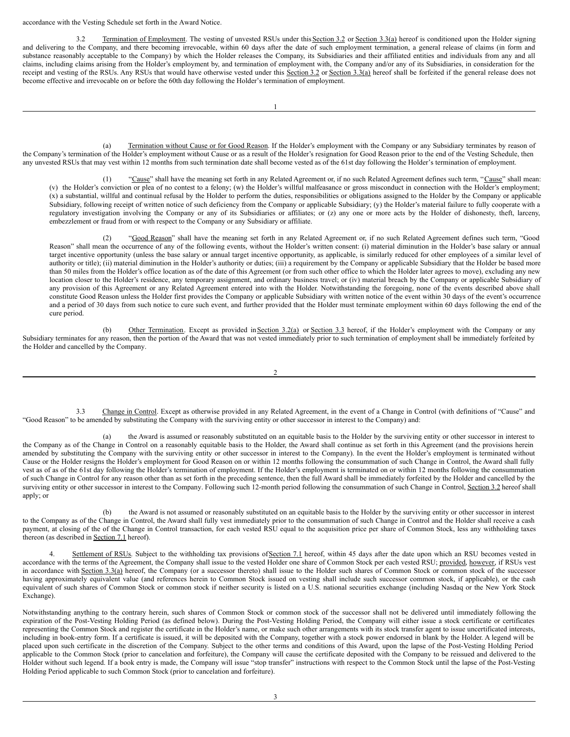accordance with the Vesting Schedule set forth in the Award Notice.

3.2 Termination of Employment. The vesting of unvested RSUs under this Section 3.2 or Section 3.3(a) hereof is conditioned upon the Holder signing and delivering to the Company, and there becoming irrevocable, within 60 days after the date of such employment termination, a general release of claims (in form and substance reasonably acceptable to the Company) by which the Holder releases the Company, its Subsidiaries and their affiliated entities and individuals from any and all claims, including claims arising from the Holder's employment by, and termination of employment with, the Company and/or any of its Subsidiaries, in consideration for the receipt and vesting of the RSUs. Any RSUs that would have otherwise vested under this Section 3.2 or Section 3.3(a) hereof shall be forfeited if the general release does not become effective and irrevocable on or before the 60th day following the Holder's termination of employment.

(a) Termination without Cause or for Good Reason. If the Holder's employment with the Company or any Subsidiary terminates by reason of the Company's termination of the Holder's employment without Cause or as a result of the Holder's resignation for Good Reason prior to the end of the Vesting Schedule, then any unvested RSUs that may vest within 12 months from such termination date shall become vested as of the 61st day following the Holder's termination of employment.

(1) "Cause" shall have the meaning set forth in any Related Agreement or, if no such Related Agreement defines such term, "Cause" shall mean: (v) the Holder's conviction or plea of no contest to a felony; (w) the Holder's willful malfeasance or gross misconduct in connection with the Holder's employment; (x) a substantial, willful and continual refusal by the Holder to perform the duties, responsibilities or obligations assigned to the Holder by the Company or applicable Subsidiary, following receipt of written notice of such deficiency from the Company or applicable Subsidiary; (y) the Holder's material failure to fully cooperate with a regulatory investigation involving the Company or any of its Subsidiaries or affiliates; or (z) any one or more acts by the Holder of dishonesty, theft, larceny, embezzlement or fraud from or with respect to the Company or any Subsidiary or affiliate.

(2) "Good Reason" shall have the meaning set forth in any Related Agreement or, if no such Related Agreement defines such term, "Good Reason" shall mean the occurrence of any of the following events, without the Holder's written consent: (i) material diminution in the Holder's base salary or annual target incentive opportunity (unless the base salary or annual target incentive opportunity, as applicable, is similarly reduced for other employees of a similar level of authority or title); (ii) material diminution in the Holder's authority or duties; (iii) a requirement by the Company or applicable Subsidiary that the Holder be based more than 50 miles from the Holder's office location as of the date of this Agreement (or from such other office to which the Holder later agrees to move), excluding any new location closer to the Holder's residence, any temporary assignment, and ordinary business travel; or (iv) material breach by the Company or applicable Subsidiary of any provision of this Agreement or any Related Agreement entered into with the Holder. Notwithstanding the foregoing, none of the events described above shall constitute Good Reason unless the Holder first provides the Company or applicable Subsidiary with written notice of the event within 30 days of the event's occurrence and a period of 30 days from such notice to cure such event, and further provided that the Holder must terminate employment within 60 days following the end of the cure period.

(b) Other Termination. Except as provided in Section 3.2(a) or Section 3.3 hereof, if the Holder's employment with the Company or any Subsidiary terminates for any reason, then the portion of the Award that was not vested immediately prior to such termination of employment shall be immediately forfeited by the Holder and cancelled by the Company.

 $\overline{2}$ 

3.3 Change in Control. Except as otherwise provided in any Related Agreement, in the event of a Change in Control (with definitions of "Cause" and "Good Reason" to be amended by substituting the Company with the surviving entity or other successor in interest to the Company) and:

(a) the Award is assumed or reasonably substituted on an equitable basis to the Holder by the surviving entity or other successor in interest to the Company as of the Change in Control on a reasonably equitable basis to the Holder, the Award shall continue as set forth in this Agreement (and the provisions herein amended by substituting the Company with the surviving entity or other successor in interest to the Company). In the event the Holder's employment is terminated without Cause or the Holder resigns the Holder's employment for Good Reason on or within 12 months following the consummation of such Change in Control, the Award shall fully vest as of as of the 61st day following the Holder's termination of employment. If the Holder's employment is terminated on or within 12 months following the consummation of such Change in Control for any reason other than as set forth in the preceding sentence, then the full Award shall be immediately forfeited by the Holder and cancelled by the surviving entity or other successor in interest to the Company. Following such 12-month period following the consummation of such Change in Control, Section 3.2 hereof shall apply; or

(b) the Award is not assumed or reasonably substituted on an equitable basis to the Holder by the surviving entity or other successor in interest to the Company as of the Change in Control, the Award shall fully vest immediately prior to the consummation of such Change in Control and the Holder shall receive a cash payment, at closing of the of the Change in Control transaction, for each vested RSU equal to the acquisition price per share of Common Stock, less any withholding taxes thereon (as described in Section 7.1 hereof).

Settlement of RSUs. Subject to the withholding tax provisions of Section 7.1 hereof, within 45 days after the date upon which an RSU becomes vested in accordance with the terms of the Agreement, the Company shall issue to the vested Holder one share of Common Stock per each vested RSU; provided, however, if RSUs vest in accordance with Section 3.3(a) hereof, the Company (or a successor thereto) shall issue to the Holder such shares of Common Stock or common stock of the successor having approximately equivalent value (and references herein to Common Stock issued on vesting shall include such successor common stock, if applicable), or the cash equivalent of such shares of Common Stock or common stock if neither security is listed on a U.S. national securities exchange (including Nasdaq or the New York Stock Exchange).

Notwithstanding anything to the contrary herein, such shares of Common Stock or common stock of the successor shall not be delivered until immediately following the expiration of the Post-Vesting Holding Period (as defined below). During the Post-Vesting Holding Period, the Company will either issue a stock certificate or certificates representing the Common Stock and register the certificate in the Holder's name, or make such other arrangements with its stock transfer agent to issue uncertificated interests, including in book-entry form. If a certificate is issued, it will be deposited with the Company, together with a stock power endorsed in blank by the Holder. A legend will be placed upon such certificate in the discretion of the Company. Subject to the other terms and conditions of this Award, upon the lapse of the Post-Vesting Holding Period applicable to the Common Stock (prior to cancelation and forfeiture), the Company will cause the certificate deposited with the Company to be reissued and delivered to the Holder without such legend. If a book entry is made, the Company will issue "stop transfer" instructions with respect to the Common Stock until the lapse of the Post-Vesting Holding Period applicable to such Common Stock (prior to cancelation and forfeiture).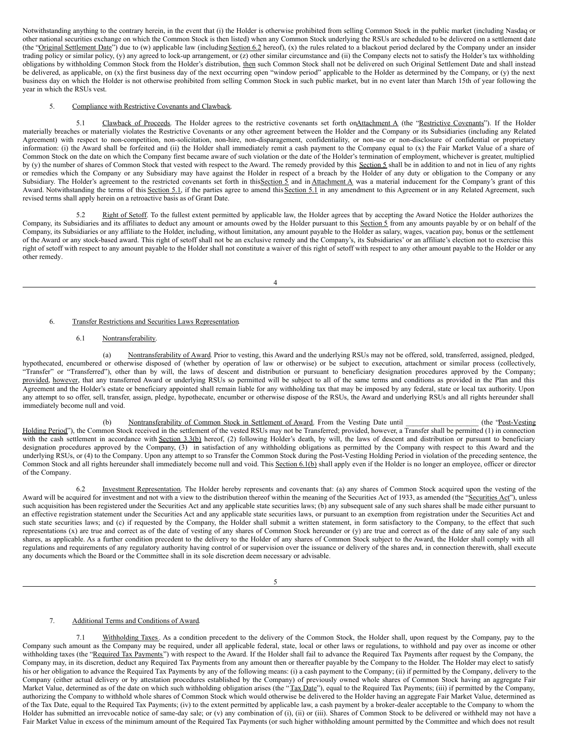Notwithstanding anything to the contrary herein, in the event that (i) the Holder is otherwise prohibited from selling Common Stock in the public market (including Nasdaq or other national securities exchange on which the Common Stock is then listed) when any Common Stock underlying the RSUs are scheduled to be delivered on a settlement date (the "Original Settlement Date") due to (w) applicable law (including Section 6.2 hereof), (x) the rules related to a blackout period declared by the Company under an insider trading policy or similar policy, (y) any agreed to lock-up arrangement, or (z) other similar circumstance and (ii) the Company elects not to satisfy the Holder's tax withholding obligations by withholding Common Stock from the Holder's distribution, then such Common Stock shall not be delivered on such Original Settlement Date and shall instead be delivered, as applicable, on (x) the first business day of the next occurring open "window period" applicable to the Holder as determined by the Company, or (y) the next business day on which the Holder is not otherwise prohibited from selling Common Stock in such public market, but in no event later than March 15th of year following the year in which the RSUs vest.

# 5. Compliance with Restrictive Covenants and Clawback.

5.1 Clawback of Proceeds. The Holder agrees to the restrictive covenants set forth onAttachment A (the "Restrictive Covenants"). If the Holder materially breaches or materially violates the Restrictive Covenants or any other agreement between the Holder and the Company or its Subsidiaries (including any Related Agreement) with respect to non-competition, non-solicitation, non-hire, non-disparagement, confidentiality, or non-use or non-disclosure of confidential or proprietary information: (i) the Award shall be forfeited and (ii) the Holder shall immediately remit a cash payment to the Company equal to (x) the Fair Market Value of a share of Common Stock on the date on which the Company first became aware of such violation or the date of the Holder's termination of employment, whichever is greater, multiplied by (y) the number of shares of Common Stock that vested with respect to the Award. The remedy provided by this Section 5 shall be in addition to and not in lieu of any rights or remedies which the Company or any Subsidiary may have against the Holder in respect of a breach by the Holder of any duty or obligation to the Company or any Subsidiary. The Holder's agreement to the restricted covenants set forth in thisSection 5 and in Attachment A was a material inducement for the Company's grant of this Award. Notwithstanding the terms of this Section 5.1, if the parties agree to amend this Section 5.1 in any amendment to this Agreement or in any Related Agreement, such revised terms shall apply herein on a retroactive basis as of Grant Date.

5.2 Right of Setoff. To the fullest extent permitted by applicable law, the Holder agrees that by accepting the Award Notice the Holder authorizes the Company, its Subsidiaries and its affiliates to deduct any amount or amounts owed by the Holder pursuant to this Section 5 from any amounts payable by or on behalf of the Company, its Subsidiaries or any affiliate to the Holder, including, without limitation, any amount payable to the Holder as salary, wages, vacation pay, bonus or the settlement of the Award or any stock-based award. This right of setoff shall not be an exclusive remedy and the Company's, its Subsidiaries' or an affiliate's election not to exercise this right of setoff with respect to any amount payable to the Holder shall not constitute a waiver of this right of setoff with respect to any other amount payable to the Holder or any other remedy.

4

## 6. Transfer Restrictions and Securities Laws Representation.

## 6.1 Nontransferability.

(a) Nontransferability of Award. Prior to vesting, this Award and the underlying RSUs may not be offered, sold, transferred, assigned, pledged, hypothecated, encumbered or otherwise disposed of (whether by operation of law or otherwise) or be subject to execution, attachment or similar process (collectively, "Transfer" or "Transferred"), other than by will, the laws of descent and distribution or pursuant to beneficiary designation procedures approved by the Company; provided, however, that any transferred Award or underlying RSUs so permitted will be subject to all of the same terms and conditions as provided in the Plan and this Agreement and the Holder's estate or beneficiary appointed shall remain liable for any withholding tax that may be imposed by any federal, state or local tax authority. Upon any attempt to so offer, sell, transfer, assign, pledge, hypothecate, encumber or otherwise dispose of the RSUs, the Award and underlying RSUs and all rights hereunder shall immediately become null and void.

(b) Nontransferability of Common Stock in Settlement of Award. From the Vesting Date until (the "Post-Vesting Holding Period"), the Common Stock received in the settlement of the vested RSUs may not be Transferred; provided, however, a Transfer shall be permitted (1) in connection with the cash settlement in accordance with Section 3.3(b) hereof, (2) following Holder's death, by will, the laws of descent and distribution or pursuant to beneficiary designation procedures approved by the Company, (3) in satisfaction of any withholding obligations as permitted by the Company with respect to this Award and the underlying RSUs, or (4) to the Company. Upon any attempt to so Transfer the Common Stock during the Post-Vesting Holding Period in violation of the preceding sentence, the Common Stock and all rights hereunder shall immediately become null and void. This Section 6.1(b) shall apply even if the Holder is no longer an employee, officer or director of the Company.

6.2 Investment Representation. The Holder hereby represents and covenants that: (a) any shares of Common Stock acquired upon the vesting of the Award will be acquired for investment and not with a view to the distribution thereof within the meaning of the Securities Act of 1933, as amended (the "Securities Act"), unless such acquisition has been registered under the Securities Act and any applicable state securities laws; (b) any subsequent sale of any such shares shall be made either pursuant to an effective registration statement under the Securities Act and any applicable state securities laws, or pursuant to an exemption from registration under the Securities Act and such state securities laws; and (c) if requested by the Company, the Holder shall submit a written statement, in form satisfactory to the Company, to the effect that such representations  $(x)$  are true and correct as of the date of vesting of any shares of Common Stock hereunder or  $(y)$  are true and correct as of the date of any sale of any such shares, as applicable. As a further condition precedent to the delivery to the Holder of any shares of Common Stock subject to the Award, the Holder shall comply with all regulations and requirements of any regulatory authority having control of or supervision over the issuance or delivery of the shares and, in connection therewith, shall execute any documents which the Board or the Committee shall in its sole discretion deem necessary or advisable.

5

## 7. Additional Terms and Conditions of Award.

7.1 Withholding Taxes. As a condition precedent to the delivery of the Common Stock, the Holder shall, upon request by the Company, pay to the Company such amount as the Company may be required, under all applicable federal, state, local or other laws or regulations, to withhold and pay over as income or other withholding taxes (the "Required Tax Payments") with respect to the Award. If the Holder shall fail to advance the Required Tax Payments after request by the Company, the Company may, in its discretion, deduct any Required Tax Payments from any amount then or thereafter payable by the Company to the Holder. The Holder may elect to satisfy his or her obligation to advance the Required Tax Payments by any of the following means: (i) a cash payment to the Company; (ii) if permitted by the Company, delivery to the Company (either actual delivery or by attestation procedures established by the Company) of previously owned whole shares of Common Stock having an aggregate Fair Market Value, determined as of the date on which such withholding obligation arises (the "Tax Date"), equal to the Required Tax Payments; (iii) if permitted by the Company, authorizing the Company to withhold whole shares of Common Stock which would otherwise be delivered to the Holder having an aggregate Fair Market Value, determined as of the Tax Date, equal to the Required Tax Payments; (iv) to the extent permitted by applicable law, a cash payment by a broker-dealer acceptable to the Company to whom the Holder has submitted an irrevocable notice of same-day sale; or (v) any combination of (i), (ii) or (iii). Shares of Common Stock to be delivered or withheld may not have a Fair Market Value in excess of the minimum amount of the Required Tax Payments (or such higher withholding amount permitted by the Committee and which does not result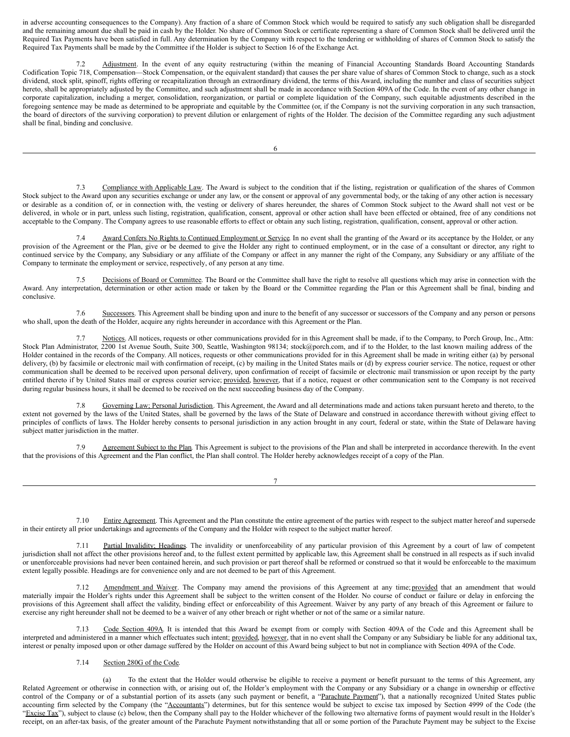<span id="page-13-0"></span>in adverse accounting consequences to the Company). Any fraction of a share of Common Stock which would be required to satisfy any such obligation shall be disregarded and the remaining amount due shall be paid in cash by the Holder. No share of Common Stock or certificate representing a share of Common Stock shall be delivered until the Required Tax Payments have been satisfied in full. Any determination by the Company with respect to the tendering or withholding of shares of Common Stock to satisfy the Required Tax Payments shall be made by the Committee if the Holder is subject to Section 16 of the Exchange Act.

7.2 Adjustment. In the event of any equity restructuring (within the meaning of Financial Accounting Standards Board Accounting Standards Codification Topic 718, Compensation—Stock Compensation, or the equivalent standard) that causes the per share value of shares of Common Stock to change, such as a stock dividend, stock split, spinoff, rights offering or recapitalization through an extraordinary dividend, the terms of this Award, including the number and class of securities subject hereto, shall be appropriately adjusted by the Committee, and such adjustment shall be made in accordance with Section 409A of the Code. In the event of any other change in corporate capitalization, including a merger, consolidation, reorganization, or partial or complete liquidation of the Company, such equitable adjustments described in the foregoing sentence may be made as determined to be appropriate and equitable by the Committee (or, if the Company is not the surviving corporation in any such transaction, the board of directors of the surviving corporation) to prevent dilution or enlargement of rights of the Holder. The decision of the Committee regarding any such adjustment shall be final, binding and conclusive.

6

7.3 Compliance with Applicable Law. The Award is subject to the condition that if the listing, registration or qualification of the shares of Common Stock subject to the Award upon any securities exchange or under any law, or the consent or approval of any governmental body, or the taking of any other action is necessary or desirable as a condition of, or in connection with, the vesting or delivery of shares hereunder, the shares of Common Stock subject to the Award shall not vest or be delivered, in whole or in part, unless such listing, registration, qualification, consent, approval or other action shall have been effected or obtained, free of any conditions not acceptable to the Company. The Company agrees to use reasonable efforts to effect or obtain any such listing, registration, qualification, consent, approval or other action.

7.4 Award Confers No Rights to Continued Employment or Service. In no event shall the granting of the Award or its acceptance by the Holder, or any provision of the Agreement or the Plan, give or be deemed to give the Holder any right to continued employment, or in the case of a consultant or director, any right to continued service by the Company, any Subsidiary or any affiliate of the Company or affect in any manner the right of the Company, any Subsidiary or any affiliate of the Company to terminate the employment or service, respectively, of any person at any time.

7.5 Decisions of Board or Committee. The Board or the Committee shall have the right to resolve all questions which may arise in connection with the Award. Any interpretation, determination or other action made or taken by the Board or the Committee regarding the Plan or this Agreement shall be final, binding and conclusive.

7.6 Successors. This Agreement shall be binding upon and inure to the benefit of any successor or successors of the Company and any person or persons who shall, upon the death of the Holder, acquire any rights hereunder in accordance with this Agreement or the Plan.

7.7 Notices. All notices, requests or other communications provided for in this Agreement shall be made, if to the Company, to Porch Group, Inc., Attn: Stock Plan Administrator, 2200 1st Avenue South, Suite 300, Seattle, Washington 98134; stock@porch.com, and if to the Holder, to the last known mailing address of the Holder contained in the records of the Company. All notices, requests or other communications provided for in this Agreement shall be made in writing either (a) by personal delivery, (b) by facsimile or electronic mail with confirmation of receipt, (c) by mailing in the United States mails or (d) by express courier service. The notice, request or other communication shall be deemed to be received upon personal delivery, upon confirmation of receipt of facsimile or electronic mail transmission or upon receipt by the party entitled thereto if by United States mail or express courier service; provided, however, that if a notice, request or other communication sent to the Company is not received during regular business hours, it shall be deemed to be received on the next succeeding business day of the Company.

Governing Law; Personal Jurisdiction. This Agreement, the Award and all determinations made and actions taken pursuant hereto and thereto, to the extent not governed by the laws of the United States, shall be governed by the laws of the State of Delaware and construed in accordance therewith without giving effect to principles of conflicts of laws. The Holder hereby consents to personal jurisdiction in any action brought in any court, federal or state, within the State of Delaware having subject matter jurisdiction in the matter.

7.9 Agreement Subject to the Plan. This Agreement is subject to the provisions of the Plan and shall be interpreted in accordance therewith. In the event that the provisions of this Agreement and the Plan conflict, the Plan shall control. The Holder hereby acknowledges receipt of a copy of the Plan.

7

7.10 Entire Agreement. This Agreement and the Plan constitute the entire agreement of the parties with respect to the subject matter hereof and supersede in their entirety all prior undertakings and agreements of the Company and the Holder with respect to the subject matter hereof.

7.11 Partial Invalidity; Headings. The invalidity or unenforceability of any particular provision of this Agreement by a court of law of competent jurisdiction shall not affect the other provisions hereof and, to the fullest extent permitted by applicable law, this Agreement shall be construed in all respects as if such invalid or unenforceable provisions had never been contained herein, and such provision or part thereof shall be reformed or construed so that it would be enforceable to the maximum extent legally possible. Headings are for convenience only and are not deemed to be part of this Agreement.

Amendment and Waiver. The Company may amend the provisions of this Agreement at any time; provided that an amendment that would materially impair the Holder's rights under this Agreement shall be subject to the written consent of the Holder. No course of conduct or failure or delay in enforcing the provisions of this Agreement shall affect the validity, binding effect or enforceability of this Agreement. Waiver by any party of any breach of this Agreement or failure to exercise any right hereunder shall not be deemed to be a waiver of any other breach or right whether or not of the same or a similar nature.

7.13 Code Section 409A. It is intended that this Award be exempt from or comply with Section 409A of the Code and this Agreement shall be interpreted and administered in a manner which effectuates such intent; provided, however, that in no event shall the Company or any Subsidiary be liable for any additional tax, interest or penalty imposed upon or other damage suffered by the Holder on account of this Award being subject to but not in compliance with Section 409A of the Code.

# 7.14 Section 280G of the Code.

(a) To the extent that the Holder would otherwise be eligible to receive a payment or benefit pursuant to the terms of this Agreement, any Related Agreement or otherwise in connection with, or arising out of, the Holder's employment with the Company or any Subsidiary or a change in ownership or effective control of the Company or of a substantial portion of its assets (any such payment or benefit, a "Parachute Payment"), that a nationally recognized United States public accounting firm selected by the Company (the "Accountants") determines, but for this sentence would be subject to excise tax imposed by Section 4999 of the Code (the "Excise Tax"), subject to clause (c) below, then the Company shall pay to the Holder whichever of the following two alternative forms of payment would result in the Holder's receipt, on an after-tax basis, of the greater amount of the Parachute Payment notwithstanding that all or some portion of the Parachute Payment may be subject to the Excise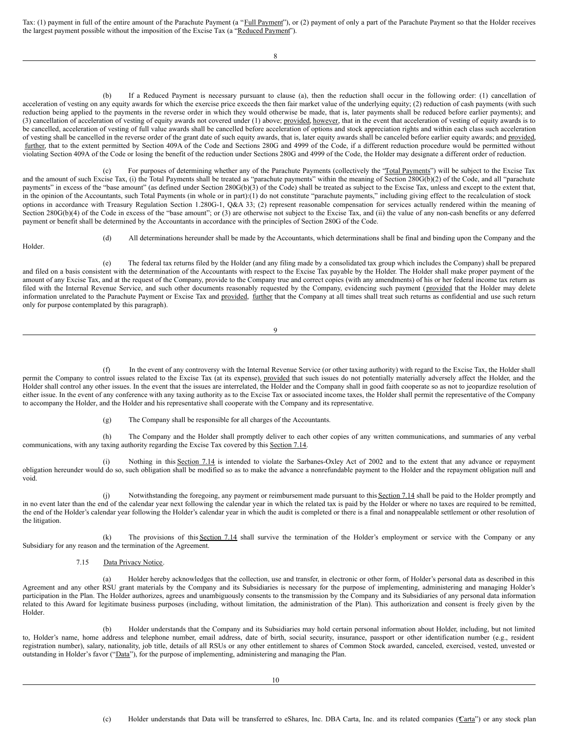Tax: (1) payment in full of the entire amount of the Parachute Payment (a "Full Payment"), or (2) payment of only a part of the Parachute Payment so that the Holder receives the largest payment possible without the imposition of the Excise Tax (a "Reduced Payment").

8

If a Reduced Payment is necessary pursuant to clause (a), then the reduction shall occur in the following order: (1) cancellation of acceleration of vesting on any equity awards for which the exercise price exceeds the then fair market value of the underlying equity; (2) reduction of cash payments (with such reduction being applied to the payments in the reverse order in which they would otherwise be made, that is, later payments shall be reduced before earlier payments); and (3) cancellation of acceleration of vesting of equity awards not covered under (1) above; provided, however, that in the event that acceleration of vesting of equity awards is to be cancelled, acceleration of vesting of full value awards shall be cancelled before acceleration of options and stock appreciation rights and within each class such acceleration of vesting shall be cancelled in the reverse order of the grant date of such equity awards, that is, later equity awards shall be canceled before earlier equity awards; and provided, further, that to the extent permitted by Section 409A of the Code and Sections 280G and 4999 of the Code, if a different reduction procedure would be permitted without violating Section 409A of the Code or losing the benefit of the reduction under Sections 280G and 4999 of the Code, the Holder may designate a different order of reduction.

(c) For purposes of determining whether any of the Parachute Payments (collectively the "Total Payments") will be subject to the Excise Tax and the amount of such Excise Tax, (i) the Total Payments shall be treated as "parachute payments" within the meaning of Section 280G(b)(2) of the Code, and all "parachute payments" in excess of the "base amount" (as defined under Section 280G(b)(3) of the Code) shall be treated as subject to the Excise Tax, unless and except to the extent that, in the opinion of the Accountants, such Total Payments (in whole or in part):(1) do not constitute "parachute payments," including giving effect to the recalculation of stock options in accordance with Treasury Regulation Section 1.280G-1, Q&A 33; (2) represent reasonable compensation for services actually rendered within the meaning of Section 280G(b)(4) of the Code in excess of the "base amount"; or (3) are otherwise not subject to the Excise Tax, and (ii) the value of any non-cash benefits or any deferred payment or benefit shall be determined by the Accountants in accordance with the principles of Section 280G of the Code.

Holder.

(d) All determinations hereunder shall be made by the Accountants, which determinations shall be final and binding upon the Company and the

(e) The federal tax returns filed by the Holder (and any filing made by a consolidated tax group which includes the Company) shall be prepared and filed on a basis consistent with the determination of the Accountants with respect to the Excise Tax payable by the Holder. The Holder shall make proper payment of the amount of any Excise Tax, and at the request of the Company, provide to the Company true and correct copies (with any amendments) of his or her federal income tax return as filed with the Internal Revenue Service, and such other documents reasonably requested by the Company, evidencing such payment (provided that the Holder may delete information unrelated to the Parachute Payment or Excise Tax and provided, further that the Company at all times shall treat such returns as confidential and use such return only for purpose contemplated by this paragraph).

9

(f) In the event of any controversy with the Internal Revenue Service (or other taxing authority) with regard to the Excise Tax, the Holder shall permit the Company to control issues related to the Excise Tax (at its expense), provided that such issues do not potentially materially adversely affect the Holder, and the Holder shall control any other issues. In the event that the issues are interrelated, the Holder and the Company shall in good faith cooperate so as not to jeopardize resolution of either issue. In the event of any conference with any taxing authority as to the Excise Tax or associated income taxes, the Holder shall permit the representative of the Company to accompany the Holder, and the Holder and his representative shall cooperate with the Company and its representative.

(g) The Company shall be responsible for all charges of the Accountants.

(h) The Company and the Holder shall promptly deliver to each other copies of any written communications, and summaries of any verbal communications, with any taxing authority regarding the Excise Tax covered by this Section 7.14.

(i) Nothing in this Section 7.14 is intended to violate the Sarbanes-Oxley Act of 2002 and to the extent that any advance or repayment obligation hereunder would do so, such obligation shall be modified so as to make the advance a nonrefundable payment to the Holder and the repayment obligation null and void.

(j) Notwithstanding the foregoing, any payment or reimbursement made pursuant to this Section 7.14 shall be paid to the Holder promptly and in no event later than the end of the calendar year next following the calendar year in which the related tax is paid by the Holder or where no taxes are required to be remitted, the end of the Holder's calendar year following the Holder's calendar year in which the audit is completed or there is a final and nonappealable settlement or other resolution of the litigation.

(k) The provisions of this Section 7.14 shall survive the termination of the Holder's employment or service with the Company or any Subsidiary for any reason and the termination of the Agreement.

7.15 Data Privacy Notice.

(a) Holder hereby acknowledges that the collection, use and transfer, in electronic or other form, of Holder's personal data as described in this Agreement and any other RSU grant materials by the Company and its Subsidiaries is necessary for the purpose of implementing, administering and managing Holder's participation in the Plan. The Holder authorizes, agrees and unambiguously consents to the transmission by the Company and its Subsidiaries of any personal data information related to this Award for legitimate business purposes (including, without limitation, the administration of the Plan). This authorization and consent is freely given by the Holder.

(b) Holder understands that the Company and its Subsidiaries may hold certain personal information about Holder, including, but not limited to, Holder's name, home address and telephone number, email address, date of birth, social security, insurance, passport or other identification number (e.g., resident registration number), salary, nationality, job title, details of all RSUs or any other entitlement to shares of Common Stock awarded, canceled, exercised, vested, unvested or outstanding in Holder's favor ("Data"), for the purpose of implementing, administering and managing the Plan.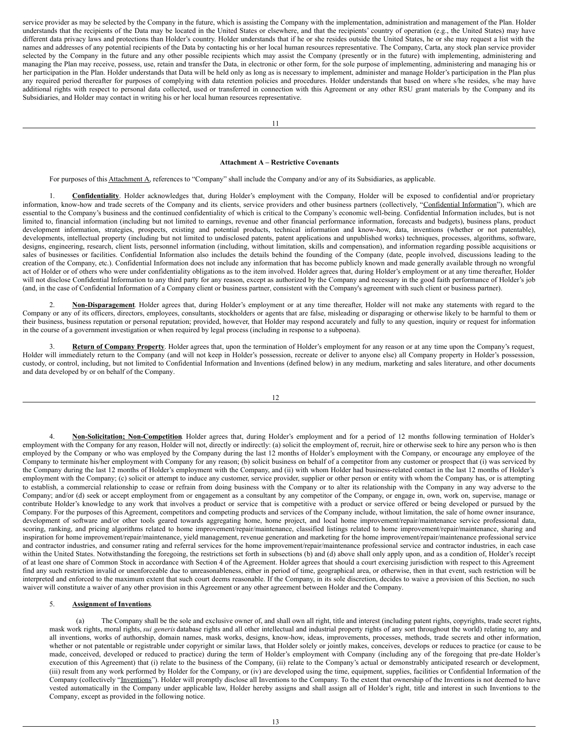service provider as may be selected by the Company in the future, which is assisting the Company with the implementation, administration and management of the Plan. Holder understands that the recipients of the Data may be located in the United States or elsewhere, and that the recipients' country of operation (e.g., the United States) may have different data privacy laws and protections than Holder's country. Holder understands that if he or she resides outside the United States, he or she may request a list with the names and addresses of any potential recipients of the Data by contacting his or her local human resources representative. The Company, Carta, any stock plan service provider selected by the Company in the future and any other possible recipients which may assist the Company (presently or in the future) with implementing, administering and managing the Plan may receive, possess, use, retain and transfer the Data, in electronic or other form, for the sole purpose of implementing, administering and managing his or her participation in the Plan. Holder understands that Data will be held only as long as is necessary to implement, administer and manage Holder's participation in the Plan plus any required period thereafter for purposes of complying with data retention policies and procedures. Holder understands that based on where s/he resides, s/he may have additional rights with respect to personal data collected, used or transferred in connection with this Agreement or any other RSU grant materials by the Company and its Subsidiaries, and Holder may contact in writing his or her local human resources representative.

## **Attachment A – Restrictive Covenants**

For purposes of this **Attachment A**, references to "Company" shall include the Company and/or any of its Subsidiaries, as applicable.

1. **Confidentiality**. Holder acknowledges that, during Holder's employment with the Company, Holder will be exposed to confidential and/or proprietary information, know-how and trade secrets of the Company and its clients, service providers and other business partners (collectively, "Confidential Information"), which are essential to the Company's business and the continued confidentiality of which is critical to the Company's economic well-being. Confidential Information includes, but is not limited to, financial information (including but not limited to earnings, revenue and other financial performance information, forecasts and budgets), business plans, product development information, strategies, prospects, existing and potential products, technical information and know-how, data, inventions (whether or not patentable), developments, intellectual property (including but not limited to undisclosed patents, patent applications and unpublished works) techniques, processes, algorithms, software, designs, engineering, research, client lists, personnel information (including, without limitation, skills and compensation), and information regarding possible acquisitions or sales of businesses or facilities. Confidential Information also includes the details behind the founding of the Company (date, people involved, discussions leading to the creation of the Company, etc.). Confidential Information does not include any information that has become publicly known and made generally available through no wrongful act of Holder or of others who were under confidentiality obligations as to the item involved. Holder agrees that, during Holder's employment or at any time thereafter, Holder will not disclose Confidential Information to any third party for any reason, except as authorized by the Company and necessary in the good faith performance of Holder's job (and, in the case of Confidential Information of a Company client or business partner, consistent with the Company's agreement with such client or business partner).

2. **Non-Disparagement**. Holder agrees that, during Holder's employment or at any time thereafter, Holder will not make any statements with regard to the Company or any of its officers, directors, employees, consultants, stockholders or agents that are false, misleading or disparaging or otherwise likely to be harmful to them or their business, business reputation or personal reputation; provided, however, that Holder may respond accurately and fully to any question, inquiry or request for information in the course of a government investigation or when required by legal process (including in response to a subpoena).

3. **Return of Company Property**. Holder agrees that, upon the termination of Holder's employment for any reason or at any time upon the Company's request, Holder will immediately return to the Company (and will not keep in Holder's possession, recreate or deliver to anyone else) all Company property in Holder's possession, custody, or control, including, but not limited to Confidential Information and Inventions (defined below) in any medium, marketing and sales literature, and other documents and data developed by or on behalf of the Company.

12

4. **Non-Solicitation; Non-Competition**. Holder agrees that, during Holder's employment and for a period of 12 months following termination of Holder's employment with the Company for any reason, Holder will not, directly or indirectly: (a) solicit the employment of, recruit, hire or otherwise seek to hire any person who is then employed by the Company or who was employed by the Company during the last 12 months of Holder's employment with the Company, or encourage any employee of the Company to terminate his/her employment with Company for any reason; (b) solicit business on behalf of a competitor from any customer or prospect that (i) was serviced by the Company during the last 12 months of Holder's employment with the Company, and (ii) with whom Holder had business-related contact in the last 12 months of Holder's employment with the Company; (c) solicit or attempt to induce any customer, service provider, supplier or other person or entity with whom the Company has, or is attempting to establish, a commercial relationship to cease or refrain from doing business with the Company or to alter its relationship with the Company in any way adverse to the Company; and/or (d) seek or accept employment from or engagement as a consultant by any competitor of the Company, or engage in, own, work on, supervise, manage or contribute Holder's knowledge to any work that involves a product or service that is competitive with a product or service offered or being developed or pursued by the Company. For the purposes of this Agreement, competitors and competing products and services of the Company include, without limitation, the sale of home owner insurance, development of software and/or other tools geared towards aggregating home, home project, and local home improvement/repair/maintenance service professional data, scoring, ranking, and pricing algorithms related to home improvement/repair/maintenance, classified listings related to home improvement/repair/maintenance, sharing and inspiration for home improvement/repair/maintenance, yield management, revenue generation and marketing for the home improvement/repair/maintenance professional service and contractor industries, and consumer rating and referral services for the home improvement/repair/maintenance professional service and contractor industries, in each case within the United States. Notwithstanding the foregoing, the restrictions set forth in subsections (b) and (d) above shall only apply upon, and as a condition of, Holder's receipt of at least one share of Common Stock in accordance with Section 4 of the Agreement. Holder agrees that should a court exercising jurisdiction with respect to this Agreement find any such restriction invalid or unenforceable due to unreasonableness, either in period of time, geographical area, or otherwise, then in that event, such restriction will be interpreted and enforced to the maximum extent that such court deems reasonable. If the Company, in its sole discretion, decides to waive a provision of this Section, no such waiver will constitute a waiver of any other provision in this Agreement or any other agreement between Holder and the Company.

#### 5. **Assignment of Inventions**.

(a) The Company shall be the sole and exclusive owner of, and shall own all right, title and interest (including patent rights, copyrights, trade secret rights, mask work rights, moral rights, *sui generis* database rights and all other intellectual and industrial property rights of any sort throughout the world) relating to, any and all inventions, works of authorship, domain names, mask works, designs, know-how, ideas, improvements, processes, methods, trade secrets and other information, whether or not patentable or registrable under copyright or similar laws, that Holder solely or jointly makes, conceives, develops or reduces to practice (or cause to be made, conceived, developed or reduced to practice) during the term of Holder's employment with Company (including any of the foregoing that pre-date Holder's execution of this Agreement) that (i) relate to the business of the Company, (ii) relate to the Company's actual or demonstrably anticipated research or development, (iii) result from any work performed by Holder for the Company, or (iv) are developed using the time, equipment, supplies, facilities or Confidential Information of the Company (collectively "Inventions"). Holder will promptly disclose all Inventions to the Company. To the extent that ownership of the Inventions is not deemed to have vested automatically in the Company under applicable law, Holder hereby assigns and shall assign all of Holder's right, title and interest in such Inventions to the Company, except as provided in the following notice.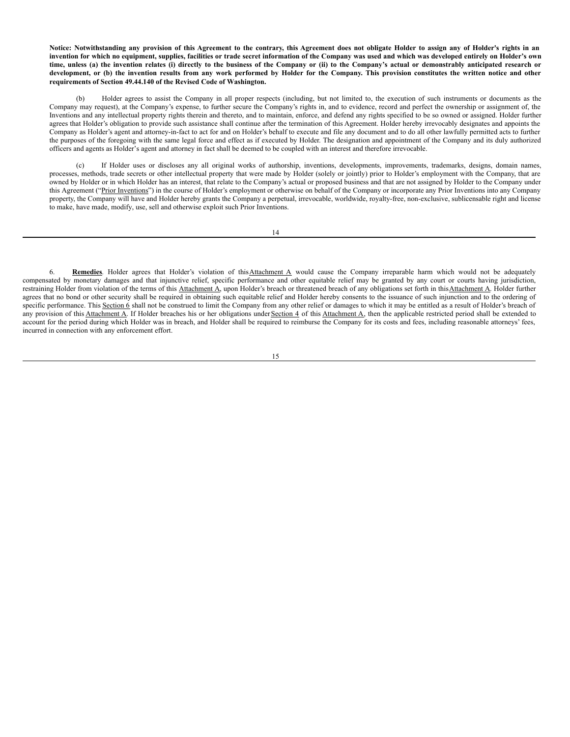Notice: Notwithstanding any provision of this Agreement to the contrary, this Agreement does not obligate Holder to assign any of Holder's rights in an invention for which no equipment, supplies, facilities or trade secret information of the Company was used and which was developed entirely on Holder's own time, unless (a) the invention relates (i) directly to the business of the Company or (ii) to the Company's actual or demonstrably anticipated research or development, or (b) the invention results from any work performed by Holder for the Company. This provision constitutes the written notice and other **requirements of Section 49.44.140 of the Revised Code of Washington.**

Holder agrees to assist the Company in all proper respects (including, but not limited to, the execution of such instruments or documents as the Company may request), at the Company's expense, to further secure the Company's rights in, and to evidence, record and perfect the ownership or assignment of, the Inventions and any intellectual property rights therein and thereto, and to maintain, enforce, and defend any rights specified to be so owned or assigned. Holder further agrees that Holder's obligation to provide such assistance shall continue after the termination of this Agreement. Holder hereby irrevocably designates and appoints the Company as Holder's agent and attorney-in-fact to act for and on Holder's behalf to execute and file any document and to do all other lawfully permitted acts to further the purposes of the foregoing with the same legal force and effect as if executed by Holder. The designation and appointment of the Company and its duly authorized officers and agents as Holder's agent and attorney in fact shall be deemed to be coupled with an interest and therefore irrevocable.

(c) If Holder uses or discloses any all original works of authorship, inventions, developments, improvements, trademarks, designs, domain names, processes, methods, trade secrets or other intellectual property that were made by Holder (solely or jointly) prior to Holder's employment with the Company, that are owned by Holder or in which Holder has an interest, that relate to the Company's actual or proposed business and that are not assigned by Holder to the Company under this Agreement ("Prior Inventions") in the course of Holder's employment or otherwise on behalf of the Company or incorporate any Prior Inventions into any Company property, the Company will have and Holder hereby grants the Company a perpetual, irrevocable, worldwide, royalty-free, non-exclusive, sublicensable right and license to make, have made, modify, use, sell and otherwise exploit such Prior Inventions.

14

6. **Remedies**. Holder agrees that Holder's violation of thisAttachment A would cause the Company irreparable harm which would not be adequately compensated by monetary damages and that injunctive relief, specific performance and other equitable relief may be granted by any court or courts having jurisdiction, restraining Holder from violation of the terms of this Attachment A, upon Holder's breach or threatened breach of any obligations set forth in this Attachment A. Holder further agrees that no bond or other security shall be required in obtaining such equitable relief and Holder hereby consents to the issuance of such injunction and to the ordering of specific performance. This Section 6 shall not be construed to limit the Company from any other relief or damages to which it may be entitled as a result of Holder's breach of any provision of this Attachment A. If Holder breaches his or her obligations under Section 4 of this Attachment A, then the applicable restricted period shall be extended to account for the period during which Holder was in breach, and Holder shall be required to reimburse the Company for its costs and fees, including reasonable attorneys' fees, incurred in connection with any enforcement effort.

15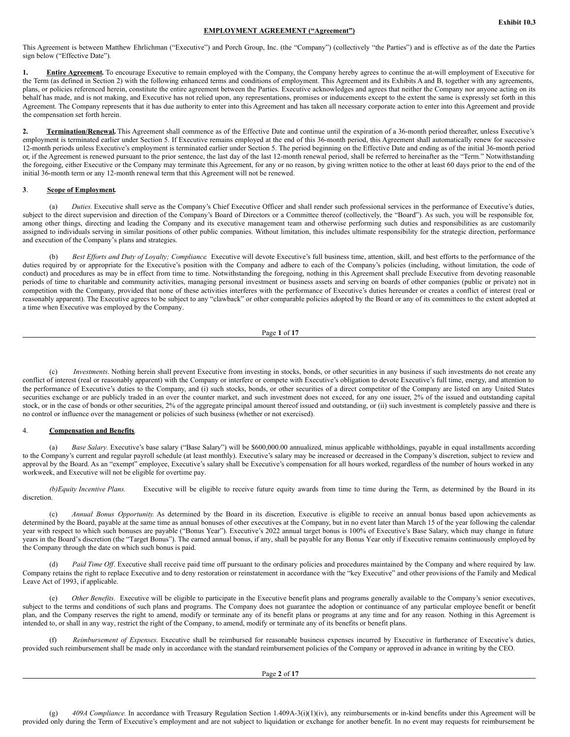#### **EMPLOYMENT AGREEMENT ("Agreement")**

This Agreement is between Matthew Ehrlichman ("Executive") and Porch Group, Inc. (the "Company") (collectively "the Parties") and is effective as of the date the Parties sign below ("Effective Date").

1. **Entire Agreement**. To encourage Executive to remain employed with the Company, the Company hereby agrees to continue the at-will employment of Executive for the Term (as defined in Section 2) with the following enhanced terms and conditions of employment. This Agreement and its Exhibits A and B, together with any agreements, plans, or policies referenced herein, constitute the entire agreement between the Parties. Executive acknowledges and agrees that neither the Company nor anyone acting on its behalf has made, and is not making, and Executive has not relied upon, any representations, promises or inducements except to the extent the same is expressly set forth in this Agreement. The Company represents that it has due authority to enter into this Agreement and has taken all necessary corporate action to enter into this Agreement and provide the compensation set forth herein.

2. **Termination/Renewal.** This Agreement shall commence as of the Effective Date and continue until the expiration of a 36-month period thereafter, unless Executive's employment is terminated earlier under Section 5. If Executive remains employed at the end of this 36-month period, this Agreement shall automatically renew for successive 12-month periods unless Executive's employment is terminated earlier under Section 5. The period beginning on the Effective Date and ending as of the initial 36-month period or, if the Agreement is renewed pursuant to the prior sentence, the last day of the last 12-month renewal period, shall be referred to hereinafter as the "Term." Notwithstanding the foregoing, either Executive or the Company may terminate this Agreement, for any or no reason, by giving written notice to the other at least 60 days prior to the end of the initial 36-month term or any 12-month renewal term that this Agreement will not be renewed.

# **3**. **Scope of Employment.**

(a) *Duties*. Executive shall serve as the Company's Chief Executive Officer and shall render such professional services in the performance of Executive's duties, subject to the direct supervision and direction of the Company's Board of Directors or a Committee thereof (collectively, the "Board"). As such, you will be responsible for, among other things, directing and leading the Company and its executive management team and otherwise performing such duties and responsibilities as are customarily assigned to individuals serving in similar positions of other public companies. Without limitation, this includes ultimate responsibility for the strategic direction, performance and execution of the Company's plans and strategies.

(b) *Best Ef orts and Duty of Loyalty; Compliance*. Executive will devote Executive's full business time, attention, skill, and best efforts to the performance of the duties required by or appropriate for the Executive's position with the Company and adhere to each of the Company's policies (including, without limitation, the code of conduct) and procedures as may be in effect from time to time. Notwithstanding the foregoing, nothing in this Agreement shall preclude Executive from devoting reasonable periods of time to charitable and community activities, managing personal investment or business assets and serving on boards of other companies (public or private) not in competition with the Company, provided that none of these activities interferes with the performance of Executive's duties hereunder or creates a conflict of interest (real or reasonably apparent). The Executive agrees to be subject to any "clawback" or other comparable policies adopted by the Board or any of its committees to the extent adopted at a time when Executive was employed by the Company.

Page **1** of **17**

(c) *Investments*. Nothing herein shall prevent Executive from investing in stocks, bonds, or other securities in any business if such investments do not create any conflict of interest (real or reasonably apparent) with the Company or interfere or compete with Executive's obligation to devote Executive's full time, energy, and attention to the performance of Executive's duties to the Company, and (i) such stocks, bonds, or other securities of a direct competitor of the Company are listed on any United States securities exchange or are publicly traded in an over the counter market, and such investment does not exceed, for any one issuer, 2% of the issued and outstanding capital stock, or in the case of bonds or other securities, 2% of the aggregate principal amount thereof issued and outstanding, or (ii) such investment is completely passive and there is no control or influence over the management or policies of such business (whether or not exercised).

## 4. **Compensation and Benefits***.*

(a) *Base Salary.* Executive's base salary ("Base Salary") will be \$600,000.00 annualized, minus applicable withholdings, payable in equal installments according to the Company's current and regular payroll schedule (at least monthly). Executive's salary may be increased or decreased in the Company's discretion, subject to review and approval by the Board. As an "exempt" employee, Executive's salary shall be Executive's compensation for all hours worked, regardless of the number of hours worked in any workweek, and Executive will not be eligible for overtime pay.

*(b)Equity Incentive Plans.* Executive will be eligible to receive future equity awards from time to time during the Term, as determined by the Board in its discretion.

(c) *Annual Bonus Opportunity.* As determined by the Board in its discretion*,* Executive is eligible to receive an annual bonus based upon achievements as determined by the Board, payable at the same time as annual bonuses of other executives at the Company, but in no event later than March 15 of the year following the calendar year with respect to which such bonuses are payable ("Bonus Year"). Executive's 2022 annual target bonus is 100% of Executive's Base Salary, which may change in future years in the Board's discretion (the "Target Bonus"). The earned annual bonus, if any, shall be payable for any Bonus Year only if Executive remains continuously employed by the Company through the date on which such bonus is paid.

(d) *Paid Time Off*. Executive shall receive paid time off pursuant to the ordinary policies and procedures maintained by the Company and where required by law. Company retains the right to replace Executive and to deny restoration or reinstatement in accordance with the "key Executive" and other provisions of the Family and Medical Leave Act of 1993, if applicable.

(e) *Other Benefits*. Executive will be eligible to participate in the Executive benefit plans and programs generally available to the Company's senior executives, subject to the terms and conditions of such plans and programs. The Company does not guarantee the adoption or continuance of any particular employee benefit or benefit plan, and the Company reserves the right to amend, modify or terminate any of its benefit plans or programs at any time and for any reason. Nothing in this Agreement is intended to, or shall in any way, restrict the right of the Company, to amend, modify or terminate any of its benefits or benefit plans.

(f) *Reimbursement of Expenses*. Executive shall be reimbursed for reasonable business expenses incurred by Executive in furtherance of Executive's duties, provided such reimbursement shall be made only in accordance with the standard reimbursement policies of the Company or approved in advance in writing by the CEO.

Page **2** of **17**

(g) *409A Compliance.* In accordance with Treasury Regulation Section 1.409A-3(i)(1)(iv), any reimbursements or in-kind benefits under this Agreement will be provided only during the Term of Executive's employment and are not subject to liquidation or exchange for another benefit. In no event may requests for reimbursement be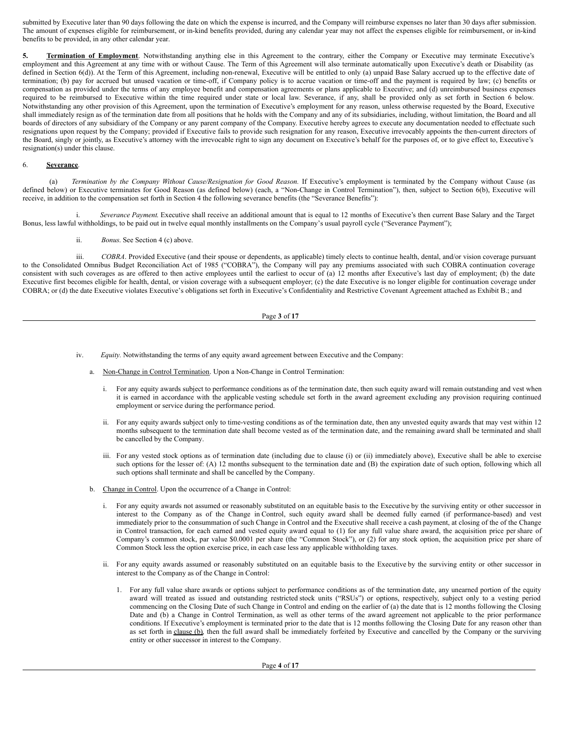submitted by Executive later than 90 days following the date on which the expense is incurred, and the Company will reimburse expenses no later than 30 days after submission. The amount of expenses eligible for reimbursement, or in-kind benefits provided, during any calendar year may not affect the expenses eligible for reimbursement, or in-kind benefits to be provided, in any other calendar year.

5. Termination of Employment. Notwithstanding anything else in this Agreement to the contrary, either the Company or Executive may terminate Executive's employment and this Agreement at any time with or without Cause. The Term of this Agreement will also terminate automatically upon Executive's death or Disability (as defined in Section 6(d)). At the Term of this Agreement, including non-renewal, Executive will be entitled to only (a) unpaid Base Salary accrued up to the effective date of termination; (b) pay for accrued but unused vacation or time-off, if Company policy is to accrue vacation or time-off and the payment is required by law; (c) benefits or compensation as provided under the terms of any employee benefit and compensation agreements or plans applicable to Executive; and (d) unreimbursed business expenses required to be reimbursed to Executive within the time required under state or local law. Severance, if any, shall be provided only as set forth in Section 6 below. Notwithstanding any other provision of this Agreement, upon the termination of Executive's employment for any reason, unless otherwise requested by the Board, Executive shall immediately resign as of the termination date from all positions that he holds with the Company and any of its subsidiaries, including, without limitation, the Board and all boards of directors of any subsidiary of the Company or any parent company of the Company. Executive hereby agrees to execute any documentation needed to effectuate such resignations upon request by the Company; provided if Executive fails to provide such resignation for any reason, Executive irrevocably appoints the then-current directors of the Board, singly or jointly, as Executive's attorney with the irrevocable right to sign any document on Executive's behalf for the purposes of, or to give effect to, Executive's resignation(s) under this clause.

### 6. **Severance**.

(a) *Termination by the Company Without Cause/Resignation for Good Reason.* If Executive's employment is terminated by the Company without Cause (as defined below) or Executive terminates for Good Reason (as defined below) (each, a "Non-Change in Control Termination"), then, subject to Section 6(b), Executive will receive, in addition to the compensation set forth in Section 4 the following severance benefits (the "Severance Benefits"):

i. *Severance Payment*. Executive shall receive an additional amount that is equal to 12 months of Executive's then current Base Salary and the Target Bonus, less lawful withholdings, to be paid out in twelve equal monthly installments on the Company's usual payroll cycle ("Severance Payment");

ii. *Bonus*. See Section 4 (c) above.

iii. COBRA. Provided Executive (and their spouse or dependents, as applicable) timely elects to continue health, dental, and/or vision coverage pursuant to the Consolidated Omnibus Budget Reconciliation Act of 1985 ("COBRA"), the Company will pay any premiums associated with such COBRA continuation coverage consistent with such coverages as are offered to then active employees until the earliest to occur of (a) 12 months after Executive's last day of employment; (b) the date Executive first becomes eligible for health, dental, or vision coverage with a subsequent employer; (c) the date Executive is no longer eligible for continuation coverage under COBRA; or (d) the date Executive violates Executive's obligations set forth in Executive's Confidentiality and Restrictive Covenant Agreement attached as Exhibit B.; and

## Page **3** of **17**

- iv. *Equity.* Notwithstanding the terms of any equity award agreement between Executive and the Company:
	- a. Non-Change in Control Termination. Upon a Non-Change in Control Termination:
		- i. For any equity awards subject to performance conditions as of the termination date, then such equity award will remain outstanding and vest when it is earned in accordance with the applicable vesting schedule set forth in the award agreement excluding any provision requiring continued employment or service during the performance period.
		- ii. For any equity awards subject only to time-vesting conditions as of the termination date, then any unvested equity awards that may vest within 12 months subsequent to the termination date shall become vested as of the termination date, and the remaining award shall be terminated and shall be cancelled by the Company.
		- iii. For any vested stock options as of termination date (including due to clause (i) or (ii) immediately above), Executive shall be able to exercise such options for the lesser of: (A) 12 months subsequent to the termination date and (B) the expiration date of such option, following which all such options shall terminate and shall be cancelled by the Company.
	- b. Change in Control. Upon the occurrence of a Change in Control:
		- i. For any equity awards not assumed or reasonably substituted on an equitable basis to the Executive by the surviving entity or other successor in interest to the Company as of the Change in Control, such equity award shall be deemed fully earned (if performance-based) and vest immediately prior to the consummation of such Change in Control and the Executive shall receive a cash payment, at closing of the of the Change in Control transaction, for each earned and vested equity award equal to (1) for any full value share award, the acquisition price per share of Company's common stock, par value \$0.0001 per share (the "Common Stock"), or (2) for any stock option, the acquisition price per share of Common Stock less the option exercise price, in each case less any applicable withholding taxes.
		- ii. For any equity awards assumed or reasonably substituted on an equitable basis to the Executive by the surviving entity or other successor in interest to the Company as of the Change in Control:
			- 1. For any full value share awards or options subject to performance conditions as of the termination date, any unearned portion of the equity award will treated as issued and outstanding restricted stock units ("RSUs") or options, respectively, subject only to a vesting period commencing on the Closing Date of such Change in Control and ending on the earlier of (a) the date that is 12 months following the Closing Date and (b) a Change in Control Termination, as well as other terms of the award agreement not applicable to the prior performance conditions. If Executive's employment is terminated prior to the date that is 12 months following the Closing Date for any reason other than as set forth in clause (b), then the full award shall be immediately forfeited by Executive and cancelled by the Company or the surviving entity or other successor in interest to the Company.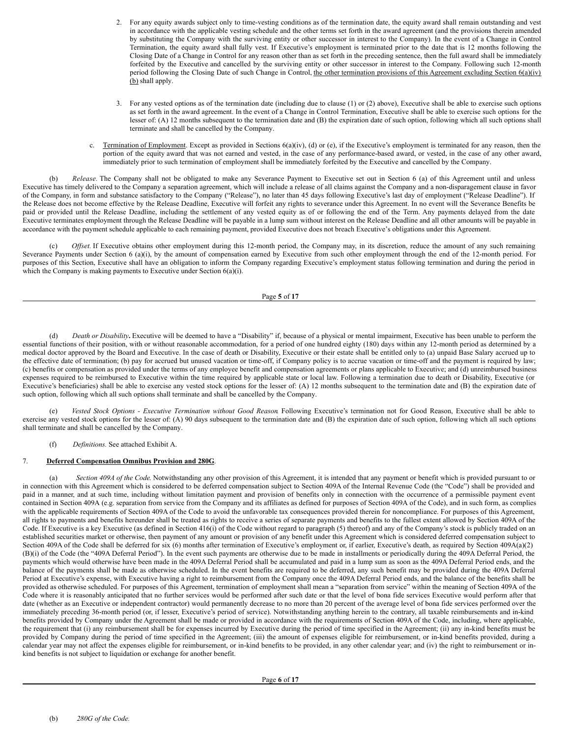- 2. For any equity awards subject only to time-vesting conditions as of the termination date, the equity award shall remain outstanding and vest in accordance with the applicable vesting schedule and the other terms set forth in the award agreement (and the provisions therein amended by substituting the Company with the surviving entity or other successor in interest to the Company). In the event of a Change in Control Termination, the equity award shall fully vest. If Executive's employment is terminated prior to the date that is 12 months following the Closing Date of a Change in Control for any reason other than as set forth in the preceding sentence, then the full award shall be immediately forfeited by the Executive and cancelled by the surviving entity or other successor in interest to the Company. Following such 12-month period following the Closing Date of such Change in Control, the other termination provisions of this Agreement excluding Section  $6(a)(iv)$ (b) shall apply.
- 3. For any vested options as of the termination date (including due to clause (1) or (2) above), Executive shall be able to exercise such options as set forth in the award agreement. In the event of a Change in Control Termination, Executive shall be able to exercise such options for the lesser of: (A) 12 months subsequent to the termination date and (B) the expiration date of such option, following which all such options shall terminate and shall be cancelled by the Company.
- c. Termination of Employment. Except as provided in Sections  $6(a)(iv)$ , (d) or (e), if the Executive's employment is terminated for any reason, then the portion of the equity award that was not earned and vested, in the case of any performance-based award, or vested, in the case of any other award, immediately prior to such termination of employment shall be immediately forfeited by the Executive and cancelled by the Company.

(b) *Release.* The Company shall not be obligated to make any Severance Payment to Executive set out in Section 6 (a) of this Agreement until and unless Executive has timely delivered to the Company a separation agreement, which will include a release of all claims against the Company and a non-disparagement clause in favor of the Company, in form and substance satisfactory to the Company ("Release"), no later than 45 days following Executive's last day of employment ("Release Deadline"). If the Release does not become effective by the Release Deadline, Executive will forfeit any rights to severance under this Agreement. In no event will the Severance Benefits be paid or provided until the Release Deadline, including the settlement of any vested equity as of or following the end of the Term. Any payments delayed from the date Executive terminates employment through the Release Deadline will be payable in a lump sum without interest on the Release Deadline and all other amounts will be payable in accordance with the payment schedule applicable to each remaining payment, provided Executive does not breach Executive's obligations under this Agreement.

(c) *Of set.* If Executive obtains other employment during this 12-month period, the Company may, in its discretion, reduce the amount of any such remaining Severance Payments under Section 6 (a)(i), by the amount of compensation earned by Executive from such other employment through the end of the 12-month period. For purposes of this Section, Executive shall have an obligation to inform the Company regarding Executive's employment status following termination and during the period in which the Company is making payments to Executive under Section 6(a)(i).

#### Page **5** of **17**

(d) *Death or Disability***.** Executive will be deemed to have a "Disability" if, because of a physical or mental impairment, Executive has been unable to perform the essential functions of their position, with or without reasonable accommodation, for a period of one hundred eighty (180) days within any 12-month period as determined by a medical doctor approved by the Board and Executive. In the case of death or Disability, Executive or their estate shall be entitled only to (a) unpaid Base Salary accrued up to the effective date of termination; (b) pay for accrued but unused vacation or time-off, if Company policy is to accrue vacation or time-off and the payment is required by law; (c) benefits or compensation as provided under the terms of any employee benefit and compensation agreements or plans applicable to Executive; and (d) unreimbursed business expenses required to be reimbursed to Executive within the time required by applicable state or local law. Following a termination due to death or Disability, Executive (or Executive's beneficiaries) shall be able to exercise any vested stock options for the lesser of: (A) 12 months subsequent to the termination date and (B) the expiration date of such option, following which all such options shall terminate and shall be cancelled by the Company.

(e) *Vested Stock Options - Executive Termination without Good Reason*. Following Executive's termination not for Good Reason, Executive shall be able to exercise any vested stock options for the lesser of: (A) 90 days subsequent to the termination date and (B) the expiration date of such option, following which all such options shall terminate and shall be cancelled by the Company.

(f) *Definitions.* See attached Exhibit A.

## 7. **Deferred Compensation Omnibus Provision and 280G**.

(a) *Section 409A of the Code*. Notwithstanding any other provision of this Agreement, it is intended that any payment or benefit which is provided pursuant to or in connection with this Agreement which is considered to be deferred compensation subject to Section 409A of the Internal Revenue Code (the "Code") shall be provided and paid in a manner, and at such time, including without limitation payment and provision of benefits only in connection with the occurrence of a permissible payment event contained in Section 409A (e.g. separation from service from the Company and its affiliates as defined for purposes of Section 409A of the Code), and in such form, as complies with the applicable requirements of Section 409A of the Code to avoid the unfavorable tax consequences provided therein for noncompliance. For purposes of this Agreement, all rights to payments and benefits hereunder shall be treated as rights to receive a series of separate payments and benefits to the fullest extent allowed by Section 409A of the Code. If Executive is a key Executive (as defined in Section 416(i) of the Code without regard to paragraph (5) thereof) and any of the Company's stock is publicly traded on an established securities market or otherwise, then payment of any amount or provision of any benefit under this Agreement which is considered deferred compensation subject to Section 409A of the Code shall be deferred for six (6) months after termination of Executive's employment or, if earlier, Executive's death, as required by Section 409A(a)(2) (B)(i) of the Code (the "409A Deferral Period"). In the event such payments are otherwise due to be made in installments or periodically during the 409A Deferral Period, the payments which would otherwise have been made in the 409A Deferral Period shall be accumulated and paid in a lump sum as soon as the 409A Deferral Period ends, and the balance of the payments shall be made as otherwise scheduled. In the event benefits are required to be deferred, any such benefit may be provided during the 409A Deferral Period at Executive's expense, with Executive having a right to reimbursement from the Company once the 409A Deferral Period ends, and the balance of the benefits shall be provided as otherwise scheduled. For purposes of this Agreement, termination of employment shall mean a "separation from service" within the meaning of Section 409A of the Code where it is reasonably anticipated that no further services would be performed after such date or that the level of bona fide services Executive would perform after that date (whether as an Executive or independent contractor) would permanently decrease to no more than 20 percent of the average level of bona fide services performed over the immediately preceding 36-month period (or, if lesser, Executive's period of service). Notwithstanding anything herein to the contrary, all taxable reimbursements and in-kind benefits provided by Company under the Agreement shall be made or provided in accordance with the requirements of Section 409A of the Code, including, where applicable, the requirement that (i) any reimbursement shall be for expenses incurred by Executive during the period of time specified in the Agreement; (ii) any in-kind benefits must be provided by Company during the period of time specified in the Agreement; (iii) the amount of expenses eligible for reimbursement, or in-kind benefits provided, during a calendar year may not affect the expenses eligible for reimbursement, or in-kind benefits to be provided, in any other calendar year; and (iv) the right to reimbursement or inkind benefits is not subject to liquidation or exchange for another benefit.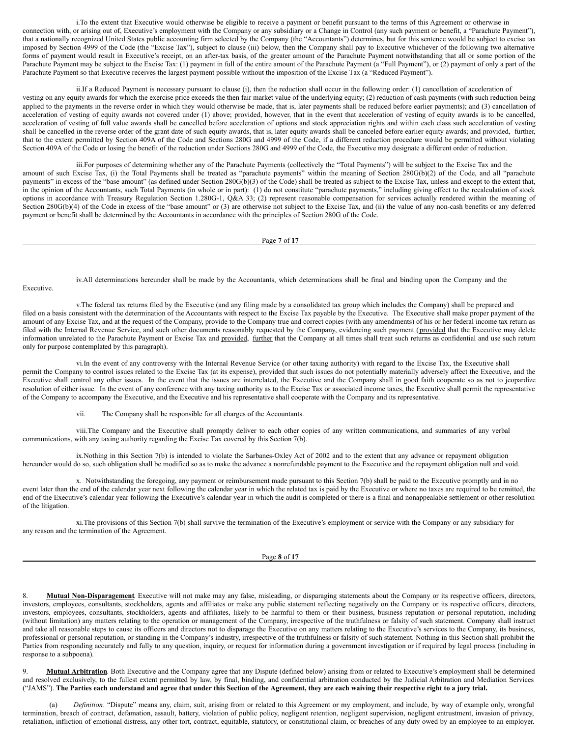<span id="page-20-0"></span>i.To the extent that Executive would otherwise be eligible to receive a payment or benefit pursuant to the terms of this Agreement or otherwise in connection with, or arising out of, Executive's employment with the Company or any subsidiary or a Change in Control (any such payment or benefit, a "Parachute Payment"), that a nationally recognized United States public accounting firm selected by the Company (the "Accountants") determines, but for this sentence would be subject to excise tax imposed by Section 4999 of the Code (the "Excise Tax"), subject to clause (iii) below, then the Company shall pay to Executive whichever of the following two alternative forms of payment would result in Executive's receipt, on an after-tax basis, of the greater amount of the Parachute Payment notwithstanding that all or some portion of the Parachute Payment may be subject to the Excise Tax: (1) payment in full of the entire amount of the Parachute Payment (a "Full Payment"), or (2) payment of only a part of the Parachute Payment so that Executive receives the largest payment possible without the imposition of the Excise Tax (a "Reduced Payment").

ii.If a Reduced Payment is necessary pursuant to clause (i), then the reduction shall occur in the following order: (1) cancellation of acceleration of vesting on any equity awards for which the exercise price exceeds the then fair market value of the underlying equity; (2) reduction of cash payments (with such reduction being applied to the payments in the reverse order in which they would otherwise be made, that is, later payments shall be reduced before earlier payments); and (3) cancellation of acceleration of vesting of equity awards not covered under (1) above; provided, however, that in the event that acceleration of vesting of equity awards is to be cancelled, acceleration of vesting of full value awards shall be cancelled before acceleration of options and stock appreciation rights and within each class such acceleration of vesting shall be cancelled in the reverse order of the grant date of such equity awards, that is, later equity awards shall be canceled before earlier equity awards; and provided, further, that to the extent permitted by Section 409A of the Code and Sections 280G and 4999 of the Code, if a different reduction procedure would be permitted without violating Section 409A of the Code or losing the benefit of the reduction under Sections 280G and 4999 of the Code, the Executive may designate a different order of reduction.

iii.For purposes of determining whether any of the Parachute Payments (collectively the "Total Payments") will be subject to the Excise Tax and the amount of such Excise Tax, (i) the Total Payments shall be treated as "parachute payments" within the meaning of Section 280G(b)(2) of the Code, and all "parachute payments" in excess of the "base amount" (as defined under Section 280G(b)(3) of the Code) shall be treated as subject to the Excise Tax, unless and except to the extent that, in the opinion of the Accountants, such Total Payments (in whole or in part): (1) do not constitute "parachute payments," including giving effect to the recalculation of stock options in accordance with Treasury Regulation Section 1.280G-1, Q&A 33; (2) represent reasonable compensation for services actually rendered within the meaning of Section 280G(b)(4) of the Code in excess of the "base amount" or (3) are otherwise not subject to the Excise Tax, and (ii) the value of any non-cash benefits or any deferred payment or benefit shall be determined by the Accountants in accordance with the principles of Section 280G of the Code.

Page **7** of **17**

iv.All determinations hereunder shall be made by the Accountants, which determinations shall be final and binding upon the Company and the

Executive.

v.The federal tax returns filed by the Executive (and any filing made by a consolidated tax group which includes the Company) shall be prepared and filed on a basis consistent with the determination of the Accountants with respect to the Excise Tax payable by the Executive. The Executive shall make proper payment of the amount of any Excise Tax, and at the request of the Company, provide to the Company true and correct copies (with any amendments) of his or her federal income tax return as filed with the Internal Revenue Service, and such other documents reasonably requested by the Company, evidencing such payment (provided that the Executive may delete information unrelated to the Parachute Payment or Excise Tax and provided, further that the Company at all times shall treat such returns as confidential and use such return only for purpose contemplated by this paragraph).

vi.In the event of any controversy with the Internal Revenue Service (or other taxing authority) with regard to the Excise Tax, the Executive shall permit the Company to control issues related to the Excise Tax (at its expense), provided that such issues do not potentially materially adversely affect the Executive, and the Executive shall control any other issues. In the event that the issues are interrelated, the Executive and the Company shall in good faith cooperate so as not to jeopardize resolution of either issue. In the event of any conference with any taxing authority as to the Excise Tax or associated income taxes, the Executive shall permit the representative of the Company to accompany the Executive, and the Executive and his representative shall cooperate with the Company and its representative.

vii. The Company shall be responsible for all charges of the Accountants.

viii.The Company and the Executive shall promptly deliver to each other copies of any written communications, and summaries of any verbal communications, with any taxing authority regarding the Excise Tax covered by this Section 7(b).

ix.Nothing in this Section 7(b) is intended to violate the Sarbanes-Oxley Act of 2002 and to the extent that any advance or repayment obligation hereunder would do so, such obligation shall be modified so as to make the advance a nonrefundable payment to the Executive and the repayment obligation null and void.

x. Notwithstanding the foregoing, any payment or reimbursement made pursuant to this Section 7(b) shall be paid to the Executive promptly and in no event later than the end of the calendar year next following the calendar year in which the related tax is paid by the Executive or where no taxes are required to be remitted, the end of the Executive's calendar year following the Executive's calendar year in which the audit is completed or there is a final and nonappealable settlement or other resolution of the litigation.

xi.The provisions of this Section 7(b) shall survive the termination of the Executive's employment or service with the Company or any subsidiary for any reason and the termination of the Agreement.

Page **8** of **17**

8. Mutual Non-Disparagement. Executive will not make may any false, misleading, or disparaging statements about the Company or its respective officers, directors, investors, employees, consultants, stockholders, agents and affiliates or make any public statement reflecting negatively on the Company or its respective officers, directors, investors, employees, consultants, stockholders, agents and affiliates, likely to be harmful to them or their business, business reputation or personal reputation, including (without limitation) any matters relating to the operation or management of the Company, irrespective of the truthfulness or falsity of such statement. Company shall instruct and take all reasonable steps to cause its officers and directors not to disparage the Executive on any matters relating to the Executive's services to the Company, its business, professional or personal reputation, or standing in the Company's industry, irrespective of the truthfulness or falsity of such statement. Nothing in this Section shall prohibit the Parties from responding accurately and fully to any question, inquiry, or request for information during a government investigation or if required by legal process (including in response to a subpoena).

9. Mutual Arbitration. Both Executive and the Company agree that any Dispute (defined below) arising from or related to Executive's employment shall be determined and resolved exclusively, to the fullest extent permitted by law, by final, binding, and confidential arbitration conducted by the Judicial Arbitration and Mediation Services ("JAMS"). The Parties each understand and agree that under this Section of the Agreement, they are each waiving their respective right to a jury trial.

(a) *Definition*. "Dispute" means any, claim, suit, arising from or related to this Agreement or my employment, and include, by way of example only, wrongful termination, breach of contract, defamation, assault, battery, violation of public policy, negligent retention, negligent supervision, negligent entrustment, invasion of privacy, retaliation, infliction of emotional distress, any other tort, contract, equitable, statutory, or constitutional claim, or breaches of any duty owed by an employee to an employer.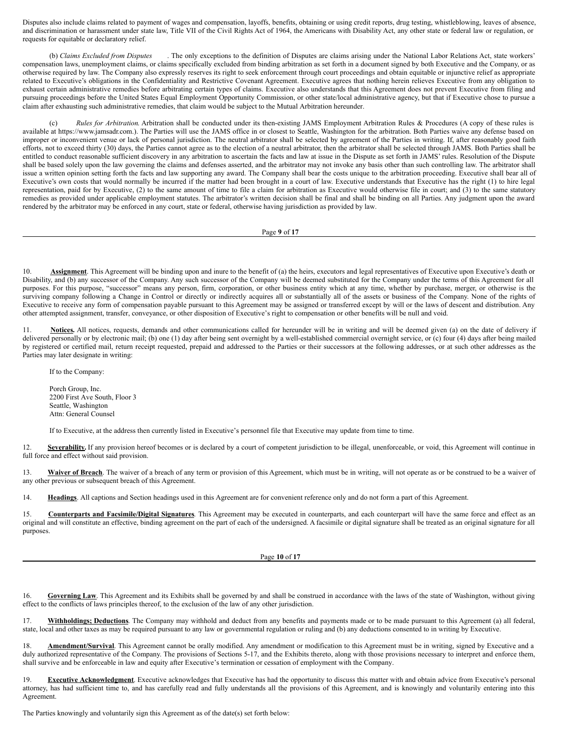Disputes also include claims related to payment of wages and compensation, layoffs, benefits, obtaining or using credit reports, drug testing, whistleblowing, leaves of absence, and discrimination or harassment under state law, Title VII of the Civil Rights Act of 1964, the Americans with Disability Act, any other state or federal law or regulation, or requests for equitable or declaratory relief.

(b) *Claims Excluded from Disputes* . The only exceptions to the definition of Disputes are claims arising under the National Labor Relations Act, state workers' compensation laws, unemployment claims, or claims specifically excluded from binding arbitration as set forth in a document signed by both Executive and the Company, or as otherwise required by law. The Company also expressly reserves its right to seek enforcement through court proceedings and obtain equitable or injunctive relief as appropriate related to Executive's obligations in the Confidentiality and Restrictive Covenant Agreement. Executive agrees that nothing herein relieves Executive from any obligation to exhaust certain administrative remedies before arbitrating certain types of claims. Executive also understands that this Agreement does not prevent Executive from filing and pursuing proceedings before the United States Equal Employment Opportunity Commission, or other state/local administrative agency, but that if Executive chose to pursue a claim after exhausting such administrative remedies, that claim would be subject to the Mutual Arbitration hereunder.

(c) *Rules for Arbitration*. Arbitration shall be conducted under its then-existing JAMS Employment Arbitration Rules & Procedures (A copy of these rules is available at https://www.jamsadr.com.). The Parties will use the JAMS office in or closest to Seattle, Washington for the arbitration. Both Parties waive any defense based on improper or inconvenient venue or lack of personal jurisdiction. The neutral arbitrator shall be selected by agreement of the Parties in writing. If, after reasonably good faith efforts, not to exceed thirty (30) days, the Parties cannot agree as to the election of a neutral arbitrator, then the arbitrator shall be selected through JAMS. Both Parties shall be entitled to conduct reasonable sufficient discovery in any arbitration to ascertain the facts and law at issue in the Dispute as set forth in JAMS' rules. Resolution of the Dispute shall be based solely upon the law governing the claims and defenses asserted, and the arbitrator may not invoke any basis other than such controlling law. The arbitrator shall issue a written opinion setting forth the facts and law supporting any award. The Company shall bear the costs unique to the arbitration proceeding. Executive shall bear all of Executive's own costs that would normally be incurred if the matter had been brought in a court of law. Executive understands that Executive has the right (1) to hire legal representation, paid for by Executive, (2) to the same amount of time to file a claim for arbitration as Executive would otherwise file in court; and (3) to the same statutory remedies as provided under applicable employment statutes. The arbitrator's written decision shall be final and shall be binding on all Parties. Any judgment upon the award rendered by the arbitrator may be enforced in any court, state or federal, otherwise having jurisdiction as provided by law.

#### Page **9** of **17**

10. **Assignment**. This Agreement will be binding upon and inure to the benefit of (a) the heirs, executors and legal representatives of Executive upon Executive's death or Disability, and (b) any successor of the Company. Any such successor of the Company will be deemed substituted for the Company under the terms of this Agreement for all purposes. For this purpose, "successor" means any person, firm, corporation, or other business entity which at any time, whether by purchase, merger, or otherwise is the surviving company following a Change in Control or directly or indirectly acquires all or substantially all of the assets or business of the Company. None of the rights of Executive to receive any form of compensation payable pursuant to this Agreement may be assigned or transferred except by will or the laws of descent and distribution. Any other attempted assignment, transfer, conveyance, or other disposition of Executive's right to compensation or other benefits will be null and void.

11. **Notices.** All notices, requests, demands and other communications called for hereunder will be in writing and will be deemed given (a) on the date of delivery if delivered personally or by electronic mail; (b) one (1) day after being sent overnight by a well-established commercial overnight service, or (c) four (4) days after being mailed by registered or certified mail, return receipt requested, prepaid and addressed to the Parties or their successors at the following addresses, or at such other addresses as the Parties may later designate in writing:

If to the Company:

Porch Group, Inc. 2200 First Ave South, Floor 3 Seattle, Washington Attn: General Counsel

If to Executive, at the address then currently listed in Executive's personnel file that Executive may update from time to time.

12. **Severability.** If any provision hereof becomes or is declared by a court of competent jurisdiction to be illegal, unenforceable, or void, this Agreement will continue in full force and effect without said provision.

13. Waiver of Breach. The waiver of a breach of any term or provision of this Agreement, which must be in writing, will not operate as or be construed to be a waiver of any other previous or subsequent breach of this Agreement.

14. **Headings**. All captions and Section headings used in this Agreement are for convenient reference only and do not form a part of this Agreement.

15. **Counterparts and Facsimile/Digital Signatures**. This Agreement may be executed in counterparts, and each counterpart will have the same force and effect as an original and will constitute an effective, binding agreement on the part of each of the undersigned. A facsimile or digital signature shall be treated as an original signature for all purposes.

Page **10** of **17**

16. **Governing Law**. This Agreement and its Exhibits shall be governed by and shall be construed in accordance with the laws of the state of Washington, without giving effect to the conflicts of laws principles thereof, to the exclusion of the law of any other jurisdiction.

17. **Withholdings; Deductions**. The Company may withhold and deduct from any benefits and payments made or to be made pursuant to this Agreement (a) all federal, state, local and other taxes as may be required pursuant to any law or governmental regulation or ruling and (b) any deductions consented to in writing by Executive.

18. **Amendment/Survival**. This Agreement cannot be orally modified. Any amendment or modification to this Agreement must be in writing, signed by Executive and a duly authorized representative of the Company. The provisions of Sections 5-17, and the Exhibits thereto, along with those provisions necessary to interpret and enforce them, shall survive and be enforceable in law and equity after Executive's termination or cessation of employment with the Company.

19. **Executive Acknowledgment**. Executive acknowledges that Executive has had the opportunity to discuss this matter with and obtain advice from Executive's personal attorney, has had sufficient time to, and has carefully read and fully understands all the provisions of this Agreement, and is knowingly and voluntarily entering into this Agreement.

The Parties knowingly and voluntarily sign this Agreement as of the date(s) set forth below: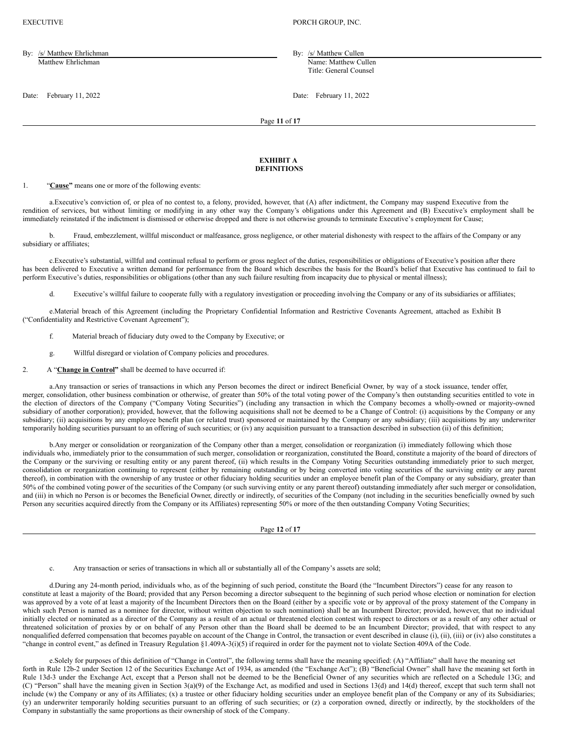EXECUTIVE **PORCH GROUP, INC.** 

By: /s/ Matthew Ehrlichman By: /s/ Matthew Cullen Matthew Ehrlichman Name: Matthew Cullen

Title: General Counsel

Date: February 11, 2022 Date: February 11, 2022

Page **11** of **17**

#### **EXHIBIT A DEFINITIONS**

## 1. "**Cause"** means one or more of the following events:

a.Executive's conviction of, or plea of no contest to, a felony, provided, however, that (A) after indictment, the Company may suspend Executive from the rendition of services, but without limiting or modifying in any other way the Company's obligations under this Agreement and (B) Executive's employment shall be immediately reinstated if the indictment is dismissed or otherwise dropped and there is not otherwise grounds to terminate Executive's employment for Cause;

b. Fraud, embezzlement, willful misconduct or malfeasance, gross negligence, or other material dishonesty with respect to the affairs of the Company or any subsidiary or affiliates;

c.Executive's substantial, willful and continual refusal to perform or gross neglect of the duties, responsibilities or obligations of Executive's position after there has been delivered to Executive a written demand for performance from the Board which describes the basis for the Board's belief that Executive has continued to fail to perform Executive's duties, responsibilities or obligations (other than any such failure resulting from incapacity due to physical or mental illness);

Executive's willful failure to cooperate fully with a regulatory investigation or proceeding involving the Company or any of its subsidiaries or affiliates;

e.Material breach of this Agreement (including the Proprietary Confidential Information and Restrictive Covenants Agreement, attached as Exhibit B ("Confidentiality and Restrictive Covenant Agreement");

- f. Material breach of fiduciary duty owed to the Company by Executive; or
- g. Willful disregard or violation of Company policies and procedures.
- 2. A "**Change in Control"** shall be deemed to have occurred if:

a.Any transaction or series of transactions in which any Person becomes the direct or indirect Beneficial Owner, by way of a stock issuance, tender offer, merger, consolidation, other business combination or otherwise, of greater than 50% of the total voting power of the Company's then outstanding securities entitled to vote in the election of directors of the Company ("Company Voting Securities") (including any transaction in which the Company becomes a wholly-owned or majority-owned subsidiary of another corporation); provided, however, that the following acquisitions shall not be deemed to be a Change of Control: (i) acquisitions by the Company or any subsidiary; (ii) acquisitions by any employee benefit plan (or related trust) sponsored or maintained by the Company or any subsidiary; (iii) acquisitions by any underwriter temporarily holding securities pursuant to an offering of such securities; or (iv) any acquisition pursuant to a transaction described in subsection (ii) of this definition;

b.Any merger or consolidation or reorganization of the Company other than a merger, consolidation or reorganization (i) immediately following which those individuals who, immediately prior to the consummation of such merger, consolidation or reorganization, constituted the Board, constitute a majority of the board of directors of the Company or the surviving or resulting entity or any parent thereof, (ii) which results in the Company Voting Securities outstanding immediately prior to such merger, consolidation or reorganization continuing to represent (either by remaining outstanding or by being converted into voting securities of the surviving entity or any parent thereof), in combination with the ownership of any trustee or other fiduciary holding securities under an employee benefit plan of the Company or any subsidiary, greater than 50% of the combined voting power of the securities of the Company (or such surviving entity or any parent thereof) outstanding immediately after such merger or consolidation, and (iii) in which no Person is or becomes the Beneficial Owner, directly or indirectly, of securities of the Company (not including in the securities beneficially owned by such Person any securities acquired directly from the Company or its Affiliates) representing 50% or more of the then outstanding Company Voting Securities;

Page **12** of **17**

c. Any transaction or series of transactions in which all or substantially all of the Company's assets are sold;

d.During any 24-month period, individuals who, as of the beginning of such period, constitute the Board (the "Incumbent Directors") cease for any reason to constitute at least a majority of the Board; provided that any Person becoming a director subsequent to the beginning of such period whose election or nomination for election was approved by a vote of at least a majority of the Incumbent Directors then on the Board (either by a specific vote or by approval of the proxy statement of the Company in which such Person is named as a nominee for director, without written objection to such nomination) shall be an Incumbent Director; provided, however, that no individual initially elected or nominated as a director of the Company as a result of an actual or threatened election contest with respect to directors or as a result of any other actual or threatened solicitation of proxies by or on behalf of any Person other than the Board shall be deemed to be an Incumbent Director; provided, that with respect to any nonqualified deferred compensation that becomes payable on account of the Change in Control, the transaction or event described in clause (i), (ii), (iii) or (iv) also constitutes a "change in control event," as defined in Treasury Regulation §1.409A-3(i)(5) if required in order for the payment not to violate Section 409A of the Code.

e.Solely for purposes of this definition of "Change in Control", the following terms shall have the meaning specified: (A) "Affiliate" shall have the meaning set forth in Rule 12b-2 under Section 12 of the Securities Exchange Act of 1934, as amended (the "Exchange Act"); (B) "Beneficial Owner" shall have the meaning set forth in Rule 13d-3 under the Exchange Act, except that a Person shall not be deemed to be the Beneficial Owner of any securities which are reflected on a Schedule 13G; and (C) "Person" shall have the meaning given in Section 3(a)(9) of the Exchange Act, as modified and used in Sections 13(d) and 14(d) thereof, except that such term shall not include (w) the Company or any of its Affiliates; (x) a trustee or other fiduciary holding securities under an employee benefit plan of the Company or any of its Subsidiaries; (y) an underwriter temporarily holding securities pursuant to an offering of such securities; or (z) a corporation owned, directly or indirectly, by the stockholders of the Company in substantially the same proportions as their ownership of stock of the Company.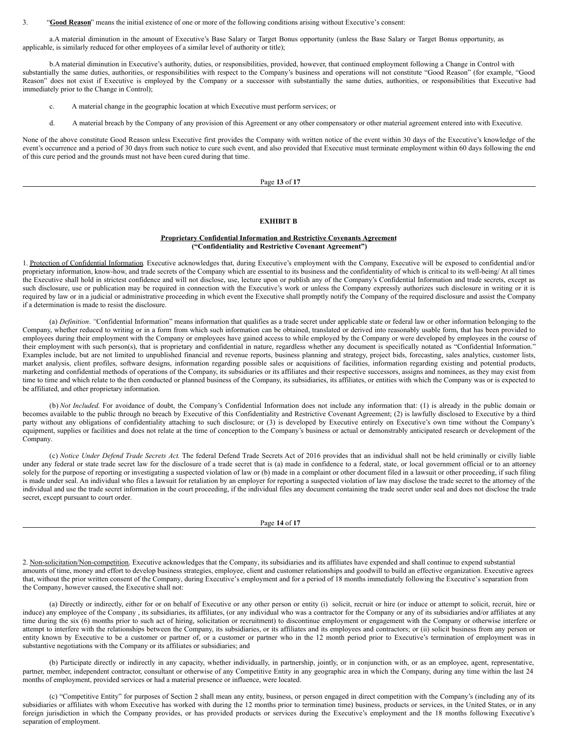3. "**Good Reason**" means the initial existence of one or more of the following conditions arising without Executive's consent:

a.A material diminution in the amount of Executive's Base Salary or Target Bonus opportunity (unless the Base Salary or Target Bonus opportunity, as applicable, is similarly reduced for other employees of a similar level of authority or title);

b.A material diminution in Executive's authority, duties, or responsibilities, provided, however, that continued employment following a Change in Control with substantially the same duties, authorities, or responsibilities with respect to the Company's business and operations will not constitute "Good Reason" (for example, "Good Reason" does not exist if Executive is employed by the Company or a successor with substantially the same duties, authorities, or responsibilities that Executive had immediately prior to the Change in Control);

- c. A material change in the geographic location at which Executive must perform services; or
- d. A material breach by the Company of any provision of this Agreement or any other compensatory or other material agreement entered into with Executive.

None of the above constitute Good Reason unless Executive first provides the Company with written notice of the event within 30 days of the Executive's knowledge of the event's occurrence and a period of 30 days from such notice to cure such event, and also provided that Executive must terminate employment within 60 days following the end of this cure period and the grounds must not have been cured during that time.

#### Page **13** of **17**

### **EXHIBIT B**

### **Proprietary Confidential Information and Restrictive Covenants Agreement ("Confidentiality and Restrictive Covenant Agreement")**

1. Protection of Confidential Information. Executive acknowledges that, during Executive's employment with the Company, Executive will be exposed to confidential and/or proprietary information, know-how, and trade secrets of the Company which are essential to its business and the confidentiality of which is critical to its well-being/ At all times the Executive shall hold in strictest confidence and will not disclose, use, lecture upon or publish any of the Company's Confidential Information and trade secrets, except as such disclosure, use or publication may be required in connection with the Executive's work or unless the Company expressly authorizes such disclosure in writing or it is required by law or in a judicial or administrative proceeding in which event the Executive shall promptly notify the Company of the required disclosure and assist the Company if a determination is made to resist the disclosure.

(a) *Definition*. "Confidential Information" means information that qualifies as a trade secret under applicable state or federal law or other information belonging to the Company, whether reduced to writing or in a form from which such information can be obtained, translated or derived into reasonably usable form, that has been provided to employees during their employment with the Company or employees have gained access to while employed by the Company or were developed by employees in the course of their employment with such person(s), that is proprietary and confidential in nature, regardless whether any document is specifically notated as "Confidential Information." Examples include, but are not limited to unpublished financial and revenue reports, business planning and strategy, project bids, forecasting, sales analytics, customer lists, market analysis, client profiles, software designs, information regarding possible sales or acquisitions of facilities, information regarding existing and potential products, marketing and confidential methods of operations of the Company, its subsidiaries or its affiliates and their respective successors, assigns and nominees, as they may exist from time to time and which relate to the then conducted or planned business of the Company, its subsidiaries, its affiliates, or entities with which the Company was or is expected to be affiliated, and other proprietary information.

(b) *Not Included*. For avoidance of doubt, the Company's Confidential Information does not include any information that: (1) is already in the public domain or becomes available to the public through no breach by Executive of this Confidentiality and Restrictive Covenant Agreement; (2) is lawfully disclosed to Executive by a third party without any obligations of confidentiality attaching to such disclosure; or (3) is developed by Executive entirely on Executive's own time without the Company's equipment, supplies or facilities and does not relate at the time of conception to the Company's business or actual or demonstrably anticipated research or development of the Company.

(c) *Notice Under Defend Trade Secrets Act*. The federal Defend Trade Secrets Act of 2016 provides that an individual shall not be held criminally or civilly liable under any federal or state trade secret law for the disclosure of a trade secret that is (a) made in confidence to a federal, state, or local government official or to an attorney solely for the purpose of reporting or investigating a suspected violation of law or (b) made in a complaint or other document filed in a lawsuit or other proceeding, if such filing is made under seal. An individual who files a lawsuit for retaliation by an employer for reporting a suspected violation of law may disclose the trade secret to the attorney of the individual and use the trade secret information in the court proceeding, if the individual files any document containing the trade secret under seal and does not disclose the trade secret, except pursuant to court order.

Page **14** of **17**

2. Non-solicitation/Non-competition. Executive acknowledges that the Company, its subsidiaries and its affiliates have expended and shall continue to expend substantial amounts of time, money and effort to develop business strategies, employee, client and customer relationships and goodwill to build an effective organization. Executive agrees that, without the prior written consent of the Company, during Executive's employment and for a period of 18 months immediately following the Executive's separation from the Company, however caused, the Executive shall not:

(a) Directly or indirectly, either for or on behalf of Executive or any other person or entity (i) solicit, recruit or hire (or induce or attempt to solicit, recruit, hire or induce) any employee of the Company, its subsidiaries, its affiliates, (or any individual who was a contractor for the Company or any of its subsidiaries and/or affiliates at any time during the six (6) months prior to such act of hiring, solicitation or recruitment) to discontinue employment or engagement with the Company or otherwise interfere or attempt to interfere with the relationships between the Company, its subsidiaries, or its affiliates and its employees and contractors; or (ii) solicit business from any person or entity known by Executive to be a customer or partner of, or a customer or partner who in the 12 month period prior to Executive's termination of employment was in substantive negotiations with the Company or its affiliates or subsidiaries; and

(b) Participate directly or indirectly in any capacity, whether individually, in partnership, jointly, or in conjunction with, or as an employee, agent, representative, partner, member, independent contractor, consultant or otherwise of any Competitive Entity in any geographic area in which the Company, during any time within the last 24 months of employment, provided services or had a material presence or influence, were located.

(c) "Competitive Entity" for purposes of Section 2 shall mean any entity, business, or person engaged in direct competition with the Company's (including any of its subsidiaries or affiliates with whom Executive has worked with during the 12 months prior to termination time) business, products or services, in the United States, or in any foreign jurisdiction in which the Company provides, or has provided products or services during the Executive's employment and the 18 months following Executive's separation of employment.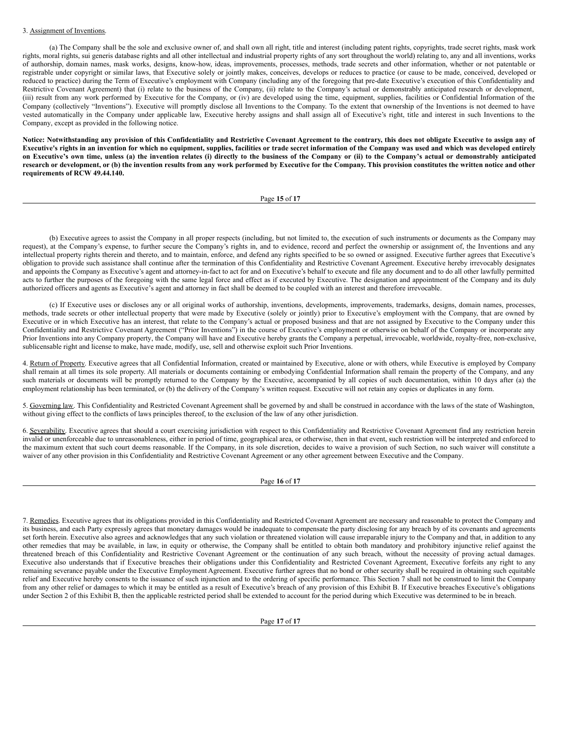### 3. Assignment of Inventions.

(a) The Company shall be the sole and exclusive owner of, and shall own all right, title and interest (including patent rights, copyrights, trade secret rights, mask work rights, moral rights, sui generis database rights and all other intellectual and industrial property rights of any sort throughout the world) relating to, any and all inventions, works of authorship, domain names, mask works, designs, know-how, ideas, improvements, processes, methods, trade secrets and other information, whether or not patentable or registrable under copyright or similar laws, that Executive solely or jointly makes, conceives, develops or reduces to practice (or cause to be made, conceived, developed or reduced to practice) during the Term of Executive's employment with Company (including any of the foregoing that pre-date Executive's execution of this Confidentiality and Restrictive Covenant Agreement) that (i) relate to the business of the Company, (ii) relate to the Company's actual or demonstrably anticipated research or development, (iii) result from any work performed by Executive for the Company, or (iv) are developed using the time, equipment, supplies, facilities or Confidential Information of the Company (collectively "Inventions"). Executive will promptly disclose all Inventions to the Company. To the extent that ownership of the Inventions is not deemed to have vested automatically in the Company under applicable law, Executive hereby assigns and shall assign all of Executive's right, title and interest in such Inventions to the Company, except as provided in the following notice.

Notice: Notwithstanding any provision of this Confidentiality and Restrictive Covenant Agreement to the contrary, this does not obligate Executive to assign any of Executive's rights in an invention for which no equipment, supplies, facilities or trade secret information of the Company was used and which was developed entirely on Executive's own time, unless (a) the invention relates (i) directly to the business of the Company or (ii) to the Company's actual or demonstrably anticipated research or development, or (b) the invention results from any work performed by Executive for the Company. This provision constitutes the written notice and other **requirements of RCW 49.44.140.**

#### Page **15** of **17**

(b) Executive agrees to assist the Company in all proper respects (including, but not limited to, the execution of such instruments or documents as the Company may request), at the Company's expense, to further secure the Company's rights in, and to evidence, record and perfect the ownership or assignment of, the Inventions and any intellectual property rights therein and thereto, and to maintain, enforce, and defend any rights specified to be so owned or assigned. Executive further agrees that Executive's obligation to provide such assistance shall continue after the termination of this Confidentiality and Restrictive Covenant Agreement. Executive hereby irrevocably designates and appoints the Company as Executive's agent and attorney-in-fact to act for and on Executive's behalf to execute and file any document and to do all other lawfully permitted acts to further the purposes of the foregoing with the same legal force and effect as if executed by Executive. The designation and appointment of the Company and its duly authorized officers and agents as Executive's agent and attorney in fact shall be deemed to be coupled with an interest and therefore irrevocable.

(c) If Executive uses or discloses any or all original works of authorship, inventions, developments, improvements, trademarks, designs, domain names, processes, methods, trade secrets or other intellectual property that were made by Executive (solely or jointly) prior to Executive's employment with the Company, that are owned by Executive or in which Executive has an interest, that relate to the Company's actual or proposed business and that are not assigned by Executive to the Company under this Confidentiality and Restrictive Covenant Agreement ("Prior Inventions") in the course of Executive's employment or otherwise on behalf of the Company or incorporate any Prior Inventions into any Company property, the Company will have and Executive hereby grants the Company a perpetual, irrevocable, worldwide, royalty-free, non-exclusive, sublicensable right and license to make, have made, modify, use, sell and otherwise exploit such Prior Inventions.

4. Return of Property. Executive agrees that all Confidential Information, created or maintained by Executive, alone or with others, while Executive is employed by Company shall remain at all times its sole property. All materials or documents containing or embodying Confidential Information shall remain the property of the Company, and any such materials or documents will be promptly returned to the Company by the Executive, accompanied by all copies of such documentation, within 10 days after (a) the employment relationship has been terminated, or (b) the delivery of the Company's written request. Executive will not retain any copies or duplicates in any form.

5. Governing law. This Confidentiality and Restricted Covenant Agreement shall be governed by and shall be construed in accordance with the laws of the state of Washington, without giving effect to the conflicts of laws principles thereof, to the exclusion of the law of any other jurisdiction.

6. Severability. Executive agrees that should a court exercising jurisdiction with respect to this Confidentiality and Restrictive Covenant Agreement find any restriction herein invalid or unenforceable due to unreasonableness, either in period of time, geographical area, or otherwise, then in that event, such restriction will be interpreted and enforced to the maximum extent that such court deems reasonable. If the Company, in its sole discretion, decides to waive a provision of such Section, no such waiver will constitute a waiver of any other provision in this Confidentiality and Restrictive Covenant Agreement or any other agreement between Executive and the Company.

Page **16** of **17**

7. Remedies. Executive agrees that its obligations provided in this Confidentiality and Restricted Covenant Agreement are necessary and reasonable to protect the Company and its business, and each Party expressly agrees that monetary damages would be inadequate to compensate the party disclosing for any breach by of its covenants and agreements set forth herein. Executive also agrees and acknowledges that any such violation or threatened violation will cause irreparable injury to the Company and that, in addition to any other remedies that may be available, in law, in equity or otherwise, the Company shall be entitled to obtain both mandatory and prohibitory injunctive relief against the threatened breach of this Confidentiality and Restrictive Covenant Agreement or the continuation of any such breach, without the necessity of proving actual damages. Executive also understands that if Executive breaches their obligations under this Confidentiality and Restricted Covenant Agreement, Executive forfeits any right to any remaining severance payable under the Executive Employment Agreement. Executive further agrees that no bond or other security shall be required in obtaining such equitable relief and Executive hereby consents to the issuance of such injunction and to the ordering of specific performance. This Section 7 shall not be construed to limit the Company from any other relief or damages to which it may be entitled as a result of Executive's breach of any provision of this Exhibit B. If Executive breaches Executive's obligations under Section 2 of this Exhibit B, then the applicable restricted period shall be extended to account for the period during which Executive was determined to be in breach.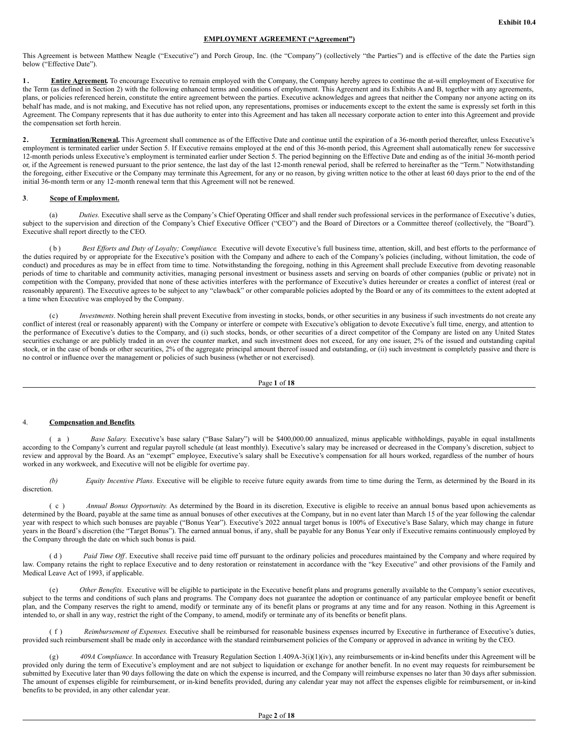### **EMPLOYMENT AGREEMENT ("Agreement")**

This Agreement is between Matthew Neagle ("Executive") and Porch Group, Inc. (the "Company") (collectively "the Parties") and is effective of the date the Parties sign below ("Effective Date").

**1. Entire Agreement.** To encourage Executive to remain employed with the Company, the Company hereby agrees to continue the at-will employment of Executive for the Term (as defined in Section 2) with the following enhanced terms and conditions of employment. This Agreement and its Exhibits A and B, together with any agreements, plans, or policies referenced herein, constitute the entire agreement between the parties. Executive acknowledges and agrees that neither the Company nor anyone acting on its behalf has made, and is not making, and Executive has not relied upon, any representations, promises or inducements except to the extent the same is expressly set forth in this Agreement. The Company represents that it has due authority to enter into this Agreement and has taken all necessary corporate action to enter into this Agreement and provide the compensation set forth herein.

2. **Termination/Renewal.** This Agreement shall commence as of the Effective Date and continue until the expiration of a 36-month period thereafter, unless Executive's employment is terminated earlier under Section 5. If Executive remains employed at the end of this 36-month period, this Agreement shall automatically renew for successive 12-month periods unless Executive's employment is terminated earlier under Section 5. The period beginning on the Effective Date and ending as of the initial 36-month period or, if the Agreement is renewed pursuant to the prior sentence, the last day of the last 12-month renewal period, shall be referred to hereinafter as the "Term." Notwithstanding the foregoing, either Executive or the Company may terminate this Agreement, for any or no reason, by giving written notice to the other at least 60 days prior to the end of the initial 36-month term or any 12-month renewal term that this Agreement will not be renewed.

## **3**. **Scope of Employment.**

(a) *Duties*. Executive shall serve as the Company's Chief Operating Officer and shall render such professional services in the performance of Executive's duties, subject to the supervision and direction of the Company's Chief Executive Officer ("CEO") and the Board of Directors or a Committee thereof (collectively, the "Board"). Executive shall report directly to the CEO.

( b ) *Best Ef orts and Duty of Loyalty; Compliance*. Executive will devote Executive's full business time, attention, skill, and best efforts to the performance of the duties required by or appropriate for the Executive's position with the Company and adhere to each of the Company's policies (including, without limitation, the code of conduct) and procedures as may be in effect from time to time. Notwithstanding the foregoing, nothing in this Agreement shall preclude Executive from devoting reasonable periods of time to charitable and community activities, managing personal investment or business assets and serving on boards of other companies (public or private) not in competition with the Company, provided that none of these activities interferes with the performance of Executive's duties hereunder or creates a conflict of interest (real or reasonably apparent). The Executive agrees to be subject to any "clawback" or other comparable policies adopted by the Board or any of its committees to the extent adopted at a time when Executive was employed by the Company.

(c) *Investments*. Nothing herein shall prevent Executive from investing in stocks, bonds, or other securities in any business if such investments do not create any conflict of interest (real or reasonably apparent) with the Company or interfere or compete with Executive's obligation to devote Executive's full time, energy, and attention to the performance of Executive's duties to the Company, and (i) such stocks, bonds, or other securities of a direct competitor of the Company are listed on any United States securities exchange or are publicly traded in an over the counter market, and such investment does not exceed, for any one issuer, 2% of the issued and outstanding capital stock, or in the case of bonds or other securities, 2% of the aggregate principal amount thereof issued and outstanding, or (ii) such investment is completely passive and there is no control or influence over the management or policies of such business (whether or not exercised).

Page **1** of **18**

### 4. **Compensation and Benefits***.*

( a ) *Base Salary.* Executive's base salary ("Base Salary") will be \$400,000.00 annualized, minus applicable withholdings, payable in equal installments according to the Company's current and regular payroll schedule (at least monthly). Executive's salary may be increased or decreased in the Company's discretion, subject to review and approval by the Board. As an "exempt" employee, Executive's salary shall be Executive's compensation for all hours worked, regardless of the number of hours worked in any workweek, and Executive will not be eligible for overtime pay.

*(b) Equity Incentive Plans.* Executive will be eligible to receive future equity awards from time to time during the Term, as determined by the Board in its discretion.

( c ) *Annual Bonus Opportunity.* As determined by the Board in its discretion*,* Executive is eligible to receive an annual bonus based upon achievements as determined by the Board, payable at the same time as annual bonuses of other executives at the Company, but in no event later than March 15 of the year following the calendar year with respect to which such bonuses are payable ("Bonus Year"). Executive's 2022 annual target bonus is 100% of Executive's Base Salary, which may change in future years in the Board's discretion (the "Target Bonus"). The earned annual bonus, if any, shall be payable for any Bonus Year only if Executive remains continuously employed by the Company through the date on which such bonus is paid.

(d) *Paid Time Off*. Executive shall receive paid time off pursuant to the ordinary policies and procedures maintained by the Company and where required by law. Company retains the right to replace Executive and to deny restoration or reinstatement in accordance with the "key Executive" and other provisions of the Family and Medical Leave Act of 1993, if applicable.

(e) *Other Benefits*. Executive will be eligible to participate in the Executive benefit plans and programs generally available to the Company's senior executives, subject to the terms and conditions of such plans and programs. The Company does not guarantee the adoption or continuance of any particular employee benefit or benefit plan, and the Company reserves the right to amend, modify or terminate any of its benefit plans or programs at any time and for any reason. Nothing in this Agreement is intended to, or shall in any way, restrict the right of the Company, to amend, modify or terminate any of its benefits or benefit plans.

( f ) *Reimbursement of Expenses*. Executive shall be reimbursed for reasonable business expenses incurred by Executive in furtherance of Executive's duties, provided such reimbursement shall be made only in accordance with the standard reimbursement policies of the Company or approved in advance in writing by the CEO.

(g) *409A Compliance.* In accordance with Treasury Regulation Section 1.409A-3(i)(1)(iv), any reimbursements or in-kind benefits under this Agreement will be provided only during the term of Executive's employment and are not subject to liquidation or exchange for another benefit. In no event may requests for reimbursement be submitted by Executive later than 90 days following the date on which the expense is incurred, and the Company will reimburse expenses no later than 30 days after submission. The amount of expenses eligible for reimbursement, or in-kind benefits provided, during any calendar year may not affect the expenses eligible for reimbursement, or in-kind benefits to be provided, in any other calendar year.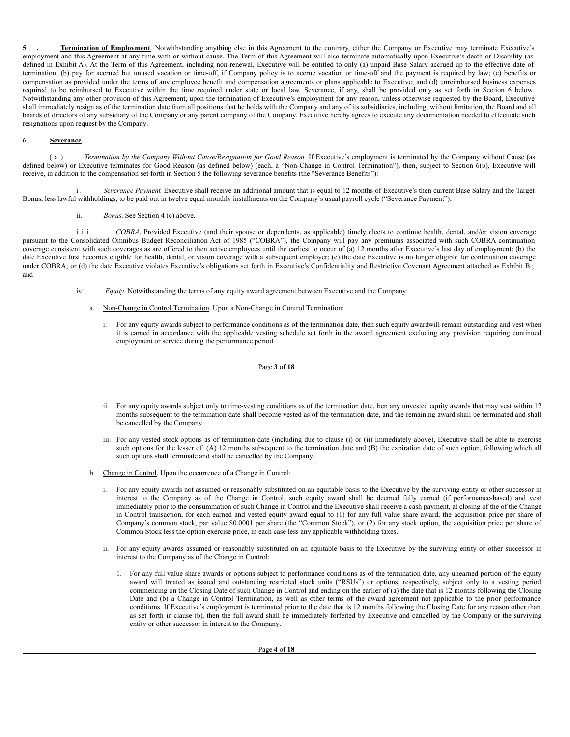**5 . Termination of Employment**. Notwithstanding anything else in this Agreement to the contrary, either the Company or Executive may terminate Executive's employment and this Agreement at any time with or without cause. The Term of this Agreement will also terminate automatically upon Executive's death or Disability (as defined in Exhibit A). At the Term of this Agreement, including non-renewal, Executive will be entitled to only (a) unpaid Base Salary accrued up to the effective date of termination; (b) pay for accrued but unused vacation or time-off, if Company policy is to accrue vacation or time-off and the payment is required by law; (c) benefits or compensation as provided under the terms of any employee benefit and compensation agreements or plans applicable to Executive; and (d) unreimbursed business expenses required to be reimbursed to Executive within the time required under state or local law. Severance, if any, shall be provided only as set forth in Section 6 below. Notwithstanding any other provision of this Agreement, upon the termination of Executive's employment for any reason, unless otherwise requested by the Board, Executive shall immediately resign as of the termination date from all positions that he holds with the Company and any of its subsidiaries, including, without limitation, the Board and all boards of directors of any subsidiary of the Company or any parent company of the Company. Executive hereby agrees to execute any documentation needed to effectuate such resignations upon request by the Company.

# 6. **Severance**.

( a ) *Termination by the Company Without Cause/Resignation for Good Reason.* If Executive's employment is terminated by the Company without Cause (as defined below) or Executive terminates for Good Reason (as defined below) (each, a "Non-Change in Control Termination"), then, subject to Section 6(b), Executive will receive, in addition to the compensation set forth in Section 5 the following severance benefits (the "Severance Benefits"):

i. *Severance Payment*. Executive shall receive an additional amount that is equal to 12 months of Executive's then current Base Salary and the Target Bonus, less lawful withholdings, to be paid out in twelve equal monthly installments on the Company's usual payroll cycle ("Severance Payment");

ii. *Bonus*. See Section 4 (c) above.

i i i . *COBRA*. Provided Executive (and their spouse or dependents, as applicable) timely elects to continue health, dental, and/or vision coverage pursuant to the Consolidated Omnibus Budget Reconciliation Act of 1985 ("COBRA"), the Company will pay any premiums associated with such COBRA continuation coverage consistent with such coverages as are offered to then active employees until the earliest to occur of (a) 12 months after Executive's last day of employment; (b) the date Executive first becomes eligible for health, dental, or vision coverage with a subsequent employer; (c) the date Executive is no longer eligible for continuation coverage under COBRA; or (d) the date Executive violates Executive's obligations set forth in Executive's Confidentiality and Restrictive Covenant Agreement attached as Exhibit B.; and

- iv. *Equity.* Notwithstanding the terms of any equity award agreement between Executive and the Company:
	- a. Non-Change in Control Termination. Upon a Non-Change in Control Termination:
		- i. For any equity awards subject to performance conditions as of the termination date, then such equity awardwill remain outstanding and vest when it is earned in accordance with the applicable vesting schedule set forth in the award agreement excluding any provision requiring continued employment or service during the performance period.

Page **3** of **18**

- ii. For any equity awards subject only to time-vesting conditions as of the termination date, then any unvested equity awards that may vest within 12 months subsequent to the termination date shall become vested as of the termination date, and the remaining award shall be terminated and shall be cancelled by the Company.
- iii. For any vested stock options as of termination date (including due to clause (i) or (ii) immediately above), Executive shall be able to exercise such options for the lesser of: (A) 12 months subsequent to the termination date and (B) the expiration date of such option, following which all such options shall terminate and shall be cancelled by the Company.
- b. Change in Control. Upon the occurrence of a Change in Control:
	- i. For any equity awards not assumed or reasonably substituted on an equitable basis to the Executive by the surviving entity or other successor in interest to the Company as of the Change in Control, such equity award shall be deemed fully earned (if performance-based) and vest immediately prior to the consummation of such Change in Control and the Executive shall receive a cash payment, at closing of the of the Change in Control transaction, for each earned and vested equity award equal to (1) for any full value share award, the acquisition price per share of Company's common stock, par value \$0.0001 per share (the "Common Stock"), or (2) for any stock option, the acquisition price per share of Common Stock less the option exercise price, in each case less any applicable withholding taxes.
	- ii. For any equity awards assumed or reasonably substituted on an equitable basis to the Executive by the surviving entity or other successor in interest to the Company as of the Change in Control:
		- 1. For any full value share awards or options subject to performance conditions as of the termination date, any unearned portion of the equity award will treated as issued and outstanding restricted stock units ("RSUs") or options, respectively, subject only to a vesting period commencing on the Closing Date of such Change in Control and ending on the earlier of (a) the date that is 12 months following the Closing Date and (b) a Change in Control Termination, as well as other terms of the award agreement not applicable to the prior performance conditions. If Executive's employment is terminated prior to the date that is 12 months following the Closing Date for any reason other than as set forth in clause (b), then the full award shall be immediately forfeited by Executive and cancelled by the Company or the surviving entity or other successor in interest to the Company.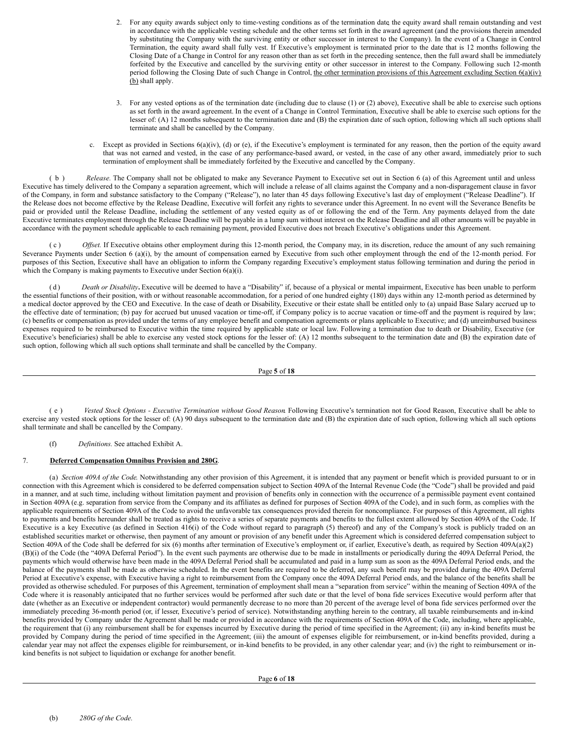- 2. For any equity awards subject only to time-vesting conditions as of the termination date, the equity award shall remain outstanding and vest in accordance with the applicable vesting schedule and the other terms set forth in the award agreement (and the provisions therein amended by substituting the Company with the surviving entity or other successor in interest to the Company). In the event of a Change in Control Termination, the equity award shall fully vest. If Executive's employment is terminated prior to the date that is 12 months following the Closing Date of a Change in Control for any reason other than as set forth in the preceding sentence, then the full award shall be immediately forfeited by the Executive and cancelled by the surviving entity or other successor in interest to the Company. Following such 12-month period following the Closing Date of such Change in Control, the other termination provisions of this Agreement excluding Section  $6(a)(iv)$ (b) shall apply.
- 3. For any vested options as of the termination date (including due to clause (1) or (2) above), Executive shall be able to exercise such options as set forth in the award agreement. In the event of a Change in Control Termination, Executive shall be able to exercise such options for the lesser of: (A) 12 months subsequent to the termination date and (B) the expiration date of such option, following which all such options shall terminate and shall be cancelled by the Company.
- c. Except as provided in Sections  $6(a)(iv)$ , (d) or (e), if the Executive's employment is terminated for any reason, then the portion of the equity award that was not earned and vested, in the case of any performance-based award, or vested, in the case of any other award, immediately prior to such termination of employment shall be immediately forfeited by the Executive and cancelled by the Company.

( b ) *Release.* The Company shall not be obligated to make any Severance Payment to Executive set out in Section 6 (a) of this Agreement until and unless Executive has timely delivered to the Company a separation agreement, which will include a release of all claims against the Company and a non-disparagement clause in favor of the Company, in form and substance satisfactory to the Company ("Release"), no later than 45 days following Executive's last day of employment ("Release Deadline"). If the Release does not become effective by the Release Deadline, Executive will forfeit any rights to severance under this Agreement. In no event will the Severance Benefits be paid or provided until the Release Deadline, including the settlement of any vested equity as of or following the end of the Term. Any payments delayed from the date Executive terminates employment through the Release Deadline will be payable in a lump sum without interest on the Release Deadline and all other amounts will be payable in accordance with the payment schedule applicable to each remaining payment, provided Executive does not breach Executive's obligations under this Agreement.

( c ) *Of set.* If Executive obtains other employment during this 12-month period, the Company may, in its discretion, reduce the amount of any such remaining Severance Payments under Section 6 (a)(i), by the amount of compensation earned by Executive from such other employment through the end of the 12-month period. For purposes of this Section, Executive shall have an obligation to inform the Company regarding Executive's employment status following termination and during the period in which the Company is making payments to Executive under Section  $6(a)(i)$ .

(d) *Death or Disability*. Executive will be deemed to have a "Disability" if, because of a physical or mental impairment, Executive has been unable to perform the essential functions of their position, with or without reasonable accommodation, for a period of one hundred eighty (180) days within any 12-month period as determined by a medical doctor approved by the CEO and Executive. In the case of death or Disability, Executive or their estate shall be entitled only to (a) unpaid Base Salary accrued up to the effective date of termination; (b) pay for accrued but unused vacation or time-off, if Company policy is to accrue vacation or time-off and the payment is required by law; (c) benefits or compensation as provided under the terms of any employee benefit and compensation agreements or plans applicable to Executive; and (d) unreimbursed business expenses required to be reimbursed to Executive within the time required by applicable state or local law. Following a termination due to death or Disability, Executive (or Executive's beneficiaries) shall be able to exercise any vested stock options for the lesser of: (A) 12 months subsequent to the termination date and (B) the expiration date of such option, following which all such options shall terminate and shall be cancelled by the Company.

Page **5** of **18**

( e ) *Vested Stock Options - Executive Termination without Good Reason*. Following Executive's termination not for Good Reason, Executive shall be able to exercise any vested stock options for the lesser of: (A) 90 days subsequent to the termination date and (B) the expiration date of such option, following which all such options shall terminate and shall be cancelled by the Company.

(f) *Definitions.* See attached Exhibit A.

# 7. **Deferred Compensation Omnibus Provision and 280G**.

(a) *Section 409A of the Code*. Notwithstanding any other provision of this Agreement, it is intended that any payment or benefit which is provided pursuant to or in connection with this Agreement which is considered to be deferred compensation subject to Section 409A of the Internal Revenue Code (the "Code") shall be provided and paid in a manner, and at such time, including without limitation payment and provision of benefits only in connection with the occurrence of a permissible payment event contained in Section 409A (e.g. separation from service from the Company and its affiliates as defined for purposes of Section 409A of the Code), and in such form, as complies with the applicable requirements of Section 409A of the Code to avoid the unfavorable tax consequences provided therein for noncompliance. For purposes of this Agreement, all rights to payments and benefits hereunder shall be treated as rights to receive a series of separate payments and benefits to the fullest extent allowed by Section 409A of the Code. If Executive is a key Executive (as defined in Section 416(i) of the Code without regard to paragraph (5) thereof) and any of the Company's stock is publicly traded on an established securities market or otherwise, then payment of any amount or provision of any benefit under this Agreement which is considered deferred compensation subject to Section 409A of the Code shall be deferred for six (6) months after termination of Executive's employment or, if earlier, Executive's death, as required by Section 409A(a)(2) (B)(i) of the Code (the "409A Deferral Period"). In the event such payments are otherwise due to be made in installments or periodically during the 409A Deferral Period, the payments which would otherwise have been made in the 409A Deferral Period shall be accumulated and paid in a lump sum as soon as the 409A Deferral Period ends, and the balance of the payments shall be made as otherwise scheduled. In the event benefits are required to be deferred, any such benefit may be provided during the 409A Deferral Period at Executive's expense, with Executive having a right to reimbursement from the Company once the 409A Deferral Period ends, and the balance of the benefits shall be provided as otherwise scheduled. For purposes of this Agreement, termination of employment shall mean a "separation from service" within the meaning of Section 409A of the Code where it is reasonably anticipated that no further services would be performed after such date or that the level of bona fide services Executive would perform after that date (whether as an Executive or independent contractor) would permanently decrease to no more than 20 percent of the average level of bona fide services performed over the immediately preceding 36-month period (or, if lesser, Executive's period of service). Notwithstanding anything herein to the contrary, all taxable reimbursements and in-kind benefits provided by Company under the Agreement shall be made or provided in accordance with the requirements of Section 409A of the Code, including, where applicable, the requirement that (i) any reimbursement shall be for expenses incurred by Executive during the period of time specified in the Agreement; (ii) any in-kind benefits must be provided by Company during the period of time specified in the Agreement; (iii) the amount of expenses eligible for reimbursement, or in-kind benefits provided, during a calendar year may not affect the expenses eligible for reimbursement, or in-kind benefits to be provided, in any other calendar year; and (iv) the right to reimbursement or inkind benefits is not subject to liquidation or exchange for another benefit.

Page **6** of **18**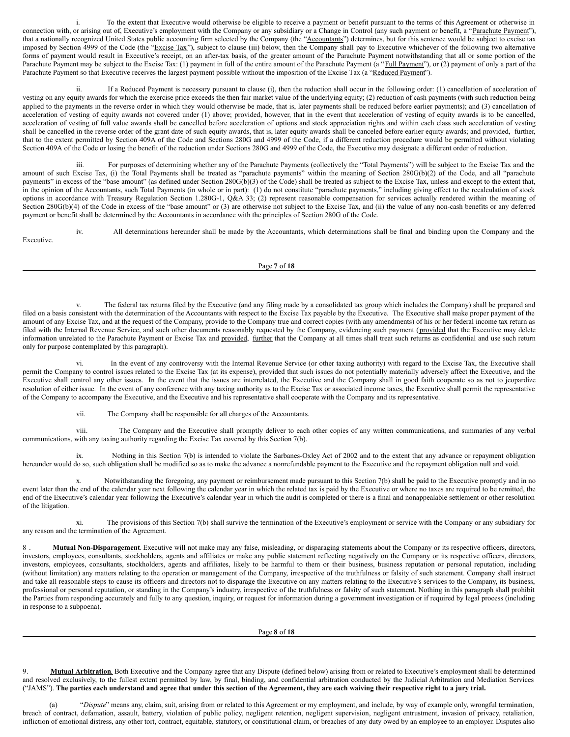<span id="page-28-0"></span>i. To the extent that Executive would otherwise be eligible to receive a payment or benefit pursuant to the terms of this Agreement or otherwise in connection with, or arising out of, Executive's employment with the Company or any subsidiary or a Change in Control (any such payment or benefit, a "Parachute Payment"), that a nationally recognized United States public accounting firm selected by the Company (the "Accountants") determines, but for this sentence would be subject to excise tax imposed by Section 4999 of the Code (the "Excise Tax"), subject to clause (iii) below, then the Company shall pay to Executive whichever of the following two alternative forms of payment would result in Executive's receipt, on an after-tax basis, of the greater amount of the Parachute Payment notwithstanding that all or some portion of the Parachute Payment may be subject to the Excise Tax: (1) payment in full of the entire amount of the Parachute Payment (a "Full Payment"), or (2) payment of only a part of the Parachute Payment so that Executive receives the largest payment possible without the imposition of the Excise Tax (a "Reduced Payment").

ii. If a Reduced Payment is necessary pursuant to clause (i), then the reduction shall occur in the following order: (1) cancellation of acceleration of vesting on any equity awards for which the exercise price exceeds the then fair market value of the underlying equity; (2) reduction of cash payments (with such reduction being applied to the payments in the reverse order in which they would otherwise be made, that is, later payments shall be reduced before earlier payments); and (3) cancellation of acceleration of vesting of equity awards not covered under (1) above; provided, however, that in the event that acceleration of vesting of equity awards is to be cancelled, acceleration of vesting of full value awards shall be cancelled before acceleration of options and stock appreciation rights and within each class such acceleration of vesting shall be cancelled in the reverse order of the grant date of such equity awards, that is, later equity awards shall be canceled before earlier equity awards; and provided, further, that to the extent permitted by Section 409A of the Code and Sections 280G and 4999 of the Code, if a different reduction procedure would be permitted without violating Section 409A of the Code or losing the benefit of the reduction under Sections 280G and 4999 of the Code, the Executive may designate a different order of reduction.

iii. For purposes of determining whether any of the Parachute Payments (collectively the "Total Payments") will be subject to the Excise Tax and the amount of such Excise Tax, (i) the Total Payments shall be treated as "parachute payments" within the meaning of Section 280G(b)(2) of the Code, and all "parachute payments" in excess of the "base amount" (as defined under Section 280G(b)(3) of the Code) shall be treated as subject to the Excise Tax, unless and except to the extent that, in the opinion of the Accountants, such Total Payments (in whole or in part): (1) do not constitute "parachute payments," including giving effect to the recalculation of stock options in accordance with Treasury Regulation Section 1.280G-1, Q&A 33; (2) represent reasonable compensation for services actually rendered within the meaning of Section 280G(b)(4) of the Code in excess of the "base amount" or (3) are otherwise not subject to the Excise Tax, and (ii) the value of any non-cash benefits or any deferred payment or benefit shall be determined by the Accountants in accordance with the principles of Section 280G of the Code.

iv. All determinations hereunder shall be made by the Accountants, which determinations shall be final and binding upon the Company and the Executive.

Page **7** of **18**

v. The federal tax returns filed by the Executive (and any filing made by a consolidated tax group which includes the Company) shall be prepared and filed on a basis consistent with the determination of the Accountants with respect to the Excise Tax payable by the Executive. The Executive shall make proper payment of the amount of any Excise Tax, and at the request of the Company, provide to the Company true and correct copies (with any amendments) of his or her federal income tax return as filed with the Internal Revenue Service, and such other documents reasonably requested by the Company, evidencing such payment (provided that the Executive may delete information unrelated to the Parachute Payment or Excise Tax and provided, further that the Company at all times shall treat such returns as confidential and use such return only for purpose contemplated by this paragraph).

In the event of any controversy with the Internal Revenue Service (or other taxing authority) with regard to the Excise Tax, the Executive shall permit the Company to control issues related to the Excise Tax (at its expense), provided that such issues do not potentially materially adversely affect the Executive, and the Executive shall control any other issues. In the event that the issues are interrelated, the Executive and the Company shall in good faith cooperate so as not to jeopardize resolution of either issue. In the event of any conference with any taxing authority as to the Excise Tax or associated income taxes, the Executive shall permit the representative of the Company to accompany the Executive, and the Executive and his representative shall cooperate with the Company and its representative.

vii. The Company shall be responsible for all charges of the Accountants.

viii. The Company and the Executive shall promptly deliver to each other copies of any written communications, and summaries of any verbal communications, with any taxing authority regarding the Excise Tax covered by this Section 7(b).

ix. Nothing in this Section 7(b) is intended to violate the Sarbanes-Oxley Act of 2002 and to the extent that any advance or repayment obligation hereunder would do so, such obligation shall be modified so as to make the advance a nonrefundable payment to the Executive and the repayment obligation null and void.

Notwithstanding the foregoing, any payment or reimbursement made pursuant to this Section 7(b) shall be paid to the Executive promptly and in no event later than the end of the calendar year next following the calendar year in which the related tax is paid by the Executive or where no taxes are required to be remitted, the end of the Executive's calendar year following the Executive's calendar year in which the audit is completed or there is a final and nonappealable settlement or other resolution of the litigation.

xi. The provisions of this Section 7(b) shall survive the termination of the Executive's employment or service with the Company or any subsidiary for any reason and the termination of the Agreement.

8 . **Mutual Non-Disparagement**. Executive will not make may any false, misleading, or disparaging statements about the Company or its respective officers, directors, investors, employees, consultants, stockholders, agents and affiliates or make any public statement reflecting negatively on the Company or its respective officers, directors, investors, employees, consultants, stockholders, agents and affiliates, likely to be harmful to them or their business, business reputation or personal reputation, including (without limitation) any matters relating to the operation or management of the Company, irrespective of the truthfulness or falsity of such statement. Company shall instruct and take all reasonable steps to cause its officers and directors not to disparage the Executive on any matters relating to the Executive's services to the Company, its business, professional or personal reputation, or standing in the Company's industry, irrespective of the truthfulness or falsity of such statement. Nothing in this paragraph shall prohibit the Parties from responding accurately and fully to any question, inquiry, or request for information during a government investigation or if required by legal process (including in response to a subpoena).

Page **8** of **18**

9. **Mutual Arbitration**. Both Executive and the Company agree that any Dispute (defined below) arising from or related to Executive's employment shall be determined and resolved exclusively, to the fullest extent permitted by law, by final, binding, and confidential arbitration conducted by the Judicial Arbitration and Mediation Services ("JAMS"). The parties each understand and agree that under this section of the Agreement, they are each waiving their respective right to a jury trial.

"Dispute" means any, claim, suit, arising from or related to this Agreement or my employment, and include, by way of example only, wrongful termination, breach of contract, defamation, assault, battery, violation of public policy, negligent retention, negligent supervision, negligent entrustment, invasion of privacy, retaliation, infliction of emotional distress, any other tort, contract, equitable, statutory, or constitutional claim, or breaches of any duty owed by an employee to an employer. Disputes also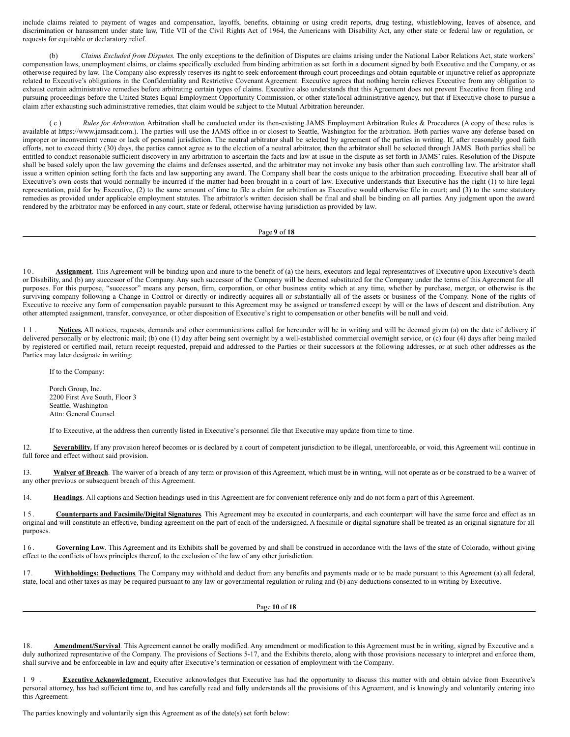include claims related to payment of wages and compensation, layoffs, benefits, obtaining or using credit reports, drug testing, whistleblowing, leaves of absence, and discrimination or harassment under state law, Title VII of the Civil Rights Act of 1964, the Americans with Disability Act, any other state or federal law or regulation, or requests for equitable or declaratory relief.

(b) *Claims Excluded from Disputes*. The only exceptions to the definition of Disputes are claims arising under the National Labor Relations Act, state workers' compensation laws, unemployment claims, or claims specifically excluded from binding arbitration as set forth in a document signed by both Executive and the Company, or as otherwise required by law. The Company also expressly reserves its right to seek enforcement through court proceedings and obtain equitable or injunctive relief as appropriate related to Executive's obligations in the Confidentiality and Restrictive Covenant Agreement. Executive agrees that nothing herein relieves Executive from any obligation to exhaust certain administrative remedies before arbitrating certain types of claims. Executive also understands that this Agreement does not prevent Executive from filing and pursuing proceedings before the United States Equal Employment Opportunity Commission, or other state/local administrative agency, but that if Executive chose to pursue a claim after exhausting such administrative remedies, that claim would be subject to the Mutual Arbitration hereunder.

( c ) *Rules for Arbitration*. Arbitration shall be conducted under its then-existing JAMS Employment Arbitration Rules & Procedures (A copy of these rules is available at https://www.jamsadr.com.). The parties will use the JAMS office in or closest to Seattle, Washington for the arbitration. Both parties waive any defense based on improper or inconvenient venue or lack of personal jurisdiction. The neutral arbitrator shall be selected by agreement of the parties in writing. If, after reasonably good faith efforts, not to exceed thirty (30) days, the parties cannot agree as to the election of a neutral arbitrator, then the arbitrator shall be selected through JAMS. Both parties shall be entitled to conduct reasonable sufficient discovery in any arbitration to ascertain the facts and law at issue in the dispute as set forth in JAMS' rules. Resolution of the Dispute shall be based solely upon the law governing the claims and defenses asserted, and the arbitrator may not invoke any basis other than such controlling law. The arbitrator shall issue a written opinion setting forth the facts and law supporting any award. The Company shall bear the costs unique to the arbitration proceeding. Executive shall bear all of Executive's own costs that would normally be incurred if the matter had been brought in a court of law. Executive understands that Executive has the right (1) to hire legal representation, paid for by Executive, (2) to the same amount of time to file a claim for arbitration as Executive would otherwise file in court; and (3) to the same statutory remedies as provided under applicable employment statutes. The arbitrator's written decision shall be final and shall be binding on all parties. Any judgment upon the award rendered by the arbitrator may be enforced in any court, state or federal, otherwise having jurisdiction as provided by law.

#### Page **9** of **18**

10. **Assignment**. This Agreement will be binding upon and inure to the benefit of (a) the heirs, executors and legal representatives of Executive upon Executive's death or Disability, and (b) any successor of the Company. Any such successor of the Company will be deemed substituted for the Company under the terms of this Agreement for all purposes. For this purpose, "successor" means any person, firm, corporation, or other business entity which at any time, whether by purchase, merger, or otherwise is the surviving company following a Change in Control or directly or indirectly acquires all or substantially all of the assets or business of the Company. None of the rights of Executive to receive any form of compensation payable pursuant to this Agreement may be assigned or transferred except by will or the laws of descent and distribution. Any other attempted assignment, transfer, conveyance, or other disposition of Executive's right to compensation or other benefits will be null and void.

1 1 . **Notices.** All notices, requests, demands and other communications called for hereunder will be in writing and will be deemed given (a) on the date of delivery if delivered personally or by electronic mail; (b) one (1) day after being sent overnight by a well-established commercial overnight service, or (c) four (4) days after being mailed by registered or certified mail, return receipt requested, prepaid and addressed to the Parties or their successors at the following addresses, or at such other addresses as the Parties may later designate in writing:

If to the Company:

Porch Group, Inc. 2200 First Ave South, Floor 3 Seattle, Washington Attn: General Counsel

If to Executive, at the address then currently listed in Executive's personnel file that Executive may update from time to time.

12. **Severability.** If any provision hereof becomes or is declared by a court of competent jurisdiction to be illegal, unenforceable, or void, this Agreement will continue in full force and effect without said provision.

13. **Waiver of Breach**. The waiver of a breach of any term or provision of this Agreement, which must be in writing, will not operate as or be construed to be a waiver of any other previous or subsequent breach of this Agreement.

14. **Headings**. All captions and Section headings used in this Agreement are for convenient reference only and do not form a part of this Agreement.

15. **Counterparts and Facsimile/Digital Signatures**. This Agreement may be executed in counterparts, and each counterpart will have the same force and effect as an original and will constitute an effective, binding agreement on the part of each of the undersigned. A facsimile or digital signature shall be treated as an original signature for all purposes.

16. **Governing Law**. This Agreement and its Exhibits shall be governed by and shall be construed in accordance with the laws of the state of Colorado, without giving effect to the conflicts of laws principles thereof, to the exclusion of the law of any other jurisdiction.

17. **Withholdings; Deductions**. The Company may withhold and deduct from any benefits and payments made or to be made pursuant to this Agreement (a) all federal, state, local and other taxes as may be required pursuant to any law or governmental regulation or ruling and (b) any deductions consented to in writing by Executive.

Page **10** of **18**

Amendment/Survival. This Agreement cannot be orally modified. Any amendment or modification to this Agreement must be in writing, signed by Executive and a duly authorized representative of the Company. The provisions of Sections 5-17, and the Exhibits thereto, along with those provisions necessary to interpret and enforce them, shall survive and be enforceable in law and equity after Executive's termination or cessation of employment with the Company.

1 9 . **Executive Acknowledgment**. Executive acknowledges that Executive has had the opportunity to discuss this matter with and obtain advice from Executive's personal attorney, has had sufficient time to, and has carefully read and fully understands all the provisions of this Agreement, and is knowingly and voluntarily entering into this Agreement.

The parties knowingly and voluntarily sign this Agreement as of the date(s) set forth below: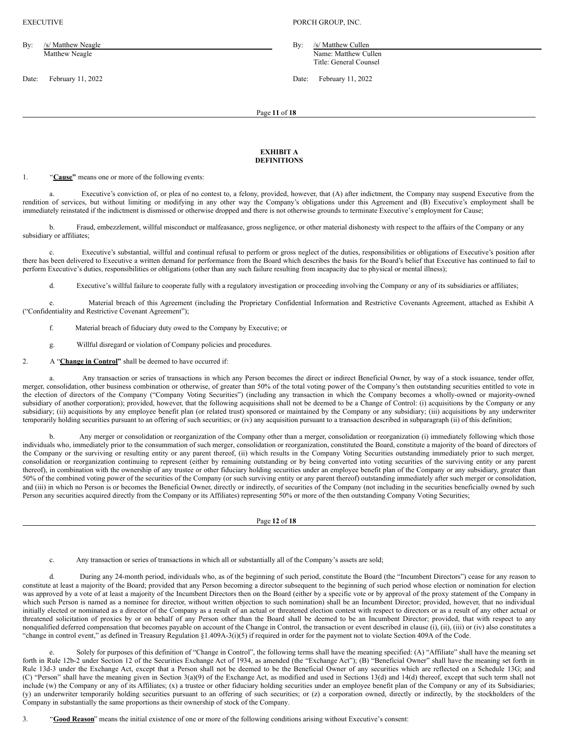| By: | /s/ Matthew Neagle |
|-----|--------------------|
|     | Matthew Neagle     |

Date: February 11, 2022 Date: February 11, 2022

EXECUTIVE **PORCH GROUP, INC.** 

By: /s/ Matthew Cullen Name: Matthew Cullen Title: General Counsel

Page **11** of **18**

## **EXHIBIT A DEFINITIONS**

1. "**Cause"** means one or more of the following events:

Executive's conviction of, or plea of no contest to, a felony, provided, however, that (A) after indictment, the Company may suspend Executive from the rendition of services, but without limiting or modifying in any other way the Company's obligations under this Agreement and (B) Executive's employment shall be immediately reinstated if the indictment is dismissed or otherwise dropped and there is not otherwise grounds to terminate Executive's employment for Cause;

b. Fraud, embezzlement, willful misconduct or malfeasance, gross negligence, or other material dishonesty with respect to the affairs of the Company or any subsidiary or affiliates;

Executive's substantial, willful and continual refusal to perform or gross neglect of the duties, responsibilities or obligations of Executive's position after there has been delivered to Executive a written demand for performance from the Board which describes the basis for the Board's belief that Executive has continued to fail to perform Executive's duties, responsibilities or obligations (other than any such failure resulting from incapacity due to physical or mental illness);

d. Executive's willful failure to cooperate fully with a regulatory investigation or proceeding involving the Company or any of its subsidiaries or affiliates;

e. Material breach of this Agreement (including the Proprietary Confidential Information and Restrictive Covenants Agreement, attached as Exhibit A ("Confidentiality and Restrictive Covenant Agreement");

f. Material breach of fiduciary duty owed to the Company by Executive; or

g. Willful disregard or violation of Company policies and procedures.

2. A "**Change in Control"** shall be deemed to have occurred if:

Any transaction or series of transactions in which any Person becomes the direct or indirect Beneficial Owner, by way of a stock issuance, tender offer, merger, consolidation, other business combination or otherwise, of greater than 50% of the total voting power of the Company's then outstanding securities entitled to vote in the election of directors of the Company ("Company Voting Securities") (including any transaction in which the Company becomes a wholly-owned or majority-owned subsidiary of another corporation); provided, however, that the following acquisitions shall not be deemed to be a Change of Control: (i) acquisitions by the Company or any subsidiary; (ii) acquisitions by any employee benefit plan (or related trust) sponsored or maintained by the Company or any subsidiary; (iii) acquisitions by any underwriter temporarily holding securities pursuant to an offering of such securities; or (iv) any acquisition pursuant to a transaction described in subparagraph (ii) of this definition;

b. Any merger or consolidation or reorganization of the Company other than a merger, consolidation or reorganization (i) immediately following which those individuals who, immediately prior to the consummation of such merger, consolidation or reorganization, constituted the Board, constitute a majority of the board of directors of the Company or the surviving or resulting entity or any parent thereof, (ii) which results in the Company Voting Securities outstanding immediately prior to such merger, consolidation or reorganization continuing to represent (either by remaining outstanding or by being converted into voting securities of the surviving entity or any parent thereof), in combination with the ownership of any trustee or other fiduciary holding securities under an employee benefit plan of the Company or any subsidiary, greater than 50% of the combined voting power of the securities of the Company (or such surviving entity or any parent thereof) outstanding immediately after such merger or consolidation, and (iii) in which no Person is or becomes the Beneficial Owner, directly or indirectly, of securities of the Company (not including in the securities beneficially owned by such Person any securities acquired directly from the Company or its Affiliates) representing 50% or more of the then outstanding Company Voting Securities;

Page **12** of **18**

c. Any transaction or series of transactions in which all or substantially all of the Company's assets are sold;

d. During any 24-month period, individuals who, as of the beginning of such period, constitute the Board (the "Incumbent Directors") cease for any reason to constitute at least a majority of the Board; provided that any Person becoming a director subsequent to the beginning of such period whose election or nomination for election was approved by a vote of at least a majority of the Incumbent Directors then on the Board (either by a specific vote or by approval of the proxy statement of the Company in which such Person is named as a nominee for director, without written objection to such nomination) shall be an Incumbent Director; provided, however, that no individual initially elected or nominated as a director of the Company as a result of an actual or threatened election contest with respect to directors or as a result of any other actual or threatened solicitation of proxies by or on behalf of any Person other than the Board shall be deemed to be an Incumbent Director; provided, that with respect to any nonqualified deferred compensation that becomes payable on account of the Change in Control, the transaction or event described in clause  $(i)$ ,  $(ii)$ ,  $(iii)$  or  $(iv)$  also constitutes a "change in control event," as defined in Treasury Regulation §1.409A-3(i)(5) if required in order for the payment not to violate Section 409A of the Code.

Solely for purposes of this definition of "Change in Control", the following terms shall have the meaning specified: (A) "Affiliate" shall have the meaning set forth in Rule 12b-2 under Section 12 of the Securities Exchange Act of 1934, as amended (the "Exchange Act"); (B) "Beneficial Owner" shall have the meaning set forth in Rule 13d-3 under the Exchange Act, except that a Person shall not be deemed to be the Beneficial Owner of any securities which are reflected on a Schedule 13G; and (C) "Person" shall have the meaning given in Section 3(a)(9) of the Exchange Act, as modified and used in Sections 13(d) and 14(d) thereof, except that such term shall not include (w) the Company or any of its Affiliates; (x) a trustee or other fiduciary holding securities under an employee benefit plan of the Company or any of its Subsidiaries; (y) an underwriter temporarily holding securities pursuant to an offering of such securities; or (z) a corporation owned, directly or indirectly, by the stockholders of the Company in substantially the same proportions as their ownership of stock of the Company.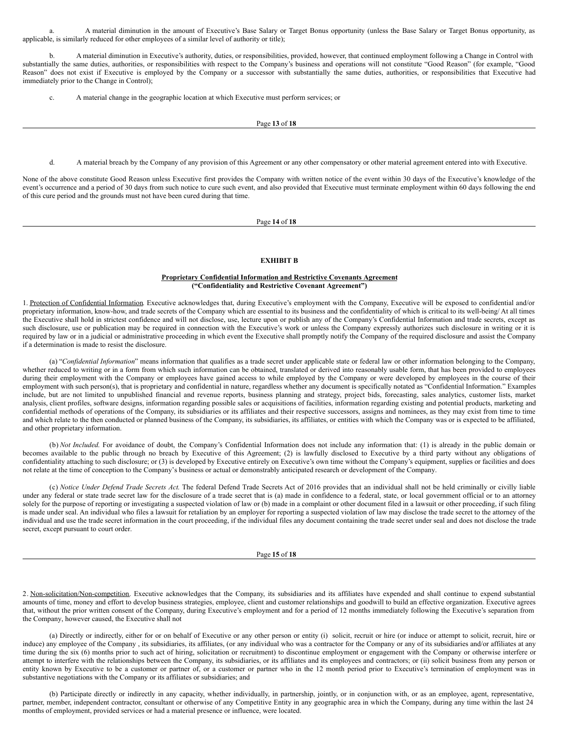a. A material diminution in the amount of Executive's Base Salary or Target Bonus opportunity (unless the Base Salary or Target Bonus opportunity, as applicable, is similarly reduced for other employees of a similar level of authority or title);

b. A material diminution in Executive's authority, duties, or responsibilities, provided, however, that continued employment following a Change in Control with substantially the same duties, authorities, or responsibilities with respect to the Company's business and operations will not constitute "Good Reason" (for example, "Good Reason" does not exist if Executive is employed by the Company or a successor with substantially the same duties, authorities, or responsibilities that Executive had immediately prior to the Change in Control);

c. A material change in the geographic location at which Executive must perform services; or

### Page **13** of **18**

d. A material breach by the Company of any provision of this Agreement or any other compensatory or other material agreement entered into with Executive.

None of the above constitute Good Reason unless Executive first provides the Company with written notice of the event within 30 days of the Executive's knowledge of the event's occurrence and a period of 30 days from such notice to cure such event, and also provided that Executive must terminate employment within 60 days following the end of this cure period and the grounds must not have been cured during that time.

Page **14** of **18**

## **EXHIBIT B**

#### **Proprietary Confidential Information and Restrictive Covenants Agreement ("Confidentiality and Restrictive Covenant Agreement")**

1. Protection of Confidential Information. Executive acknowledges that, during Executive's employment with the Company, Executive will be exposed to confidential and/or proprietary information, know-how, and trade secrets of the Company which are essential to its business and the confidentiality of which is critical to its well-being/ At all times the Executive shall hold in strictest confidence and will not disclose, use, lecture upon or publish any of the Company's Confidential Information and trade secrets, except as such disclosure, use or publication may be required in connection with the Executive's work or unless the Company expressly authorizes such disclosure in writing or it is required by law or in a judicial or administrative proceeding in which event the Executive shall promptly notify the Company of the required disclosure and assist the Company if a determination is made to resist the disclosure.

(a) "*Confidential Information*" means information that qualifies as a trade secret under applicable state or federal law or other information belonging to the Company, whether reduced to writing or in a form from which such information can be obtained, translated or derived into reasonably usable form, that has been provided to employees during their employment with the Company or employees have gained access to while employed by the Company or were developed by employees in the course of their employment with such person(s), that is proprietary and confidential in nature, regardless whether any document is specifically notated as "Confidential Information." Examples include, but are not limited to unpublished financial and revenue reports, business planning and strategy, project bids, forecasting, sales analytics, customer lists, market analysis, client profiles, software designs, information regarding possible sales or acquisitions of facilities, information regarding existing and potential products, marketing and confidential methods of operations of the Company, its subsidiaries or its affiliates and their respective successors, assigns and nominees, as they may exist from time to time and which relate to the then conducted or planned business of the Company, its subsidiaries, its affiliates, or entities with which the Company was or is expected to be affiliated, and other proprietary information.

(b) *Not Included*. For avoidance of doubt, the Company's Confidential Information does not include any information that: (1) is already in the public domain or becomes available to the public through no breach by Executive of this Agreement; (2) is lawfully disclosed to Executive by a third party without any obligations of confidentiality attaching to such disclosure; or (3) is developed by Executive entirely on Executive's own time without the Company's equipment, supplies or facilities and does not relate at the time of conception to the Company's business or actual or demonstrably anticipated research or development of the Company.

(c) *Notice Under Defend Trade Secrets Act*. The federal Defend Trade Secrets Act of 2016 provides that an individual shall not be held criminally or civilly liable under any federal or state trade secret law for the disclosure of a trade secret that is (a) made in confidence to a federal, state, or local government official or to an attorney solely for the purpose of reporting or investigating a suspected violation of law or (b) made in a complaint or other document filed in a lawsuit or other proceeding, if such filing is made under seal. An individual who files a lawsuit for retaliation by an employer for reporting a suspected violation of law may disclose the trade secret to the attorney of the individual and use the trade secret information in the court proceeding, if the individual files any document containing the trade secret under seal and does not disclose the trade secret, except pursuant to court order.

Page **15** of **18**

2. Non-solicitation/Non-competition. Executive acknowledges that the Company, its subsidiaries and its affiliates have expended and shall continue to expend substantial amounts of time, money and effort to develop business strategies, employee, client and customer relationships and goodwill to build an effective organization. Executive agrees that, without the prior written consent of the Company, during Executive's employment and for a period of 12 months immediately following the Executive's separation from the Company, however caused, the Executive shall not

(a) Directly or indirectly, either for or on behalf of Executive or any other person or entity (i) solicit, recruit or hire (or induce or attempt to solicit, recruit, hire or induce) any employee of the Company , its subsidiaries, its affiliates, (or any individual who was a contractor for the Company or any of its subsidiaries and/or affiliates at any time during the six (6) months prior to such act of hiring, solicitation or recruitment) to discontinue employment or engagement with the Company or otherwise interfere or attempt to interfere with the relationships between the Company, its subsidiaries, or its affiliates and its employees and contractors; or (ii) solicit business from any person or entity known by Executive to be a customer or partner of, or a customer or partner who in the 12 month period prior to Executive's termination of employment was in substantive negotiations with the Company or its affiliates or subsidiaries; and

(b) Participate directly or indirectly in any capacity, whether individually, in partnership, jointly, or in conjunction with, or as an employee, agent, representative, partner, member, independent contractor, consultant or otherwise of any Competitive Entity in any geographic area in which the Company, during any time within the last 24 months of employment, provided services or had a material presence or influence, were located.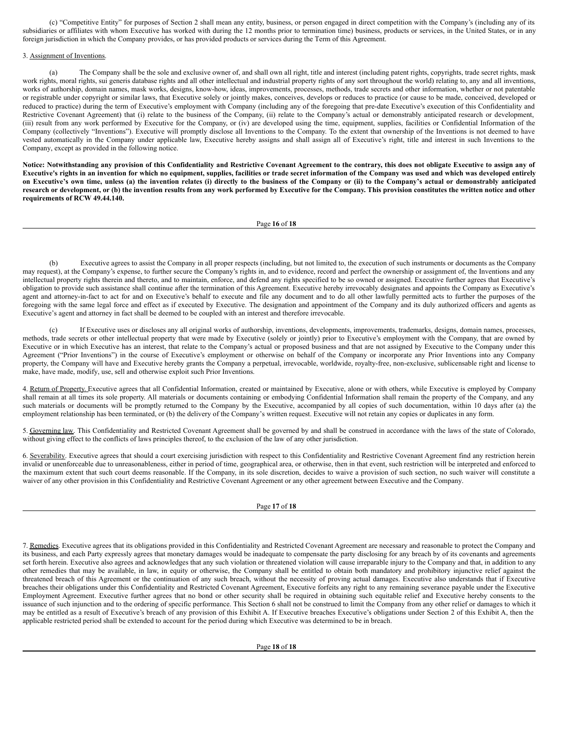(c) "Competitive Entity" for purposes of Section 2 shall mean any entity, business, or person engaged in direct competition with the Company's (including any of its subsidiaries or affiliates with whom Executive has worked with during the 12 months prior to termination time) business, products or services, in the United States, or in any foreign jurisdiction in which the Company provides, or has provided products or services during the Term of this Agreement.

## 3. Assignment of Inventions.

(a) The Company shall be the sole and exclusive owner of, and shall own all right, title and interest (including patent rights, copyrights, trade secret rights, mask work rights, moral rights, sui generis database rights and all other intellectual and industrial property rights of any sort throughout the world) relating to, any and all inventions, works of authorship, domain names, mask works, designs, know-how, ideas, improvements, processes, methods, trade secrets and other information, whether or not patentable or registrable under copyright or similar laws, that Executive solely or jointly makes, conceives, develops or reduces to practice (or cause to be made, conceived, developed or reduced to practice) during the term of Executive's employment with Company (including any of the foregoing that pre-date Executive's execution of this Confidentiality and Restrictive Covenant Agreement) that (i) relate to the business of the Company, (ii) relate to the Company's actual or demonstrably anticipated research or development, (iii) result from any work performed by Executive for the Company, or (iv) are developed using the time, equipment, supplies, facilities or Confidential Information of the Company (collectively "Inventions"). Executive will promptly disclose all Inventions to the Company. To the extent that ownership of the Inventions is not deemed to have vested automatically in the Company under applicable law, Executive hereby assigns and shall assign all of Executive's right, title and interest in such Inventions to the Company, except as provided in the following notice.

Notice: Notwithstanding any provision of this Confidentiality and Restrictive Covenant Agreement to the contrary, this does not obligate Executive to assign any of Executive's rights in an invention for which no equipment, supplies, facilities or trade secret information of the Company was used and which was developed entirely on Executive's own time, unless (a) the invention relates (i) directly to the business of the Company or (ii) to the Company's actual or demonstrably anticipated research or development, or (b) the invention results from any work performed by Executive for the Company. This provision constitutes the written notice and other **requirements of RCW 49.44.140.**

### Page **16** of **18**

(b) Executive agrees to assist the Company in all proper respects (including, but not limited to, the execution of such instruments or documents as the Company may request), at the Company's expense, to further secure the Company's rights in, and to evidence, record and perfect the ownership or assignment of, the Inventions and any intellectual property rights therein and thereto, and to maintain, enforce, and defend any rights specified to be so owned or assigned. Executive further agrees that Executive's obligation to provide such assistance shall continue after the termination of this Agreement. Executive hereby irrevocably designates and appoints the Company as Executive's agent and attorney-in-fact to act for and on Executive's behalf to execute and file any document and to do all other lawfully permitted acts to further the purposes of the foregoing with the same legal force and effect as if executed by Executive. The designation and appointment of the Company and its duly authorized officers and agents as Executive's agent and attorney in fact shall be deemed to be coupled with an interest and therefore irrevocable.

(c) If Executive uses or discloses any all original works of authorship, inventions, developments, improvements, trademarks, designs, domain names, processes, methods, trade secrets or other intellectual property that were made by Executive (solely or jointly) prior to Executive's employment with the Company, that are owned by Executive or in which Executive has an interest, that relate to the Company's actual or proposed business and that are not assigned by Executive to the Company under this Agreement ("Prior Inventions") in the course of Executive's employment or otherwise on behalf of the Company or incorporate any Prior Inventions into any Company property, the Company will have and Executive hereby grants the Company a perpetual, irrevocable, worldwide, royalty-free, non-exclusive, sublicensable right and license to make, have made, modify, use, sell and otherwise exploit such Prior Inventions.

4. Return of Property. Executive agrees that all Confidential Information, created or maintained by Executive, alone or with others, while Executive is employed by Company shall remain at all times its sole property. All materials or documents containing or embodying Confidential Information shall remain the property of the Company, and any such materials or documents will be promptly returned to the Company by the Executive, accompanied by all copies of such documentation, within 10 days after (a) the employment relationship has been terminated, or (b) the delivery of the Company's written request. Executive will not retain any copies or duplicates in any form.

5. Governing law. This Confidentiality and Restricted Covenant Agreement shall be governed by and shall be construed in accordance with the laws of the state of Colorado, without giving effect to the conflicts of laws principles thereof, to the exclusion of the law of any other jurisdiction.

6. Severability. Executive agrees that should a court exercising jurisdiction with respect to this Confidentiality and Restrictive Covenant Agreement find any restriction herein invalid or unenforceable due to unreasonableness, either in period of time, geographical area, or otherwise, then in that event, such restriction will be interpreted and enforced to the maximum extent that such court deems reasonable. If the Company, in its sole discretion, decides to waive a provision of such section, no such waiver will constitute a waiver of any other provision in this Confidentiality and Restrictive Covenant Agreement or any other agreement between Executive and the Company.

### Page **17** of **18**

7. Remedies. Executive agrees that its obligations provided in this Confidentiality and Restricted Covenant Agreement are necessary and reasonable to protect the Company and its business, and each Party expressly agrees that monetary damages would be inadequate to compensate the party disclosing for any breach by of its covenants and agreements set forth herein. Executive also agrees and acknowledges that any such violation or threatened violation will cause irreparable injury to the Company and that, in addition to any other remedies that may be available, in law, in equity or otherwise, the Company shall be entitled to obtain both mandatory and prohibitory injunctive relief against the threatened breach of this Agreement or the continuation of any such breach, without the necessity of proving actual damages. Executive also understands that if Executive breaches their obligations under this Confidentiality and Restricted Covenant Agreement, Executive forfeits any right to any remaining severance payable under the Executive Employment Agreement. Executive further agrees that no bond or other security shall be required in obtaining such equitable relief and Executive hereby consents to the issuance of such injunction and to the ordering of specific performance. This Section 6 shall not be construed to limit the Company from any other relief or damages to which it may be entitled as a result of Executive's breach of any provision of this Exhibit A. If Executive breaches Executive's obligations under Section 2 of this Exhibit A, then the applicable restricted period shall be extended to account for the period during which Executive was determined to be in breach.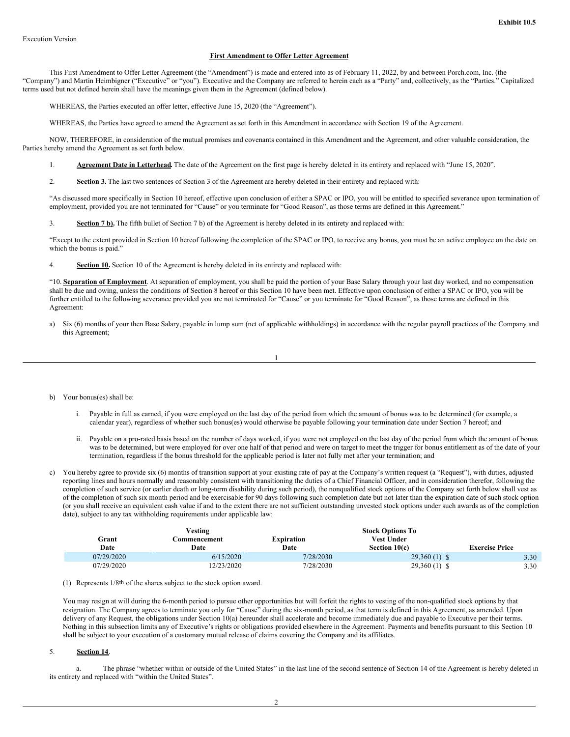## **First Amendment to Offer Letter Agreement**

<span id="page-33-0"></span>This First Amendment to Offer Letter Agreement (the "Amendment") is made and entered into as of February 11, 2022, by and between Porch.com, Inc. (the "Company") and Martin Heimbigner ("Executive" or "you"). Executive and the Company are referred to herein each as a "Party" and, collectively, as the "Parties." Capitalized terms used but not defined herein shall have the meanings given them in the Agreement (defined below).

WHEREAS, the Parties executed an offer letter, effective June 15, 2020 (the "Agreement").

WHEREAS, the Parties have agreed to amend the Agreement as set forth in this Amendment in accordance with Section 19 of the Agreement.

NOW, THEREFORE, in consideration of the mutual promises and covenants contained in this Amendment and the Agreement, and other valuable consideration, the Parties hereby amend the Agreement as set forth below.

- 1. **Agreement Date in Letterhead.** The date of the Agreement on the first page is hereby deleted in its entirety and replaced with "June 15, 2020".
- 2. **Section 3.** The last two sentences of Section 3 of the Agreement are hereby deleted in their entirety and replaced with:

"As discussed more specifically in Section 10 hereof, effective upon conclusion of either a SPAC or IPO, you will be entitled to specified severance upon termination of employment, provided you are not terminated for "Cause" or you terminate for "Good Reason", as those terms are defined in this Agreement."

3. **Section 7 b).** The fifth bullet of Section 7 b) of the Agreement is hereby deleted in its entirety and replaced with:

"Except to the extent provided in Section 10 hereof following the completion of the SPAC or IPO, to receive any bonus, you must be an active employee on the date on which the bonus is paid."

4. **Section 10.** Section 10 of the Agreement is hereby deleted in its entirety and replaced with:

"10. **Separation of Employment**. At separation of employment, you shall be paid the portion of your Base Salary through your last day worked, and no compensation shall be due and owing, unless the conditions of Section 8 hereof or this Section 10 have been met. Effective upon conclusion of either a SPAC or IPO, you will be further entitled to the following severance provided you are not terminated for "Cause" or you terminate for "Good Reason", as those terms are defined in this Agreement:

a) Six (6) months of your then Base Salary, payable in lump sum (net of applicable withholdings) in accordance with the regular payroll practices of the Company and this Agreement;

$$
1 \\
$$

- b) Your bonus(es) shall be:
	- i. Payable in full as earned, if you were employed on the last day of the period from which the amount of bonus was to be determined (for example, a calendar year), regardless of whether such bonus(es) would otherwise be payable following your termination date under Section 7 hereof; and
	- ii. Payable on a pro-rated basis based on the number of days worked, if you were not employed on the last day of the period from which the amount of bonus was to be determined, but were employed for over one half of that period and were on target to meet the trigger for bonus entitlement as of the date of your termination, regardless if the bonus threshold for the applicable period is later not fully met after your termination; and
- c) You hereby agree to provide six (6) months of transition support at your existing rate of pay at the Company's written request (a "Request"), with duties, adjusted reporting lines and hours normally and reasonably consistent with transitioning the duties of a Chief Financial Officer, and in consideration therefor, following the completion of such service (or earlier death or long-term disability during such period), the nonqualified stock options of the Company set forth below shall vest as of the completion of such six month period and be exercisable for 90 days following such completion date but not later than the expiration date of such stock option (or you shall receive an equivalent cash value if and to the extent there are not sufficient outstanding unvested stock options under such awards as of the completion date), subject to any tax withholding requirements under applicable law:

|            | Vesting      |                   | <b>Stock Options To</b> |                       |
|------------|--------------|-------------------|-------------------------|-----------------------|
| Grant      | Commencement | <b>Expiration</b> | Vest Under              |                       |
| Date       | Date         | Date              | Section 10(c)           | <b>Exercise Price</b> |
| 07/29/2020 | 6/15/2020    | 7/28/2030         | $29,360(1)$ \$          | 3.30                  |
| 07/29/2020 | 12/23/2020   | 7/28/2030         | $29,360(1)$ \$          | 3.30                  |

(1) Represents 1/8th of the shares subject to the stock option award.

You may resign at will during the 6-month period to pursue other opportunities but will forfeit the rights to vesting of the non-qualified stock options by that resignation. The Company agrees to terminate you only for "Cause" during the six-month period, as that term is defined in this Agreement, as amended. Upon delivery of any Request, the obligations under Section 10(a) hereunder shall accelerate and become immediately due and payable to Executive per their terms. Nothing in this subsection limits any of Executive's rights or obligations provided elsewhere in the Agreement. Payments and benefits pursuant to this Section 10 shall be subject to your execution of a customary mutual release of claims covering the Company and its affiliates.

# 5. **Section 14**.

a. The phrase "whether within or outside of the United States" in the last line of the second sentence of Section 14 of the Agreement is hereby deleted in its entirety and replaced with "within the United States".